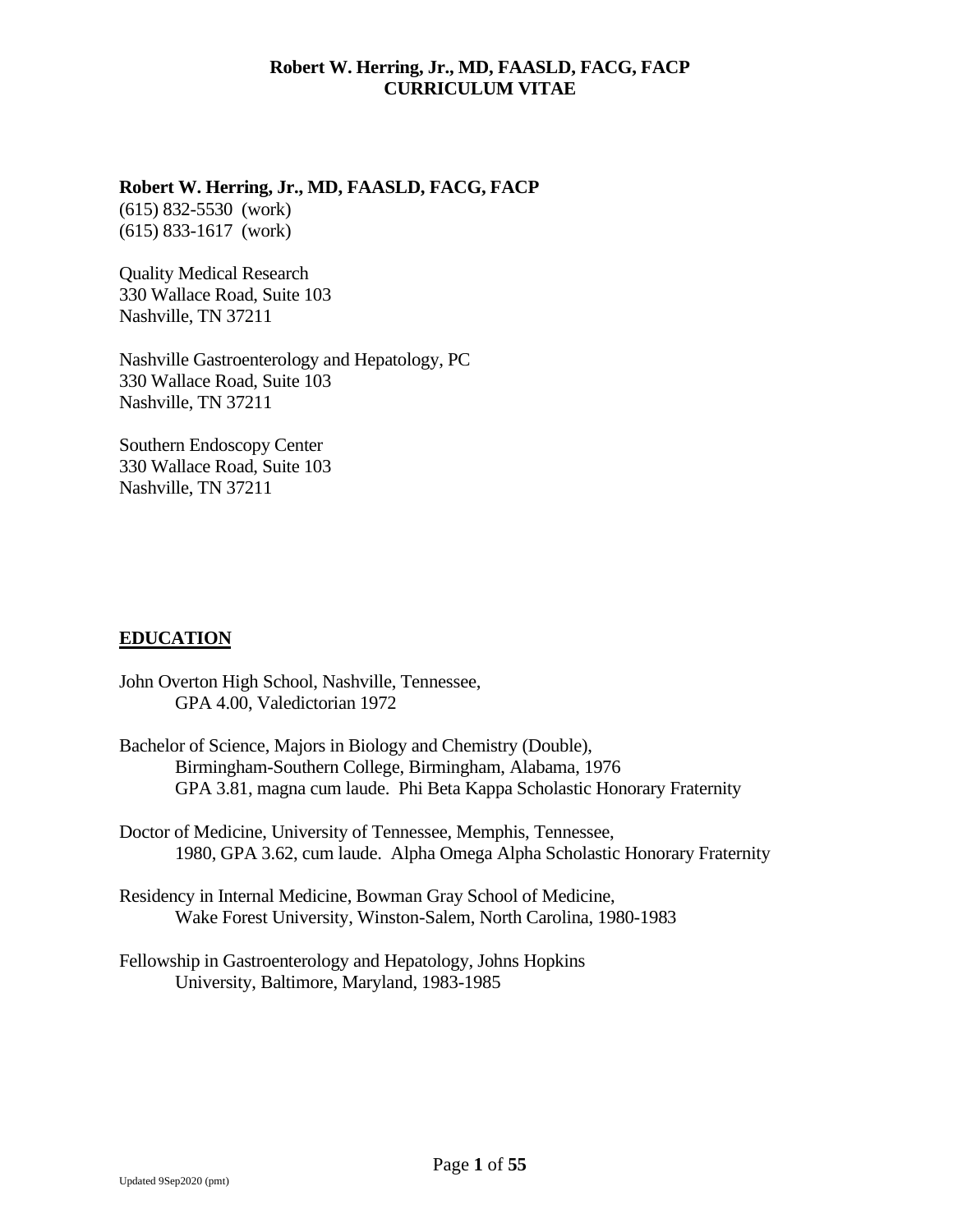### **Robert W. Herring, Jr., MD, FAASLD, FACG, FACP**

(615) 832-5530 (work) (615) 833-1617 (work)

Quality Medical Research 330 Wallace Road, Suite 103 Nashville, TN 37211

Nashville Gastroenterology and Hepatology, PC 330 Wallace Road, Suite 103 Nashville, TN 37211

Southern Endoscopy Center 330 Wallace Road, Suite 103 Nashville, TN 37211

# **EDUCATION**

- John Overton High School, Nashville, Tennessee, GPA 4.00, Valedictorian 1972
- Bachelor of Science, Majors in Biology and Chemistry (Double), Birmingham-Southern College, Birmingham, Alabama, 1976 GPA 3.81, magna cum laude. Phi Beta Kappa Scholastic Honorary Fraternity

Doctor of Medicine, University of Tennessee, Memphis, Tennessee, 1980, GPA 3.62, cum laude. Alpha Omega Alpha Scholastic Honorary Fraternity

Residency in Internal Medicine, Bowman Gray School of Medicine, Wake Forest University, Winston-Salem, North Carolina, 1980-1983

Fellowship in Gastroenterology and Hepatology, Johns Hopkins University, Baltimore, Maryland, 1983-1985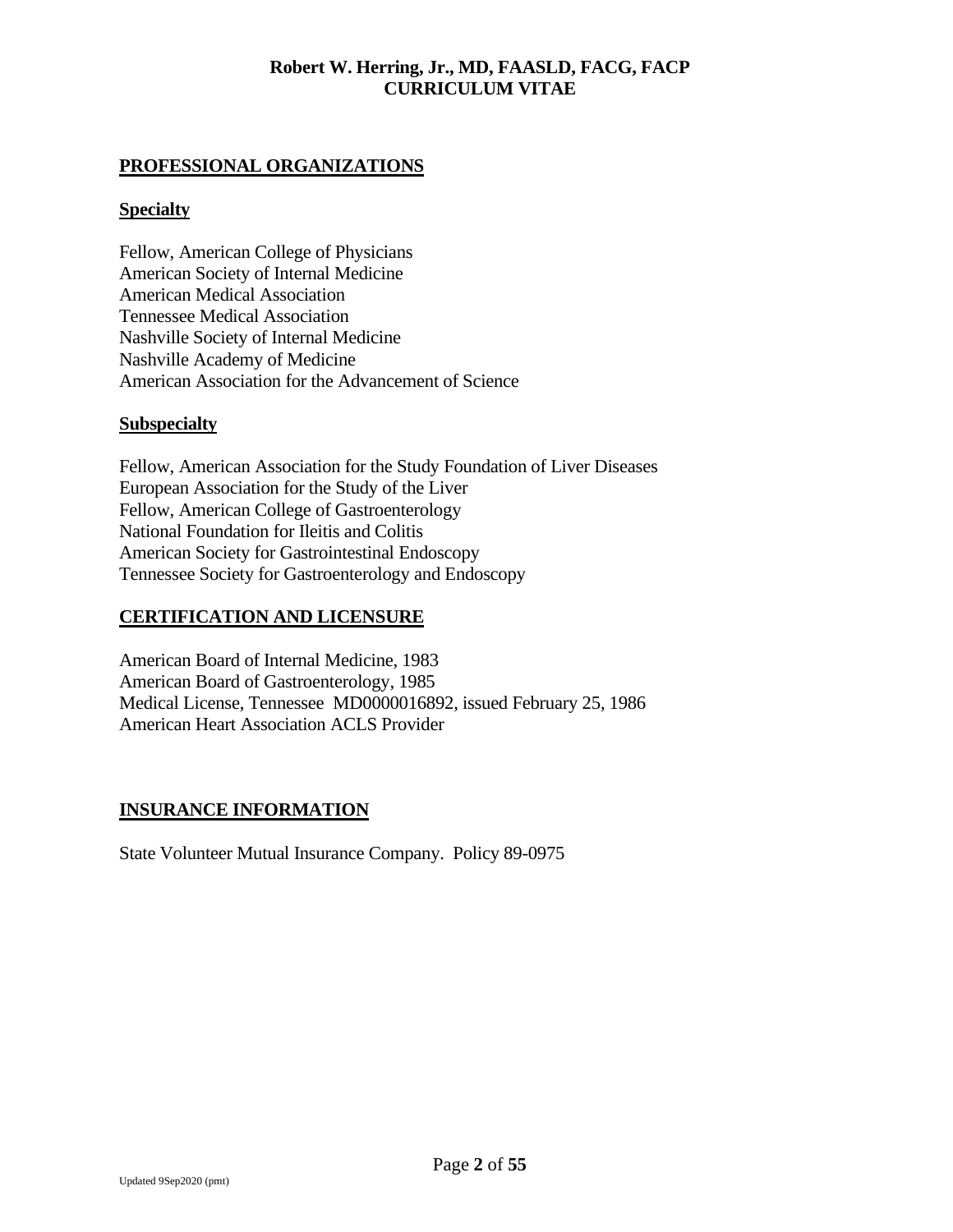# **PROFESSIONAL ORGANIZATIONS**

## **Specialty**

Fellow, American College of Physicians American Society of Internal Medicine American Medical Association Tennessee Medical Association Nashville Society of Internal Medicine Nashville Academy of Medicine American Association for the Advancement of Science

#### **Subspecialty**

Fellow, American Association for the Study Foundation of Liver Diseases European Association for the Study of the Liver Fellow, American College of Gastroenterology National Foundation for Ileitis and Colitis American Society for Gastrointestinal Endoscopy Tennessee Society for Gastroenterology and Endoscopy

## **CERTIFICATION AND LICENSURE**

American Board of Internal Medicine, 1983 American Board of Gastroenterology, 1985 Medical License, Tennessee MD0000016892, issued February 25, 1986 American Heart Association ACLS Provider

#### **INSURANCE INFORMATION**

State Volunteer Mutual Insurance Company. Policy 89-0975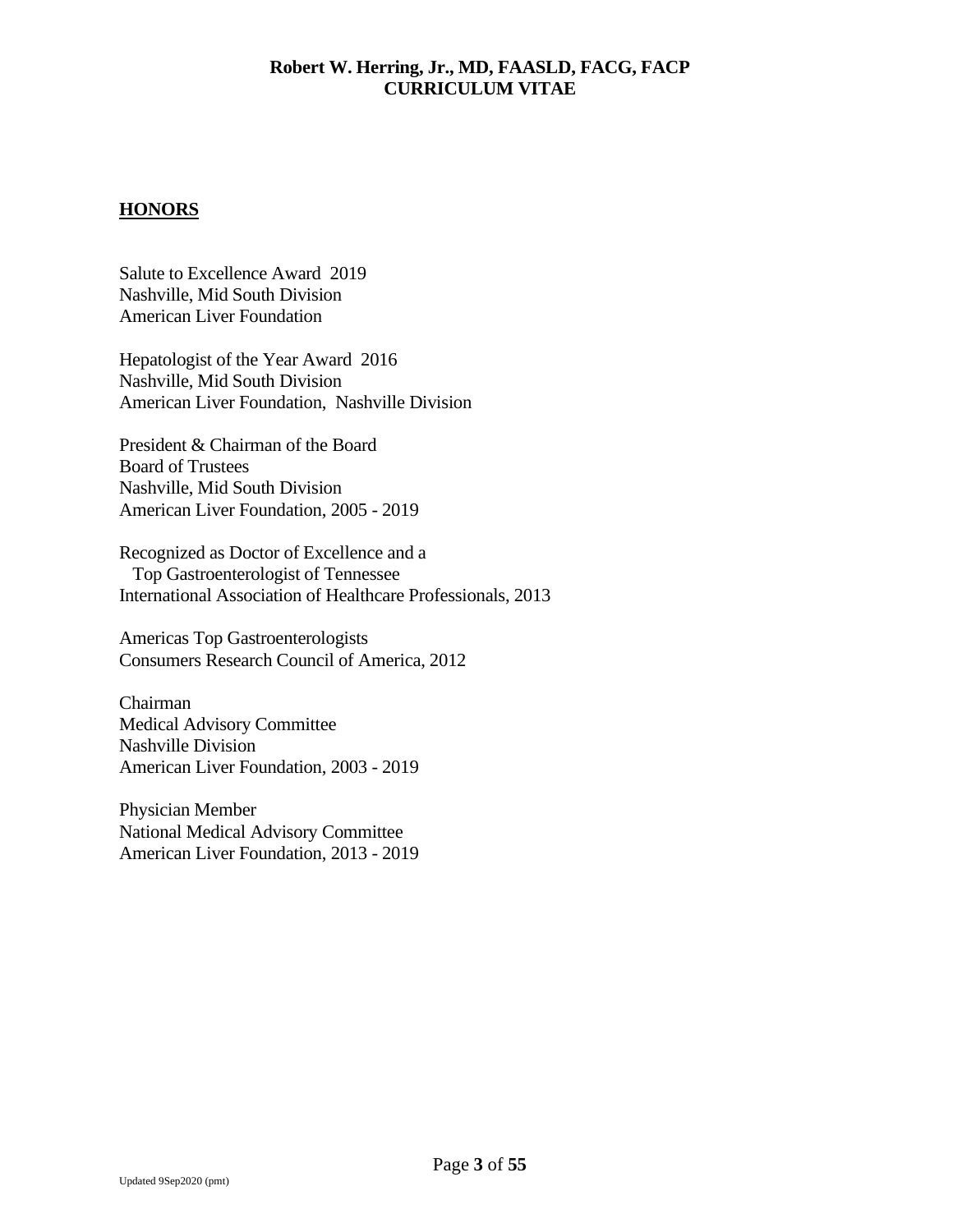# **HONORS**

Salute to Excellence Award 2019 Nashville, Mid South Division American Liver Foundation

Hepatologist of the Year Award 2016 Nashville, Mid South Division American Liver Foundation, Nashville Division

President & Chairman of the Board Board of Trustees Nashville, Mid South Division American Liver Foundation, 2005 - 2019

Recognized as Doctor of Excellence and a Top Gastroenterologist of Tennessee International Association of Healthcare Professionals, 2013

Americas Top Gastroenterologists Consumers Research Council of America, 2012

Chairman Medical Advisory Committee Nashville Division American Liver Foundation, 2003 - 2019

Physician Member National Medical Advisory Committee American Liver Foundation, 2013 - 2019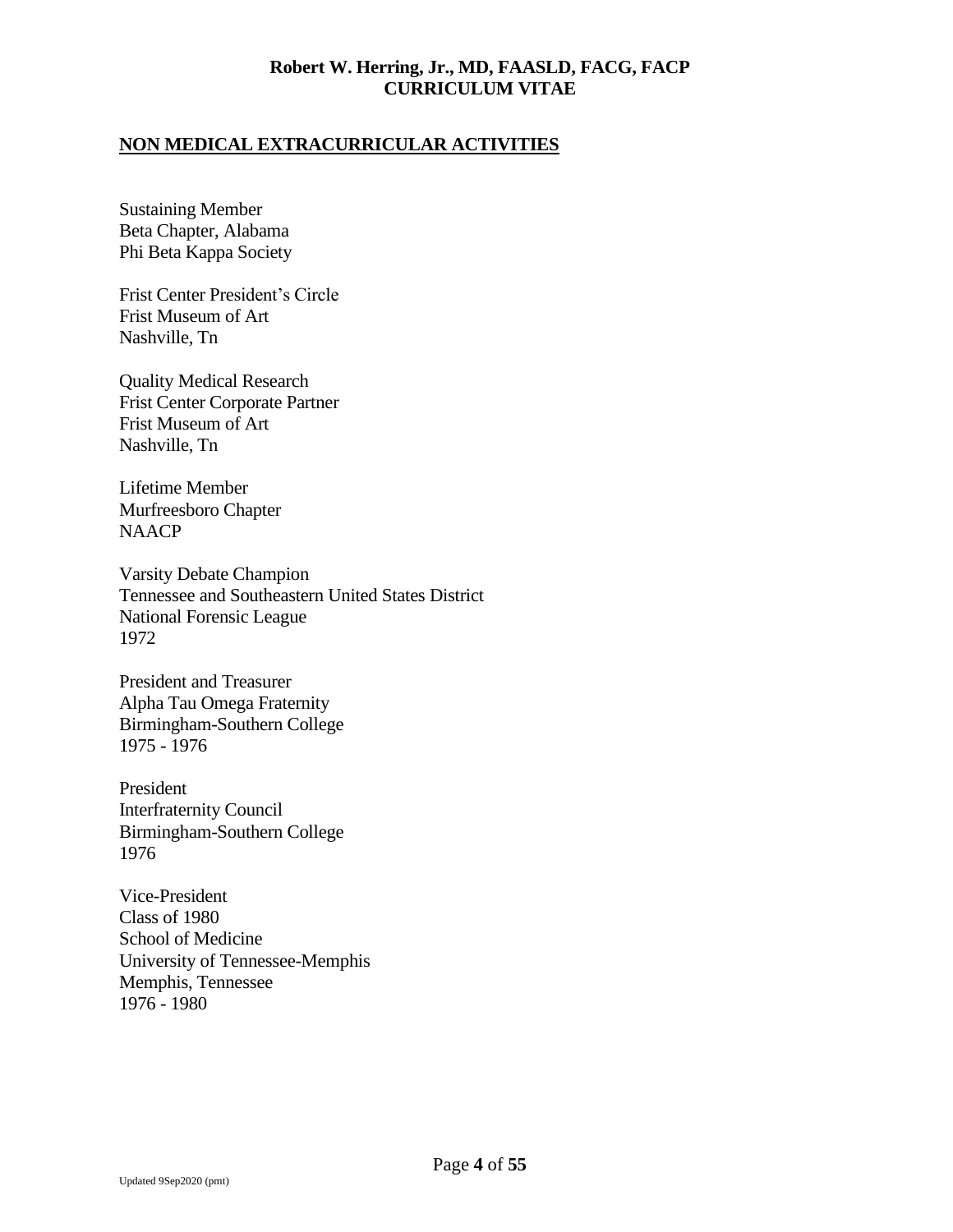# **NON MEDICAL EXTRACURRICULAR ACTIVITIES**

Sustaining Member Beta Chapter, Alabama Phi Beta Kappa Society

Frist Center President's Circle Frist Museum of Art Nashville, Tn

Quality Medical Research Frist Center Corporate Partner Frist Museum of Art Nashville, Tn

Lifetime Member Murfreesboro Chapter NAACP

Varsity Debate Champion Tennessee and Southeastern United States District National Forensic League 1972

President and Treasurer Alpha Tau Omega Fraternity Birmingham-Southern College 1975 - 1976

President Interfraternity Council Birmingham-Southern College 1976

Vice-President Class of 1980 School of Medicine University of Tennessee-Memphis Memphis, Tennessee 1976 - 1980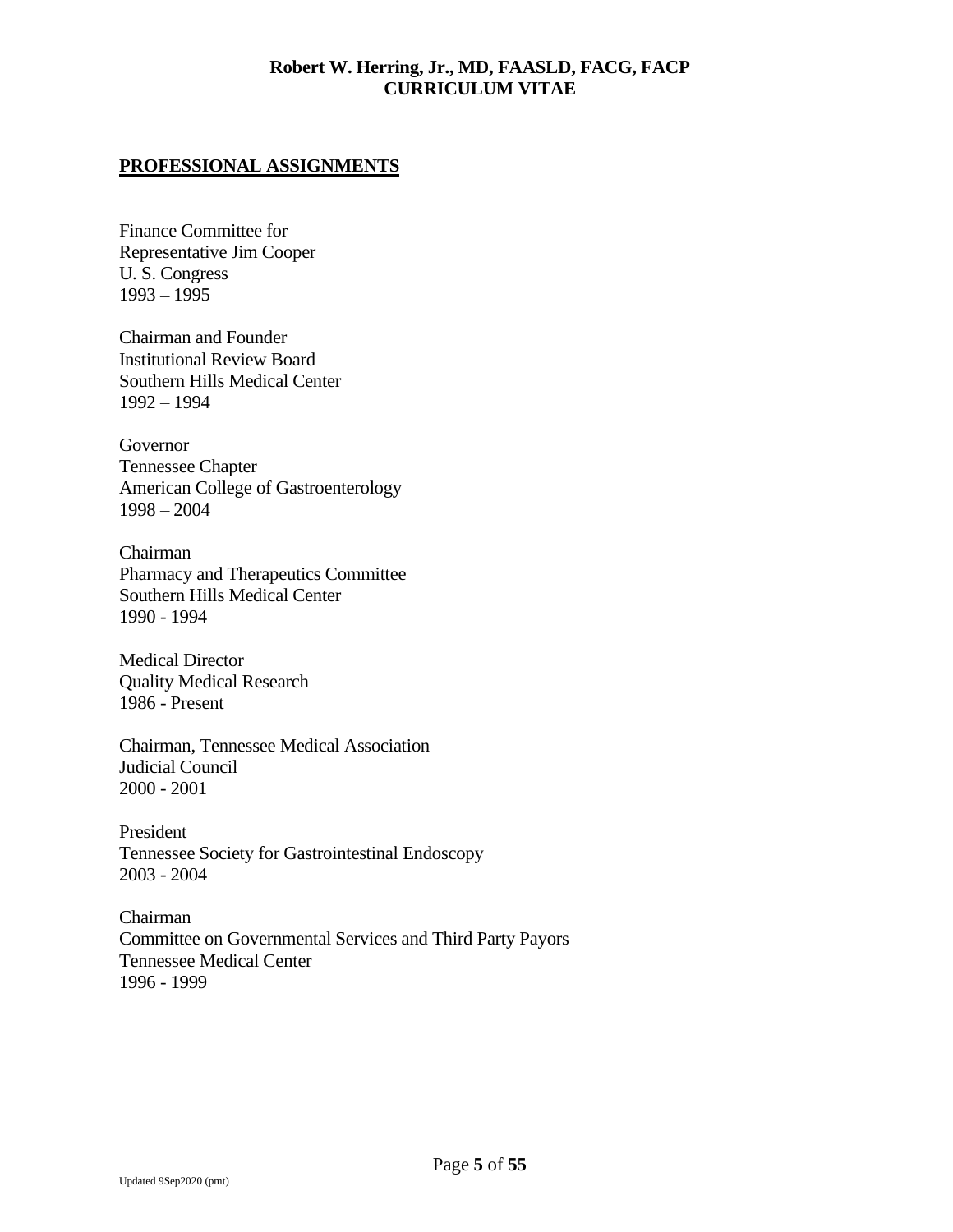### **PROFESSIONAL ASSIGNMENTS**

Finance Committee for Representative Jim Cooper U. S. Congress 1993 – 1995

Chairman and Founder Institutional Review Board Southern Hills Medical Center 1992 – 1994

Governor Tennessee Chapter American College of Gastroenterology 1998 – 2004

Chairman Pharmacy and Therapeutics Committee Southern Hills Medical Center 1990 - 1994

Medical Director Quality Medical Research 1986 - Present

Chairman, Tennessee Medical Association Judicial Council 2000 - 2001

President Tennessee Society for Gastrointestinal Endoscopy 2003 - 2004

Chairman Committee on Governmental Services and Third Party Payors Tennessee Medical Center 1996 - 1999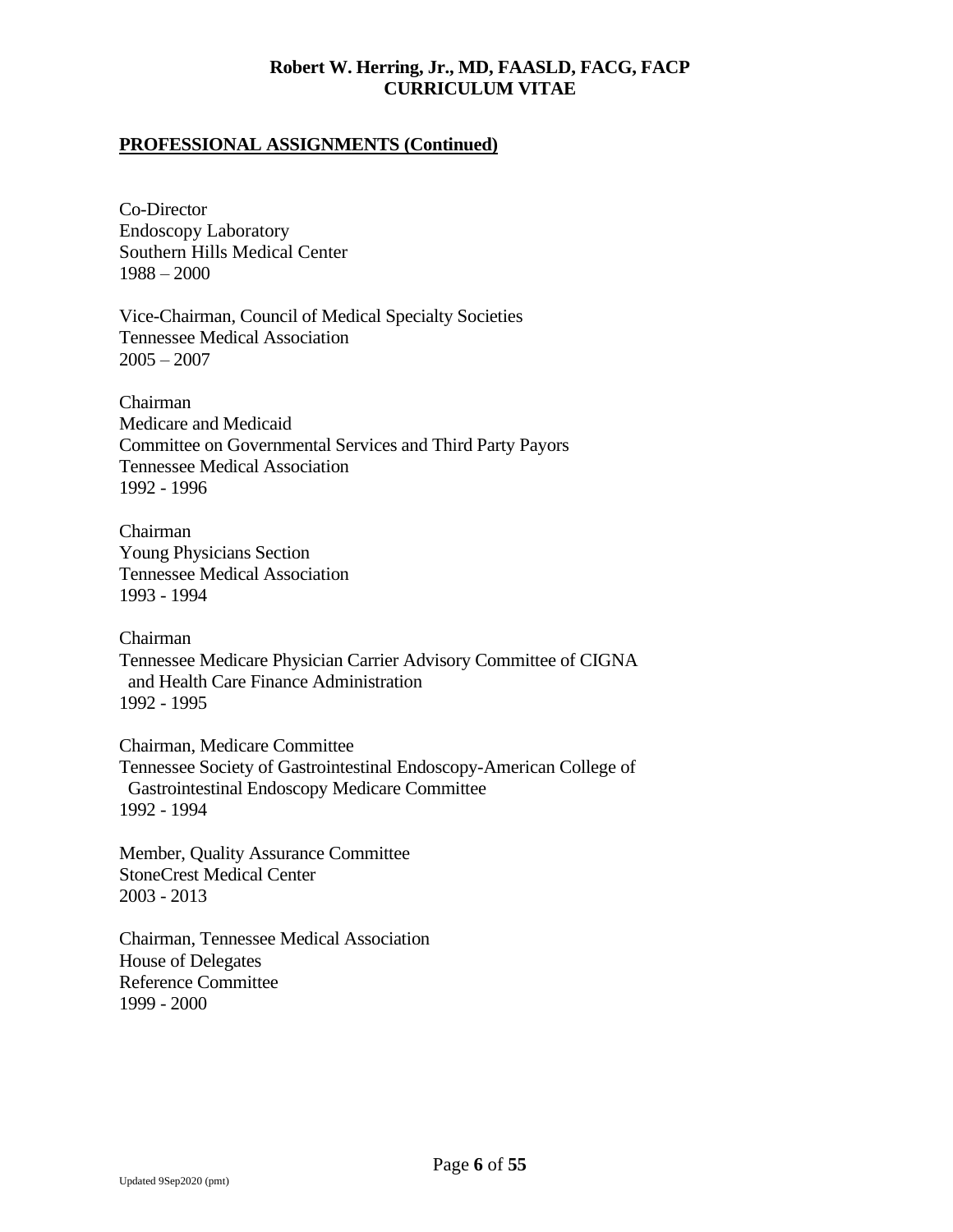## **PROFESSIONAL ASSIGNMENTS (Continued)**

Co-Director Endoscopy Laboratory Southern Hills Medical Center 1988 – 2000

Vice-Chairman, Council of Medical Specialty Societies Tennessee Medical Association  $2005 - 2007$ 

Chairman Medicare and Medicaid Committee on Governmental Services and Third Party Payors Tennessee Medical Association 1992 - 1996

Chairman Young Physicians Section Tennessee Medical Association 1993 - 1994

Chairman Tennessee Medicare Physician Carrier Advisory Committee of CIGNA and Health Care Finance Administration 1992 - 1995

Chairman, Medicare Committee Tennessee Society of Gastrointestinal Endoscopy-American College of Gastrointestinal Endoscopy Medicare Committee 1992 - 1994

Member, Quality Assurance Committee StoneCrest Medical Center 2003 - 2013

Chairman, Tennessee Medical Association House of Delegates Reference Committee 1999 - 2000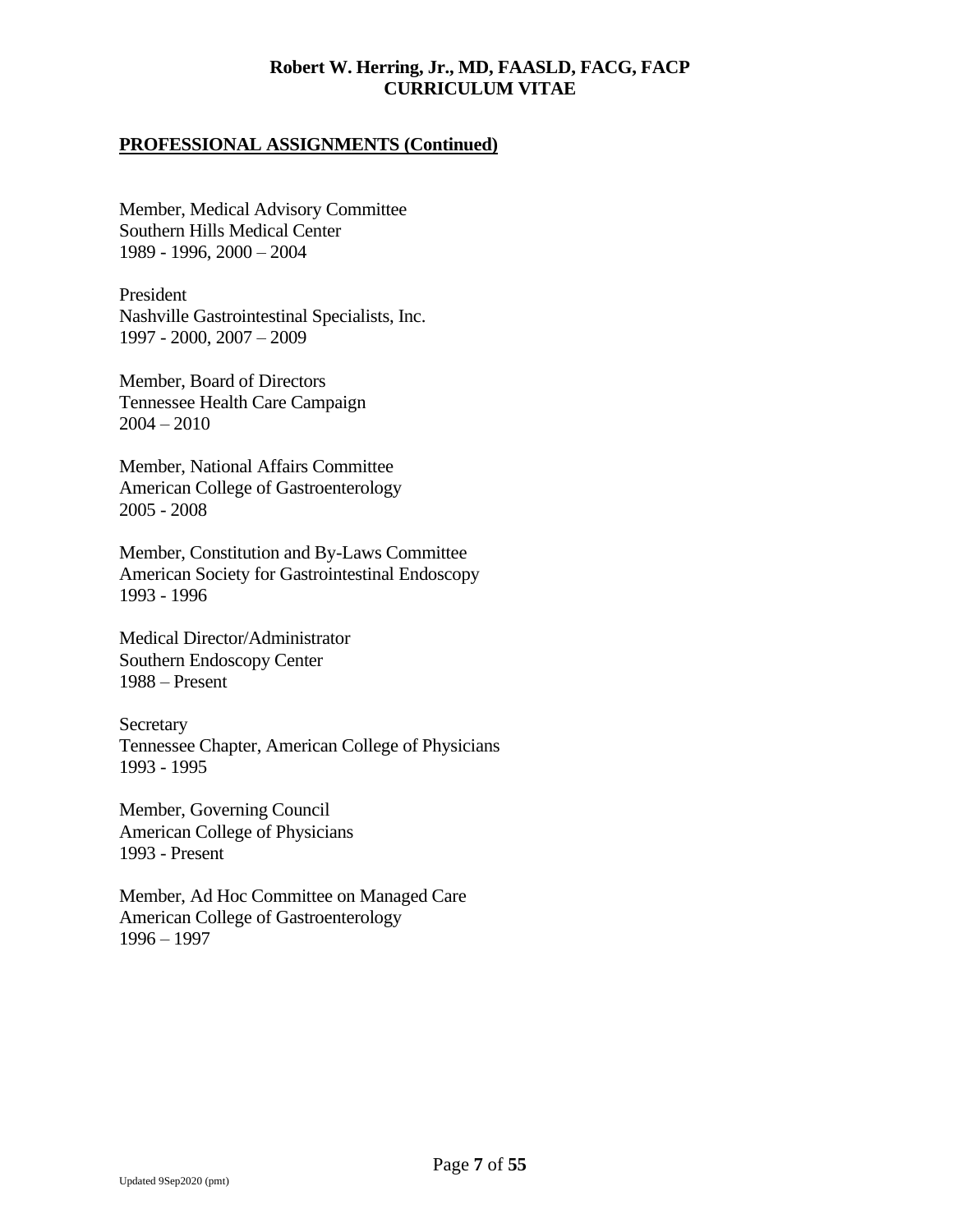## **PROFESSIONAL ASSIGNMENTS (Continued)**

Member, Medical Advisory Committee Southern Hills Medical Center 1989 - 1996, 2000 – 2004

President Nashville Gastrointestinal Specialists, Inc. 1997 - 2000, 2007 – 2009

Member, Board of Directors Tennessee Health Care Campaign  $2004 - 2010$ 

Member, National Affairs Committee American College of Gastroenterology 2005 - 2008

Member, Constitution and By-Laws Committee American Society for Gastrointestinal Endoscopy 1993 - 1996

Medical Director/Administrator Southern Endoscopy Center 1988 – Present

**Secretary** Tennessee Chapter, American College of Physicians 1993 - 1995

Member, Governing Council American College of Physicians 1993 - Present

Member, Ad Hoc Committee on Managed Care American College of Gastroenterology 1996 – 1997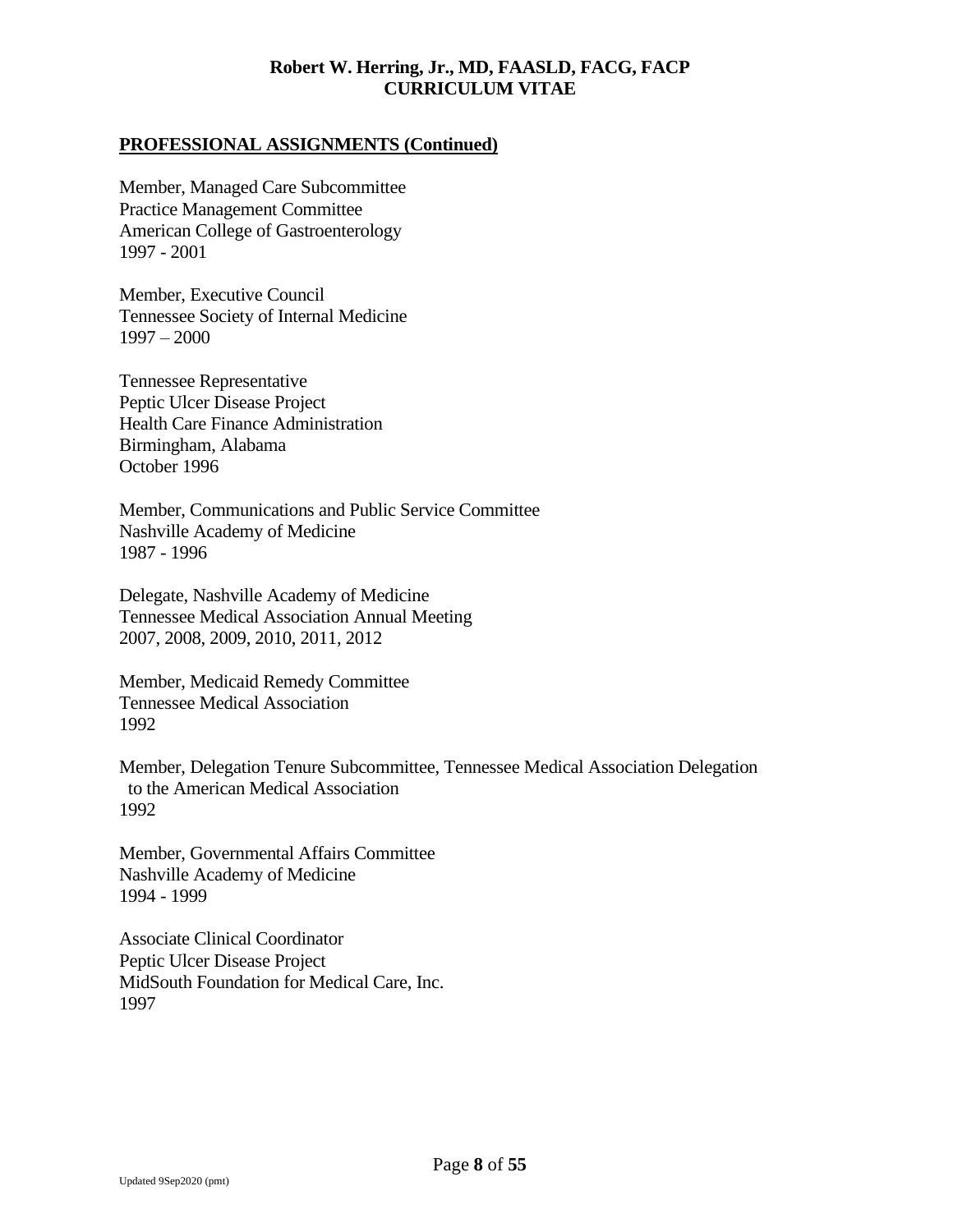## **PROFESSIONAL ASSIGNMENTS (Continued)**

Member, Managed Care Subcommittee Practice Management Committee American College of Gastroenterology 1997 - 2001

Member, Executive Council Tennessee Society of Internal Medicine 1997 – 2000

Tennessee Representative Peptic Ulcer Disease Project Health Care Finance Administration Birmingham, Alabama October 1996

Member, Communications and Public Service Committee Nashville Academy of Medicine 1987 - 1996

Delegate, Nashville Academy of Medicine Tennessee Medical Association Annual Meeting 2007, 2008, 2009, 2010, 2011, 2012

Member, Medicaid Remedy Committee Tennessee Medical Association 1992

Member, Delegation Tenure Subcommittee, Tennessee Medical Association Delegation to the American Medical Association 1992

Member, Governmental Affairs Committee Nashville Academy of Medicine 1994 - 1999

Associate Clinical Coordinator Peptic Ulcer Disease Project MidSouth Foundation for Medical Care, Inc. 1997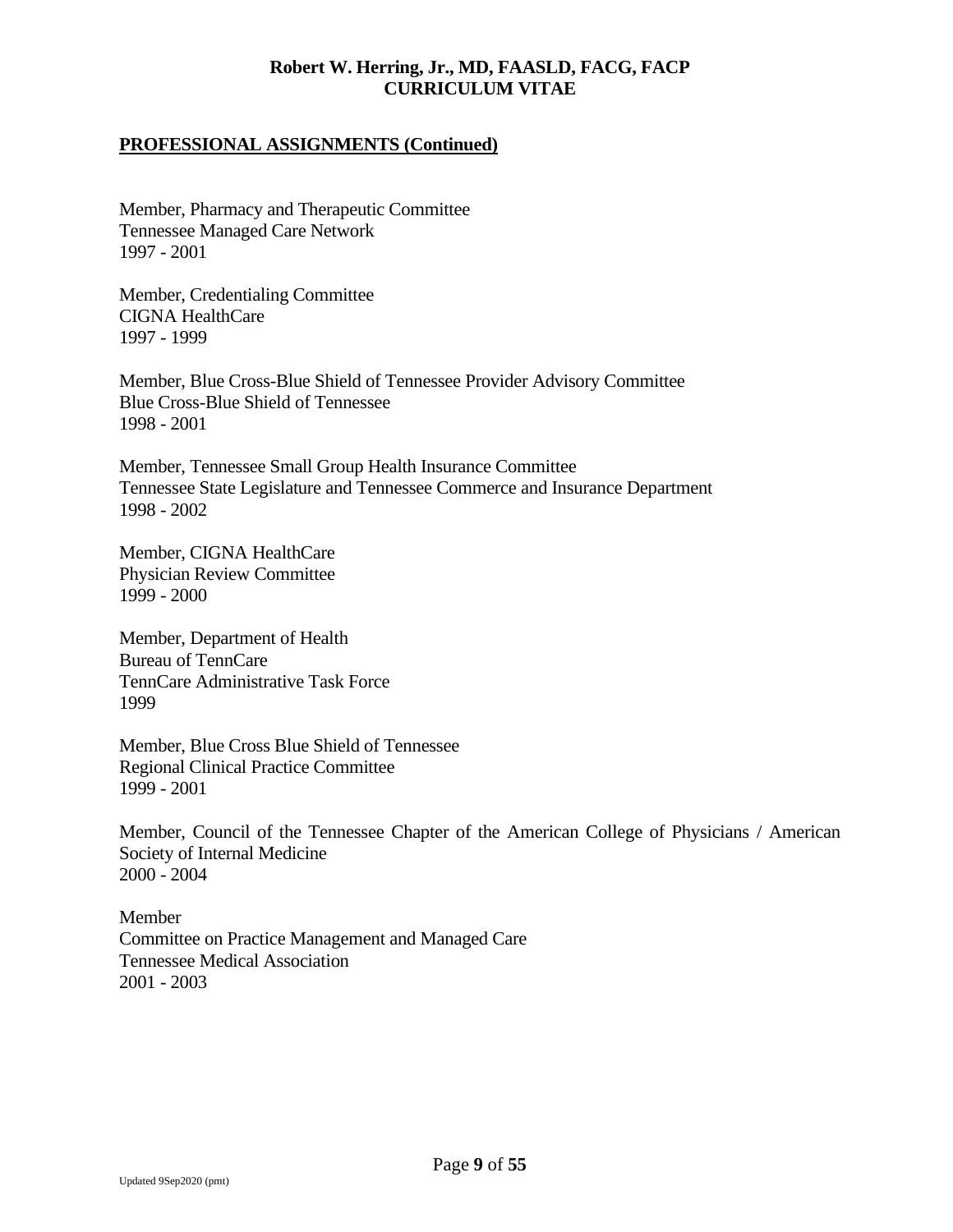## **PROFESSIONAL ASSIGNMENTS (Continued)**

Member, Pharmacy and Therapeutic Committee Tennessee Managed Care Network 1997 - 2001

Member, Credentialing Committee CIGNA HealthCare 1997 - 1999

Member, Blue Cross-Blue Shield of Tennessee Provider Advisory Committee Blue Cross-Blue Shield of Tennessee 1998 - 2001

Member, Tennessee Small Group Health Insurance Committee Tennessee State Legislature and Tennessee Commerce and Insurance Department 1998 - 2002

Member, CIGNA HealthCare Physician Review Committee 1999 - 2000

Member, Department of Health Bureau of TennCare TennCare Administrative Task Force 1999

Member, Blue Cross Blue Shield of Tennessee Regional Clinical Practice Committee 1999 - 2001

Member, Council of the Tennessee Chapter of the American College of Physicians / American Society of Internal Medicine 2000 - 2004

Member Committee on Practice Management and Managed Care Tennessee Medical Association 2001 - 2003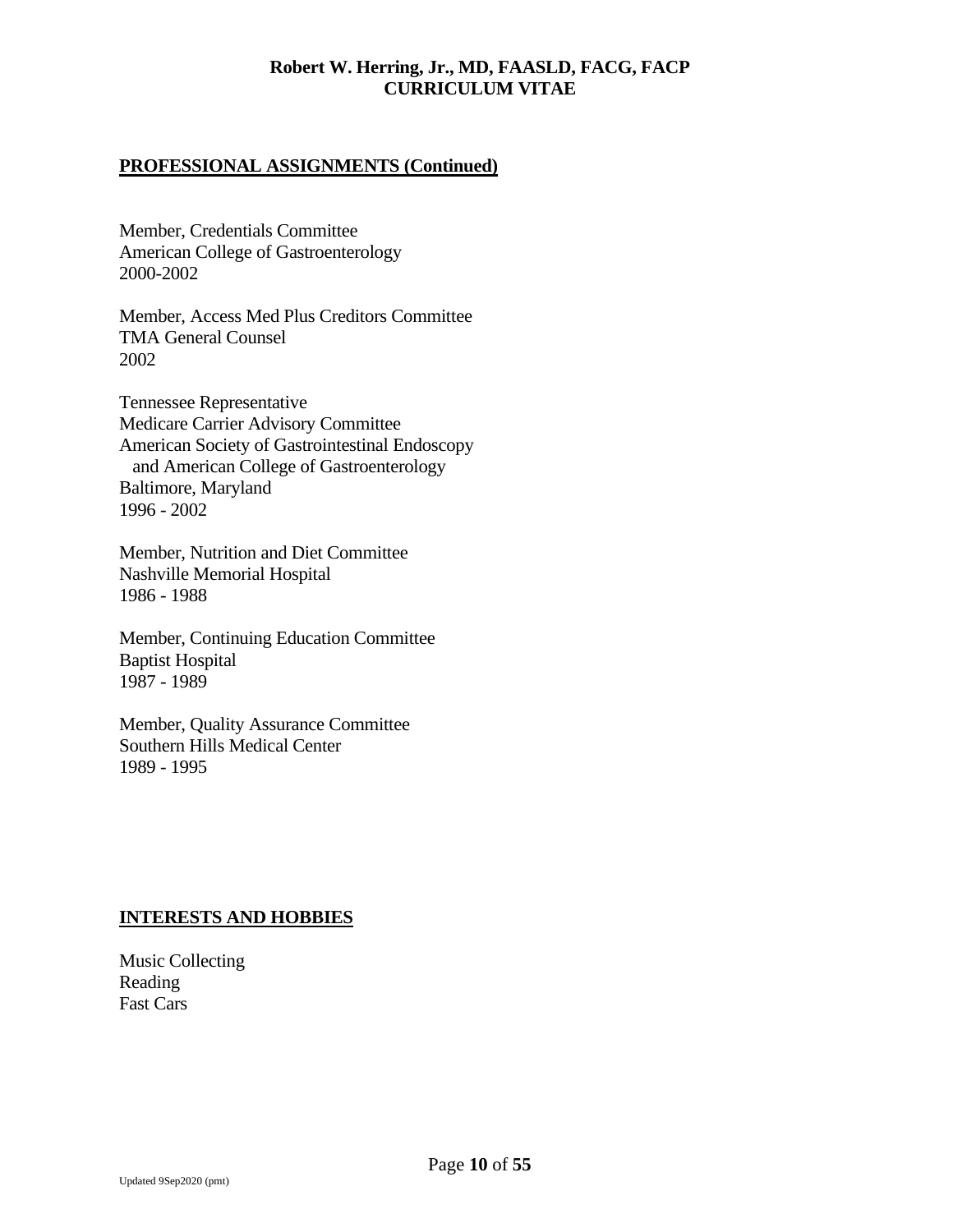## **PROFESSIONAL ASSIGNMENTS (Continued)**

Member, Credentials Committee American College of Gastroenterology 2000-2002

Member, Access Med Plus Creditors Committee TMA General Counsel 2002

Tennessee Representative Medicare Carrier Advisory Committee American Society of Gastrointestinal Endoscopy and American College of Gastroenterology Baltimore, Maryland 1996 - 2002

Member, Nutrition and Diet Committee Nashville Memorial Hospital 1986 - 1988

Member, Continuing Education Committee Baptist Hospital 1987 - 1989

Member, Quality Assurance Committee Southern Hills Medical Center 1989 - 1995

#### **INTERESTS AND HOBBIES**

Music Collecting Reading Fast Cars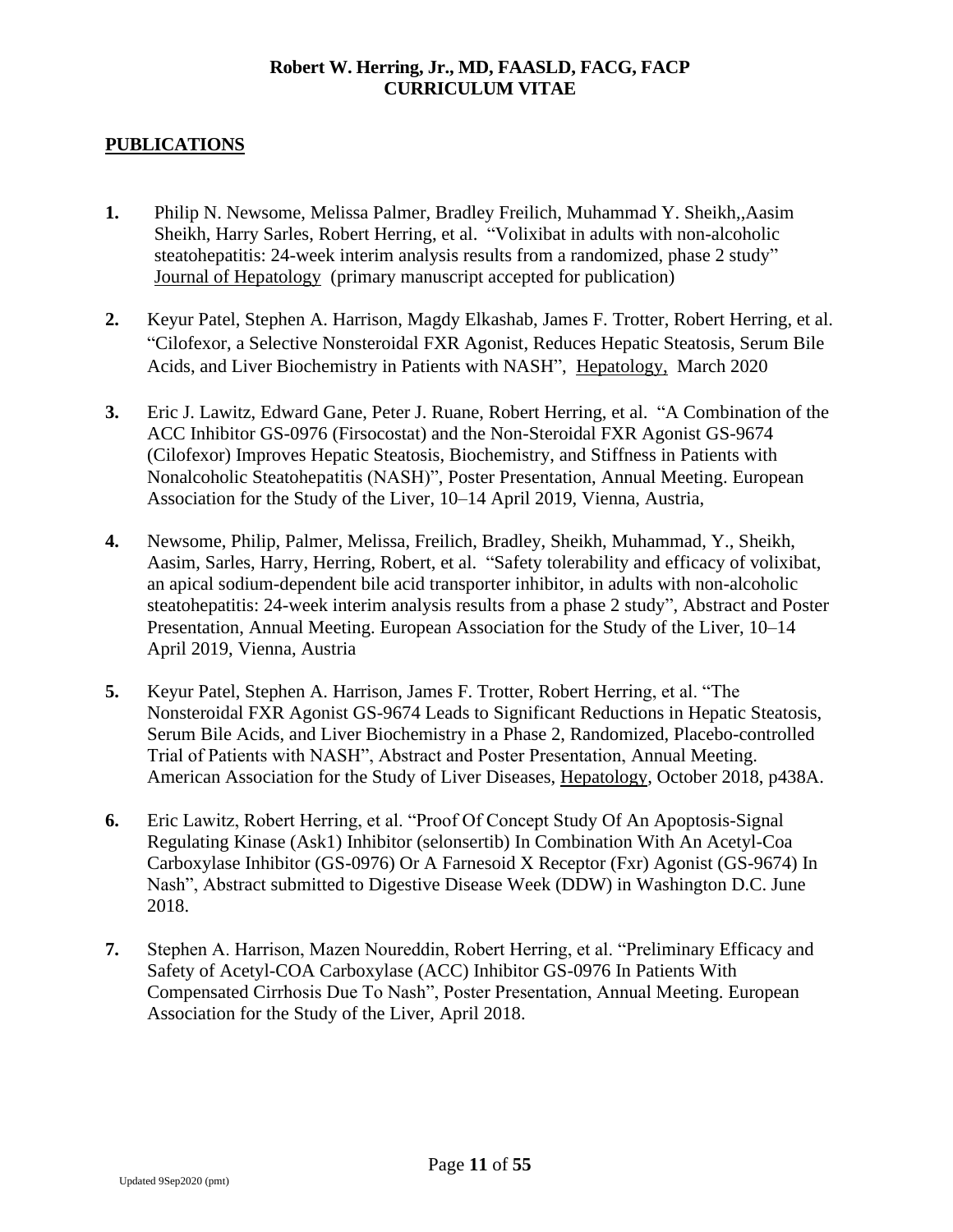# **PUBLICATIONS**

- **1.** Philip N. Newsome, Melissa Palmer, Bradley Freilich, Muhammad Y. Sheikh,,Aasim Sheikh, Harry Sarles, Robert Herring, et al. "Volixibat in adults with non-alcoholic steatohepatitis: 24-week interim analysis results from a randomized, phase 2 study" Journal of Hepatology (primary manuscript accepted for publication)
- **2.** Keyur Patel, Stephen A. Harrison, Magdy Elkashab, James F. Trotter, Robert Herring, et al. "Cilofexor, a Selective Nonsteroidal FXR Agonist, Reduces Hepatic Steatosis, Serum Bile Acids, and Liver Biochemistry in Patients with NASH", Hepatology, March 2020
- **3.** Eric J. Lawitz, Edward Gane, Peter J. Ruane, Robert Herring, et al. "A Combination of the ACC Inhibitor GS-0976 (Firsocostat) and the Non-Steroidal FXR Agonist GS-9674 (Cilofexor) Improves Hepatic Steatosis, Biochemistry, and Stiffness in Patients with Nonalcoholic Steatohepatitis (NASH)", Poster Presentation, Annual Meeting. European Association for the Study of the Liver, 10–14 April 2019, Vienna, Austria,
- **4.** Newsome, Philip, Palmer, Melissa, Freilich, Bradley, Sheikh, Muhammad, Y., Sheikh, Aasim, Sarles, Harry, Herring, Robert, et al. "Safety tolerability and efficacy of volixibat, an apical sodium-dependent bile acid transporter inhibitor, in adults with non-alcoholic steatohepatitis: 24-week interim analysis results from a phase 2 study", Abstract and Poster Presentation, Annual Meeting. European Association for the Study of the Liver, 10–14 April 2019, Vienna, Austria
- **5.** Keyur Patel, Stephen A. Harrison, James F. Trotter, Robert Herring, et al. "The Nonsteroidal FXR Agonist GS-9674 Leads to Significant Reductions in Hepatic Steatosis, Serum Bile Acids, and Liver Biochemistry in a Phase 2, Randomized, Placebo-controlled Trial of Patients with NASH", Abstract and Poster Presentation, Annual Meeting. American Association for the Study of Liver Diseases, Hepatology, October 2018, p438A.
- **6.** Eric Lawitz, Robert Herring, et al. "Proof Of Concept Study Of An Apoptosis-Signal Regulating Kinase (Ask1) Inhibitor (selonsertib) In Combination With An Acetyl-Coa Carboxylase Inhibitor (GS-0976) Or A Farnesoid X Receptor (Fxr) Agonist (GS-9674) In Nash", Abstract submitted to Digestive Disease Week (DDW) in Washington D.C. June 2018.
- **7.** Stephen A. Harrison, Mazen Noureddin, Robert Herring, et al. "Preliminary Efficacy and Safety of Acetyl-COA Carboxylase (ACC) Inhibitor GS-0976 In Patients With Compensated Cirrhosis Due To Nash", Poster Presentation, Annual Meeting. European Association for the Study of the Liver, April 2018.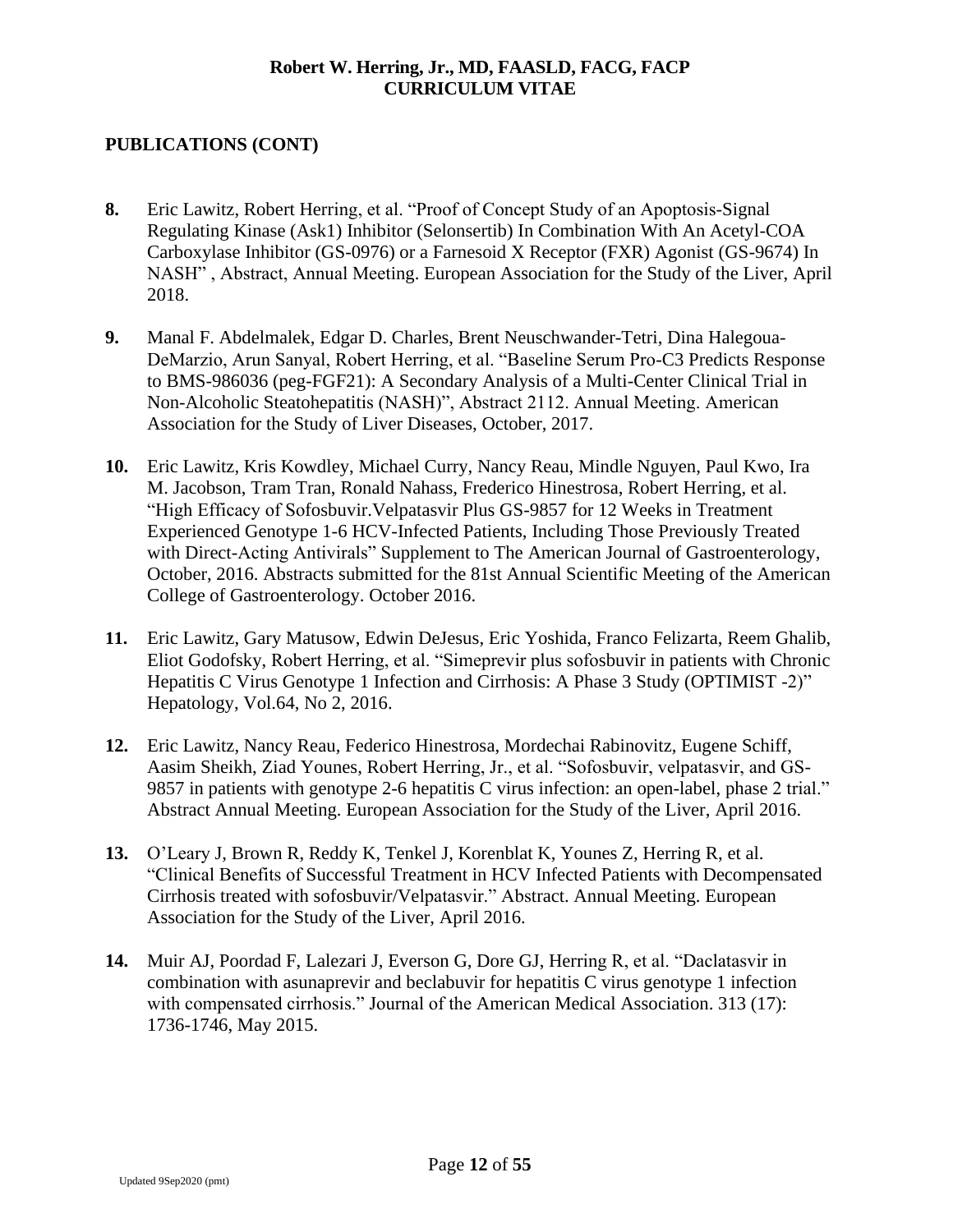- **8.** Eric Lawitz, Robert Herring, et al. "Proof of Concept Study of an Apoptosis-Signal Regulating Kinase (Ask1) Inhibitor (Selonsertib) In Combination With An Acetyl-COA Carboxylase Inhibitor (GS-0976) or a Farnesoid X Receptor (FXR) Agonist (GS-9674) In NASH" , Abstract, Annual Meeting. European Association for the Study of the Liver, April 2018.
- **9.** Manal F. Abdelmalek, Edgar D. Charles, Brent Neuschwander-Tetri, Dina Halegoua-DeMarzio, Arun Sanyal, Robert Herring, et al. "Baseline Serum Pro-C3 Predicts Response to BMS-986036 (peg-FGF21): A Secondary Analysis of a Multi-Center Clinical Trial in Non-Alcoholic Steatohepatitis (NASH)", Abstract 2112. Annual Meeting. American Association for the Study of Liver Diseases, October, 2017.
- **10.** Eric Lawitz, Kris Kowdley, Michael Curry, Nancy Reau, Mindle Nguyen, Paul Kwo, Ira M. Jacobson, Tram Tran, Ronald Nahass, Frederico Hinestrosa, Robert Herring, et al. "High Efficacy of Sofosbuvir.Velpatasvir Plus GS-9857 for 12 Weeks in Treatment Experienced Genotype 1-6 HCV-Infected Patients, Including Those Previously Treated with Direct-Acting Antivirals" Supplement to The American Journal of Gastroenterology, October, 2016. Abstracts submitted for the 81st Annual Scientific Meeting of the American College of Gastroenterology. October 2016.
- **11.** Eric Lawitz, Gary Matusow, Edwin DeJesus, Eric Yoshida, Franco Felizarta, Reem Ghalib, Eliot Godofsky, Robert Herring, et al. "Simeprevir plus sofosbuvir in patients with Chronic Hepatitis C Virus Genotype 1 Infection and Cirrhosis: A Phase 3 Study (OPTIMIST -2)" Hepatology, Vol.64, No 2, 2016.
- **12.** Eric Lawitz, Nancy Reau, Federico Hinestrosa, Mordechai Rabinovitz, Eugene Schiff, Aasim Sheikh, Ziad Younes, Robert Herring, Jr., et al. "Sofosbuvir, velpatasvir, and GS-9857 in patients with genotype 2-6 hepatitis C virus infection: an open-label, phase 2 trial." Abstract Annual Meeting. European Association for the Study of the Liver, April 2016.
- **13.** O'Leary J, Brown R, Reddy K, Tenkel J, Korenblat K, Younes Z, Herring R, et al. "Clinical Benefits of Successful Treatment in HCV Infected Patients with Decompensated Cirrhosis treated with sofosbuvir/Velpatasvir." Abstract. Annual Meeting. European Association for the Study of the Liver, April 2016.
- **14.** Muir AJ, Poordad F, Lalezari J, Everson G, Dore GJ, Herring R, et al. "Daclatasvir in combination with asunaprevir and beclabuvir for hepatitis C virus genotype 1 infection with compensated cirrhosis." Journal of the American Medical Association. 313 (17): 1736-1746, May 2015.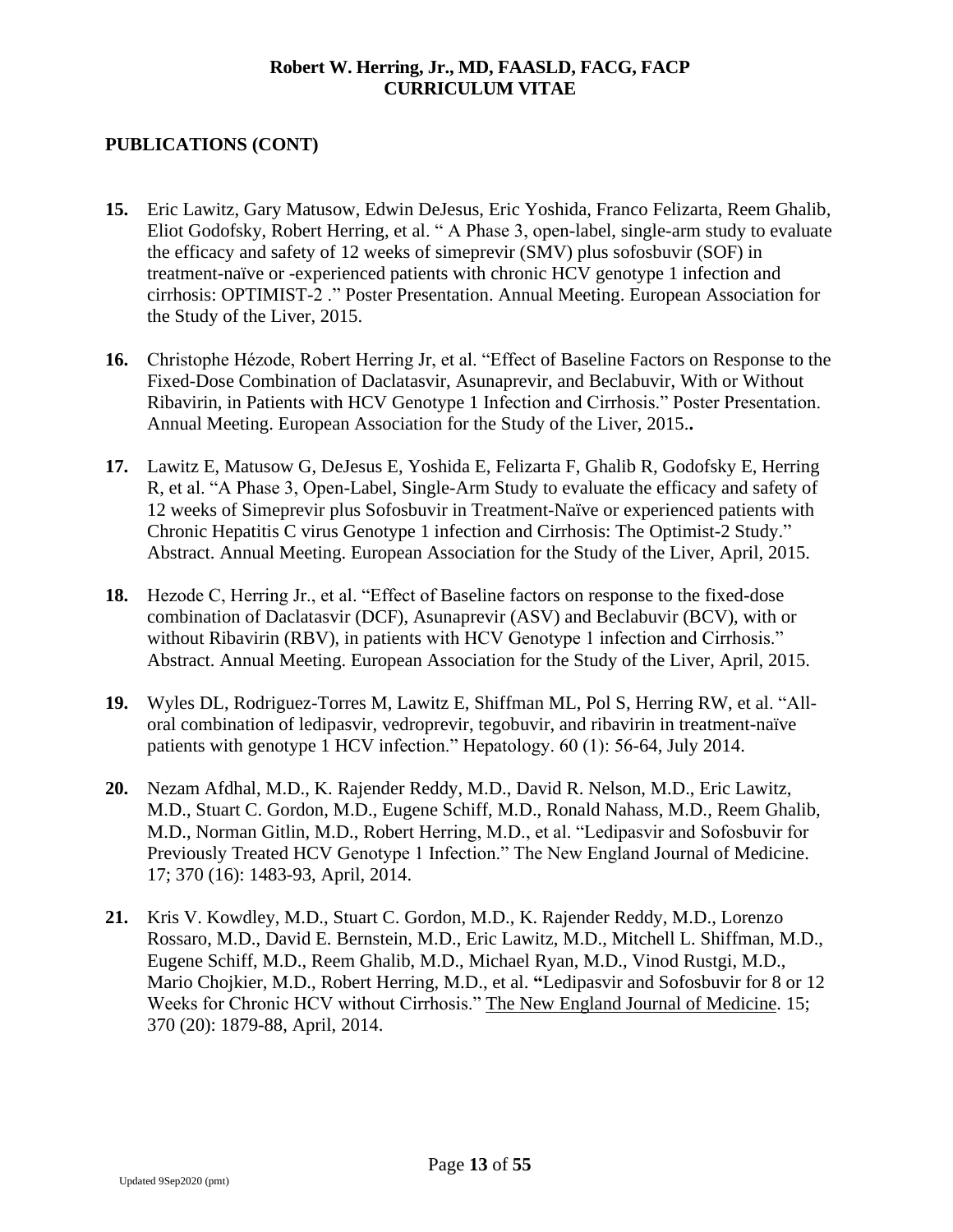- **15.** Eric Lawitz, Gary Matusow, Edwin DeJesus, Eric Yoshida, Franco Felizarta, Reem Ghalib, Eliot Godofsky, Robert Herring, et al. " A Phase 3, open-label, single-arm study to evaluate the efficacy and safety of 12 weeks of simeprevir (SMV) plus sofosbuvir (SOF) in treatment-naïve or -experienced patients with chronic HCV genotype 1 infection and cirrhosis: OPTIMIST-2 ." Poster Presentation. Annual Meeting. European Association for the Study of the Liver, 2015.
- **16.** Christophe Hézode, Robert Herring Jr, et al. "Effect of Baseline Factors on Response to the Fixed-Dose Combination of Daclatasvir, Asunaprevir, and Beclabuvir, With or Without Ribavirin, in Patients with HCV Genotype 1 Infection and Cirrhosis." Poster Presentation. Annual Meeting. European Association for the Study of the Liver, 2015.**.**
- **17.** Lawitz E, Matusow G, DeJesus E, Yoshida E, Felizarta F, Ghalib R, Godofsky E, Herring R, et al. "A Phase 3, Open-Label, Single-Arm Study to evaluate the efficacy and safety of 12 weeks of Simeprevir plus Sofosbuvir in Treatment-Naïve or experienced patients with Chronic Hepatitis C virus Genotype 1 infection and Cirrhosis: The Optimist-2 Study." Abstract. Annual Meeting. European Association for the Study of the Liver, April, 2015.
- **18.** Hezode C, Herring Jr., et al. "Effect of Baseline factors on response to the fixed-dose combination of Daclatasvir (DCF), Asunaprevir (ASV) and Beclabuvir (BCV), with or without Ribavirin (RBV), in patients with HCV Genotype 1 infection and Cirrhosis." Abstract. Annual Meeting. European Association for the Study of the Liver, April, 2015.
- **19.** Wyles DL, Rodriguez-Torres M, Lawitz E, Shiffman ML, Pol S, Herring RW, et al. "Alloral combination of ledipasvir, vedroprevir, tegobuvir, and ribavirin in treatment-naïve patients with genotype 1 HCV infection." Hepatology. 60 (1): 56-64, July 2014.
- **20.** Nezam Afdhal, M.D., K. Rajender Reddy, M.D., David R. Nelson, M.D., Eric Lawitz, M.D., Stuart C. Gordon, M.D., Eugene Schiff, M.D., Ronald Nahass, M.D., Reem Ghalib, M.D., Norman Gitlin, M.D., Robert Herring, M.D., et al. "Ledipasvir and Sofosbuvir for Previously Treated HCV Genotype 1 Infection." The New England Journal of Medicine. 17; 370 (16): 1483-93, April, 2014.
- **21.** Kris V. Kowdley, M.D., Stuart C. Gordon, M.D., K. Rajender Reddy, M.D., Lorenzo Rossaro, M.D., David E. Bernstein, M.D., Eric Lawitz, M.D., Mitchell L. Shiffman, M.D., Eugene Schiff, M.D., Reem Ghalib, M.D., Michael Ryan, M.D., Vinod Rustgi, M.D., Mario Chojkier, M.D., Robert Herring, M.D., et al. **"**Ledipasvir and Sofosbuvir for 8 or 12 Weeks for Chronic HCV without Cirrhosis." The New England Journal of Medicine. 15; 370 (20): 1879-88, April, 2014.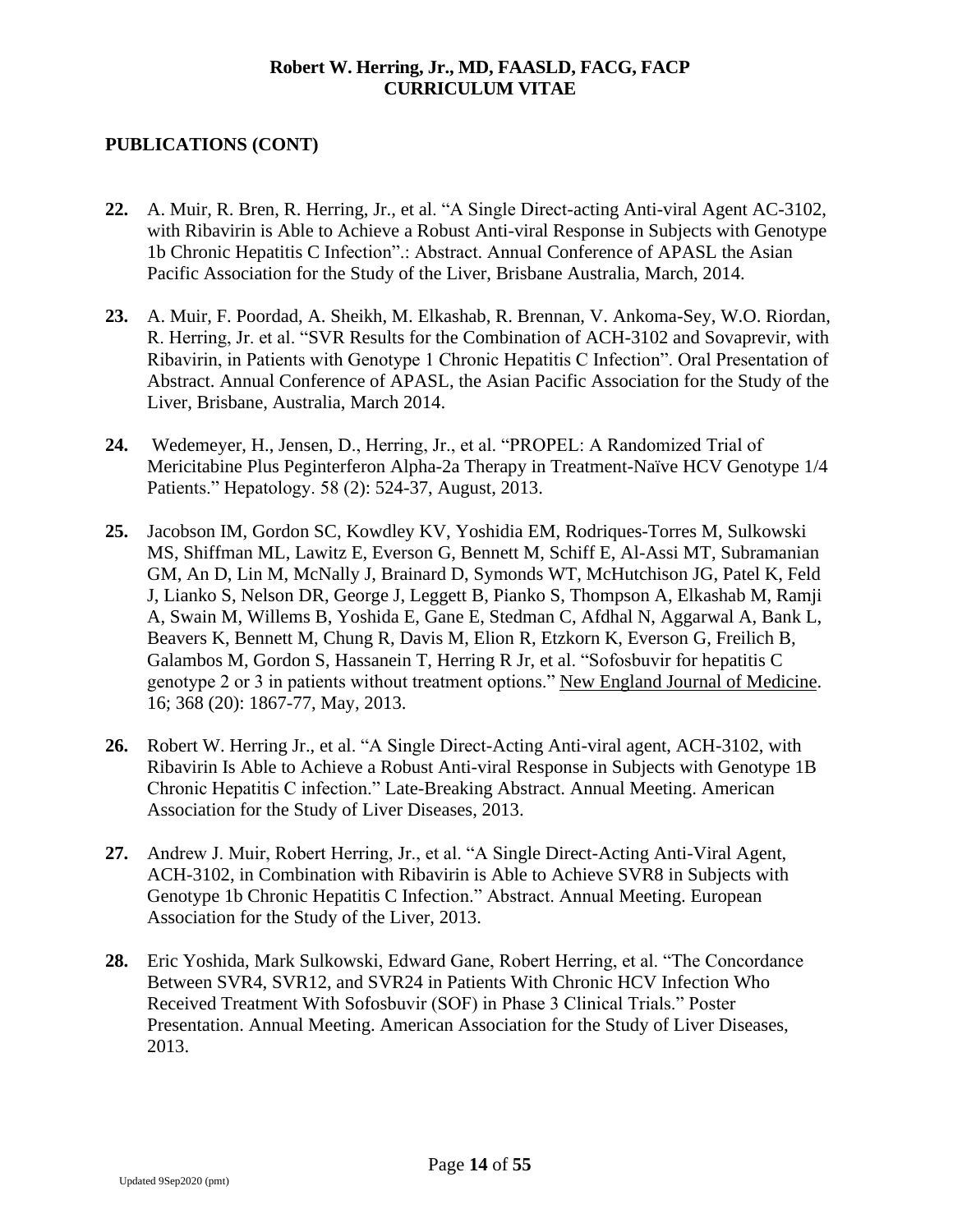- **22.** A. Muir, R. Bren, R. Herring, Jr., et al. "A Single Direct-acting Anti-viral Agent AC-3102, with Ribavirin is Able to Achieve a Robust Anti-viral Response in Subjects with Genotype 1b Chronic Hepatitis C Infection".: Abstract. Annual Conference of APASL the Asian Pacific Association for the Study of the Liver, Brisbane Australia, March, 2014.
- **23.** A. Muir, F. Poordad, A. Sheikh, M. Elkashab, R. Brennan, V. Ankoma-Sey, W.O. Riordan, R. Herring, Jr. et al. "SVR Results for the Combination of ACH-3102 and Sovaprevir, with Ribavirin, in Patients with Genotype 1 Chronic Hepatitis C Infection". Oral Presentation of Abstract. Annual Conference of APASL, the Asian Pacific Association for the Study of the Liver, Brisbane, Australia, March 2014.
- **24.** Wedemeyer, H., Jensen, D., Herring, Jr., et al. "PROPEL: A Randomized Trial of Mericitabine Plus Peginterferon Alpha-2a Therapy in Treatment-Naïve HCV Genotype 1/4 Patients." Hepatology. 58 (2): 524-37, August, 2013.
- **25.** Jacobson IM, Gordon SC, Kowdley KV, Yoshidia EM, Rodriques-Torres M, Sulkowski MS, Shiffman ML, Lawitz E, Everson G, Bennett M, Schiff E, Al-Assi MT, Subramanian GM, An D, Lin M, McNally J, Brainard D, Symonds WT, McHutchison JG, Patel K, Feld J, Lianko S, Nelson DR, George J, Leggett B, Pianko S, Thompson A, Elkashab M, Ramji A, Swain M, Willems B, Yoshida E, Gane E, Stedman C, Afdhal N, Aggarwal A, Bank L, Beavers K, Bennett M, Chung R, Davis M, Elion R, Etzkorn K, Everson G, Freilich B, Galambos M, Gordon S, Hassanein T, Herring R Jr, et al. "Sofosbuvir for hepatitis C genotype 2 or 3 in patients without treatment options." New England Journal of Medicine. 16; 368 (20): 1867-77, May, 2013.
- **26.** Robert W. Herring Jr., et al. "A Single Direct-Acting Anti-viral agent, ACH-3102, with Ribavirin Is Able to Achieve a Robust Anti-viral Response in Subjects with Genotype 1B Chronic Hepatitis C infection." Late-Breaking Abstract. Annual Meeting. American Association for the Study of Liver Diseases, 2013.
- **27.** Andrew J. Muir, Robert Herring, Jr., et al. "A Single Direct-Acting Anti-Viral Agent, ACH-3102, in Combination with Ribavirin is Able to Achieve SVR8 in Subjects with Genotype 1b Chronic Hepatitis C Infection." Abstract. Annual Meeting. European Association for the Study of the Liver, 2013.
- **28.** Eric Yoshida, Mark Sulkowski, Edward Gane, Robert Herring, et al. "The Concordance Between SVR4, SVR12, and SVR24 in Patients With Chronic HCV Infection Who Received Treatment With Sofosbuvir (SOF) in Phase 3 Clinical Trials." Poster Presentation. Annual Meeting. American Association for the Study of Liver Diseases, 2013.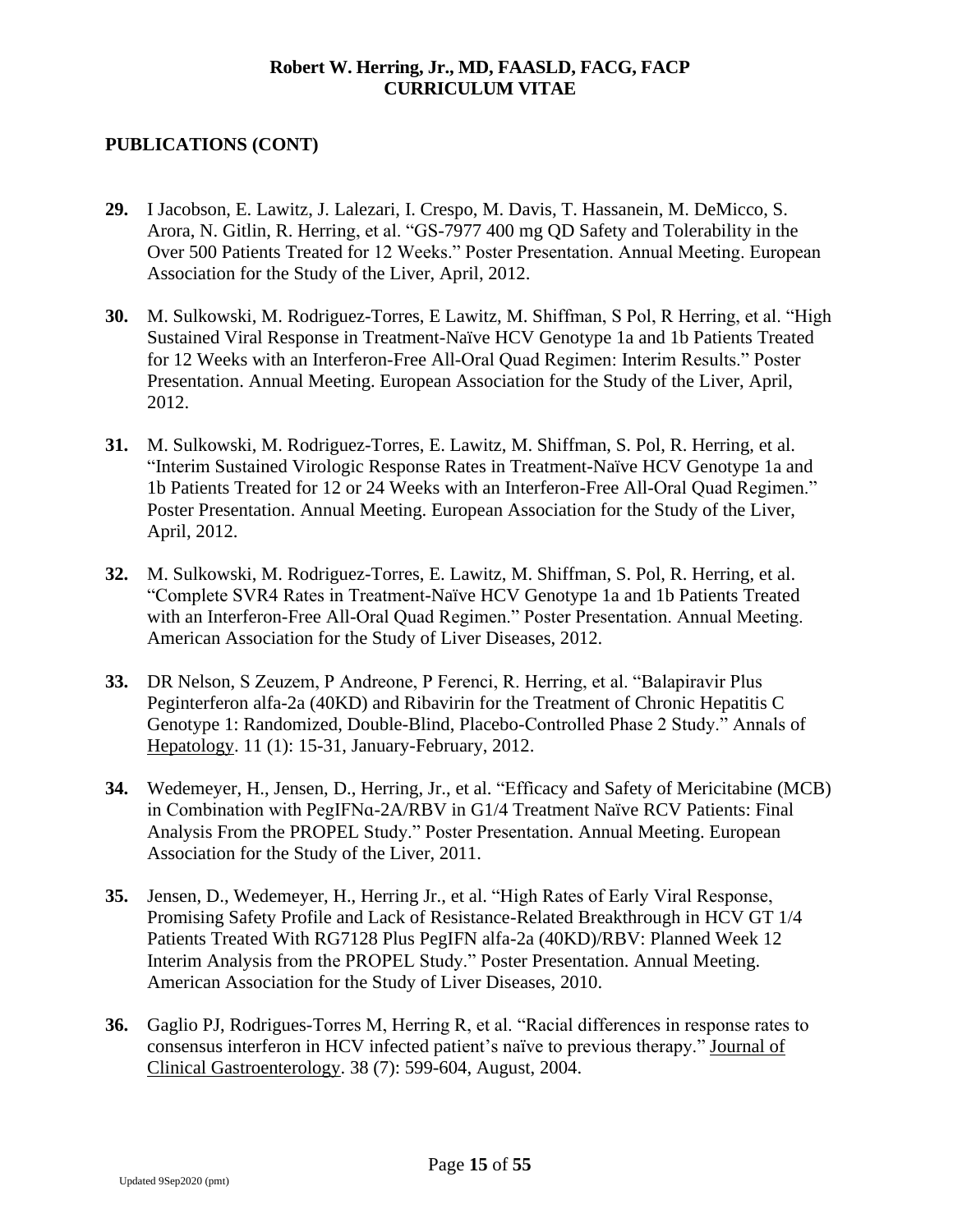- **29.** I Jacobson, E. Lawitz, J. Lalezari, I. Crespo, M. Davis, T. Hassanein, M. DeMicco, S. Arora, N. Gitlin, R. Herring, et al. "GS-7977 400 mg QD Safety and Tolerability in the Over 500 Patients Treated for 12 Weeks." Poster Presentation. Annual Meeting. European Association for the Study of the Liver, April, 2012.
- **30.** M. Sulkowski, M. Rodriguez-Torres, E Lawitz, M. Shiffman, S Pol, R Herring, et al. "High Sustained Viral Response in Treatment-Naïve HCV Genotype 1a and 1b Patients Treated for 12 Weeks with an Interferon-Free All-Oral Quad Regimen: Interim Results." Poster Presentation. Annual Meeting. European Association for the Study of the Liver, April, 2012.
- **31.** M. Sulkowski, M. Rodriguez-Torres, E. Lawitz, M. Shiffman, S. Pol, R. Herring, et al. "Interim Sustained Virologic Response Rates in Treatment-Naïve HCV Genotype 1a and 1b Patients Treated for 12 or 24 Weeks with an Interferon-Free All-Oral Quad Regimen." Poster Presentation. Annual Meeting. European Association for the Study of the Liver, April, 2012.
- **32.** M. Sulkowski, M. Rodriguez-Torres, E. Lawitz, M. Shiffman, S. Pol, R. Herring, et al. "Complete SVR4 Rates in Treatment-Naïve HCV Genotype 1a and 1b Patients Treated with an Interferon-Free All-Oral Quad Regimen." Poster Presentation. Annual Meeting. American Association for the Study of Liver Diseases, 2012.
- **33.** DR Nelson, S Zeuzem, P Andreone, P Ferenci, R. Herring, et al. "Balapiravir Plus Peginterferon alfa-2a (40KD) and Ribavirin for the Treatment of Chronic Hepatitis C Genotype 1: Randomized, Double-Blind, Placebo-Controlled Phase 2 Study." Annals of Hepatology. 11 (1): 15-31, January-February, 2012.
- **34.** Wedemeyer, H., Jensen, D., Herring, Jr., et al. "Efficacy and Safety of Mericitabine (MCB) in Combination with PegIFNɑ-2A/RBV in G1/4 Treatment Naïve RCV Patients: Final Analysis From the PROPEL Study." Poster Presentation. Annual Meeting. European Association for the Study of the Liver, 2011.
- **35.** Jensen, D., Wedemeyer, H., Herring Jr., et al. "High Rates of Early Viral Response, Promising Safety Profile and Lack of Resistance-Related Breakthrough in HCV GT 1/4 Patients Treated With RG7128 Plus PegIFN alfa-2a (40KD)/RBV: Planned Week 12 Interim Analysis from the PROPEL Study." Poster Presentation. Annual Meeting. American Association for the Study of Liver Diseases, 2010.
- **36.** Gaglio PJ, Rodrigues-Torres M, Herring R, et al. "Racial differences in response rates to consensus interferon in HCV infected patient's naïve to previous therapy." Journal of Clinical Gastroenterology. 38 (7): 599-604, August, 2004.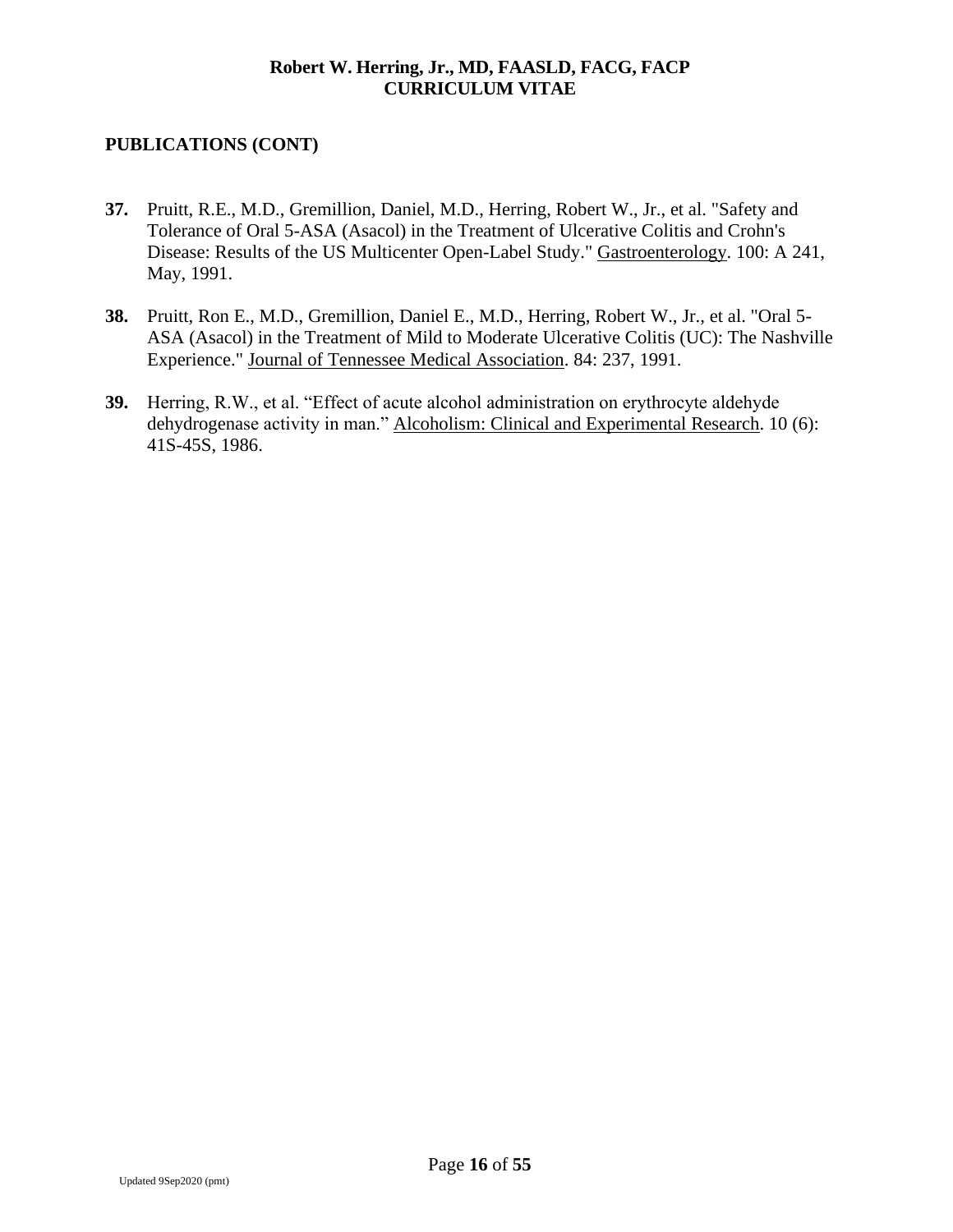- **37.** Pruitt, R.E., M.D., Gremillion, Daniel, M.D., Herring, Robert W., Jr., et al. "Safety and Tolerance of Oral 5-ASA (Asacol) in the Treatment of Ulcerative Colitis and Crohn's Disease: Results of the US Multicenter Open-Label Study." Gastroenterology. 100: A 241, May, 1991.
- **38.** Pruitt, Ron E., M.D., Gremillion, Daniel E., M.D., Herring, Robert W., Jr., et al. "Oral 5- ASA (Asacol) in the Treatment of Mild to Moderate Ulcerative Colitis (UC): The Nashville Experience." Journal of Tennessee Medical Association. 84: 237, 1991.
- **39.** Herring, R.W., et al. "Effect of acute alcohol administration on erythrocyte aldehyde dehydrogenase activity in man." Alcoholism: Clinical and Experimental Research. 10 (6): 41S-45S, 1986.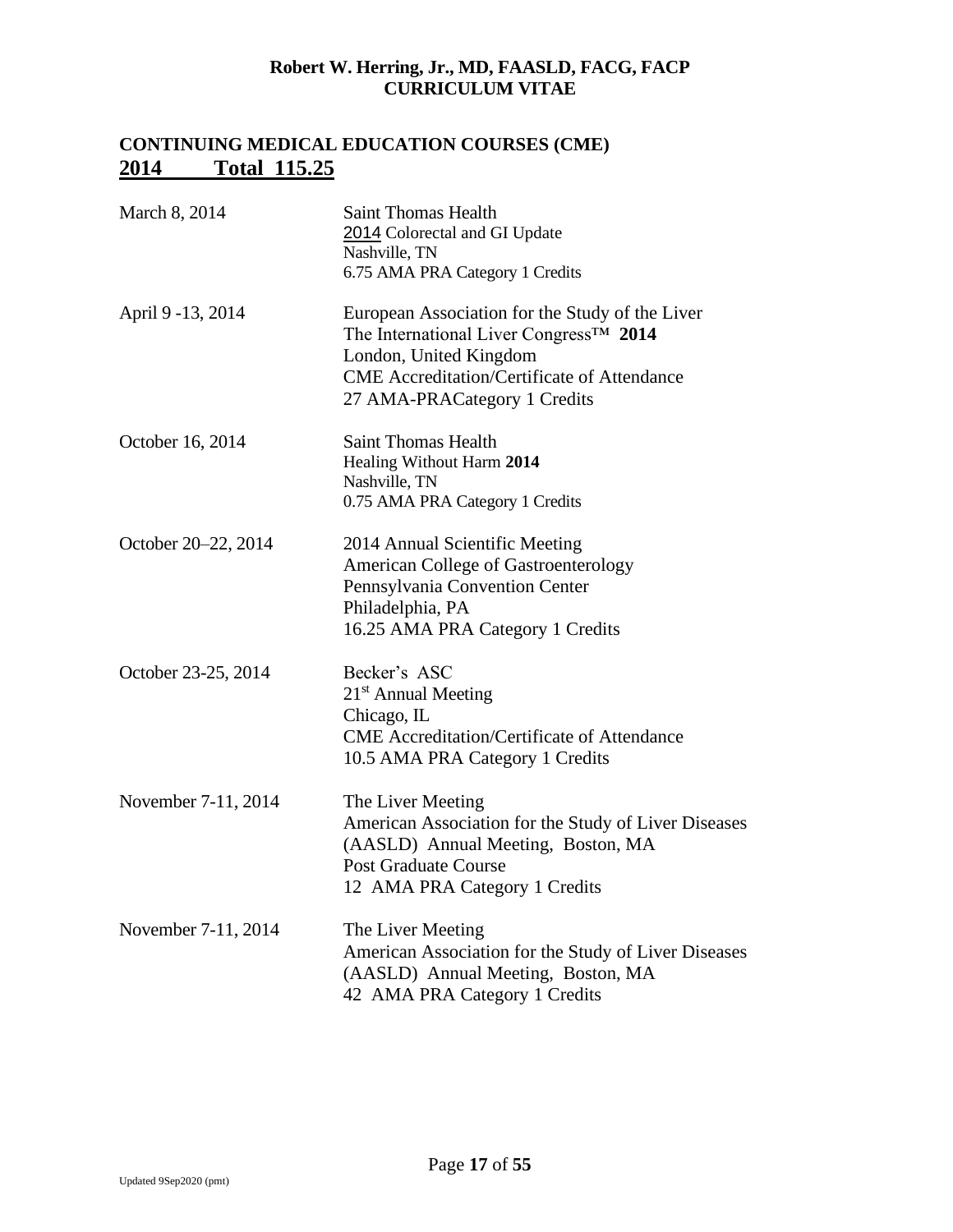# **CONTINUING MEDICAL EDUCATION COURSES (CME) 2014 Total 115.25**

| March 8, 2014       | <b>Saint Thomas Health</b><br>2014 Colorectal and GI Update<br>Nashville, TN<br>6.75 AMA PRA Category 1 Credits                                                                                                        |
|---------------------|------------------------------------------------------------------------------------------------------------------------------------------------------------------------------------------------------------------------|
| April 9 - 13, 2014  | European Association for the Study of the Liver<br>The International Liver Congress <sup>TM</sup> 2014<br>London, United Kingdom<br><b>CME</b> Accreditation/Certificate of Attendance<br>27 AMA-PRACategory 1 Credits |
| October 16, 2014    | <b>Saint Thomas Health</b><br>Healing Without Harm 2014<br>Nashville, TN<br>0.75 AMA PRA Category 1 Credits                                                                                                            |
| October 20-22, 2014 | 2014 Annual Scientific Meeting<br><b>American College of Gastroenterology</b><br>Pennsylvania Convention Center<br>Philadelphia, PA<br>16.25 AMA PRA Category 1 Credits                                                |
| October 23-25, 2014 | Becker's ASC<br>21 <sup>st</sup> Annual Meeting<br>Chicago, IL<br><b>CME</b> Accreditation/Certificate of Attendance<br>10.5 AMA PRA Category 1 Credits                                                                |
| November 7-11, 2014 | The Liver Meeting<br>American Association for the Study of Liver Diseases<br>(AASLD) Annual Meeting, Boston, MA<br><b>Post Graduate Course</b><br>12 AMA PRA Category 1 Credits                                        |
| November 7-11, 2014 | The Liver Meeting<br>American Association for the Study of Liver Diseases<br>(AASLD) Annual Meeting, Boston, MA<br>42 AMA PRA Category 1 Credits                                                                       |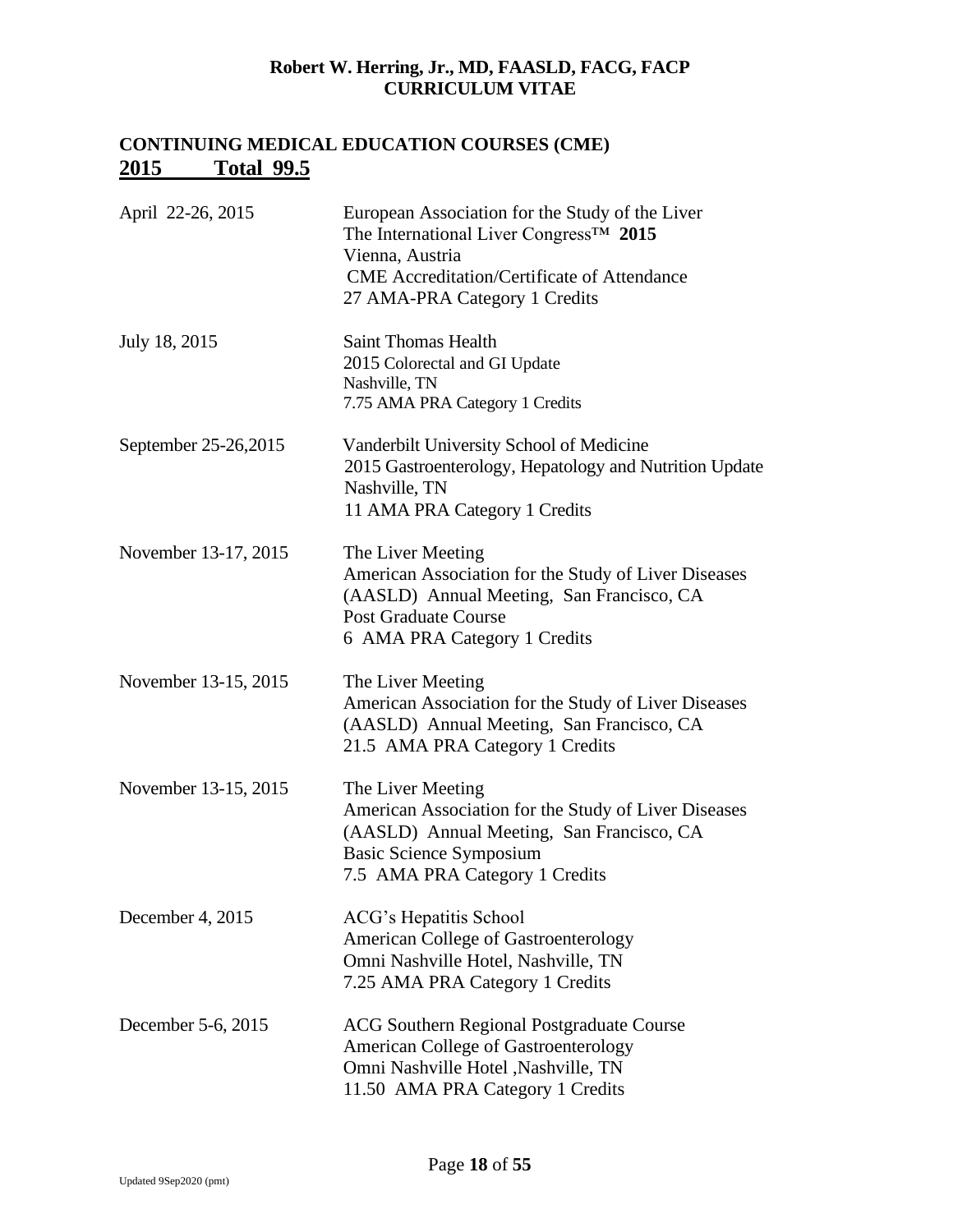# **CONTINUING MEDICAL EDUCATION COURSES (CME) 2015 Total 99.5**

| April 22-26, 2015    | European Association for the Study of the Liver<br>The International Liver Congress <sup>TM</sup> 2015<br>Vienna, Austria<br><b>CME</b> Accreditation/Certificate of Attendance<br>27 AMA-PRA Category 1 Credits |
|----------------------|------------------------------------------------------------------------------------------------------------------------------------------------------------------------------------------------------------------|
| July 18, 2015        | <b>Saint Thomas Health</b><br>2015 Colorectal and GI Update<br>Nashville, TN<br>7.75 AMA PRA Category 1 Credits                                                                                                  |
| September 25-26,2015 | Vanderbilt University School of Medicine<br>2015 Gastroenterology, Hepatology and Nutrition Update<br>Nashville, TN<br>11 AMA PRA Category 1 Credits                                                             |
| November 13-17, 2015 | The Liver Meeting<br>American Association for the Study of Liver Diseases<br>(AASLD) Annual Meeting, San Francisco, CA<br><b>Post Graduate Course</b><br>6 AMA PRA Category 1 Credits                            |
| November 13-15, 2015 | The Liver Meeting<br>American Association for the Study of Liver Diseases<br>(AASLD) Annual Meeting, San Francisco, CA<br>21.5 AMA PRA Category 1 Credits                                                        |
| November 13-15, 2015 | The Liver Meeting<br>American Association for the Study of Liver Diseases<br>(AASLD) Annual Meeting, San Francisco, CA<br><b>Basic Science Symposium</b><br>7.5 AMA PRA Category 1 Credits                       |
| December 4, 2015     | ACG's Hepatitis School<br><b>American College of Gastroenterology</b><br>Omni Nashville Hotel, Nashville, TN<br>7.25 AMA PRA Category 1 Credits                                                                  |
| December 5-6, 2015   | <b>ACG Southern Regional Postgraduate Course</b><br>American College of Gastroenterology<br>Omni Nashville Hotel , Nashville, TN<br>11.50 AMA PRA Category 1 Credits                                             |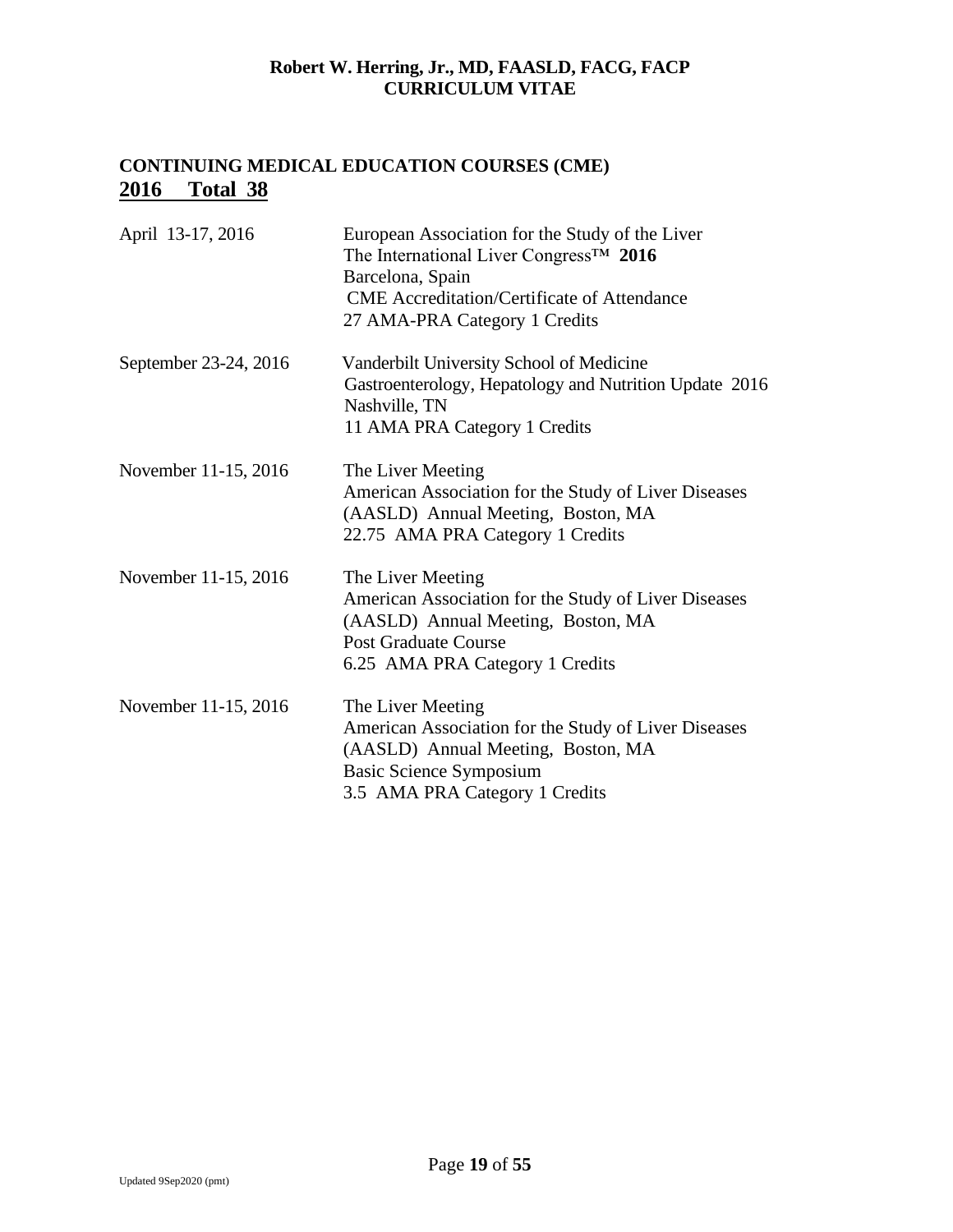# **CONTINUING MEDICAL EDUCATION COURSES (CME) 2016 Total 38**

| April 13-17, 2016     | European Association for the Study of the Liver<br>The International Liver Congress <sup>TM</sup> 2016<br>Barcelona, Spain<br><b>CME</b> Accreditation/Certificate of Attendance<br>27 AMA-PRA Category 1 Credits |
|-----------------------|-------------------------------------------------------------------------------------------------------------------------------------------------------------------------------------------------------------------|
| September 23-24, 2016 | Vanderbilt University School of Medicine<br>Gastroenterology, Hepatology and Nutrition Update 2016<br>Nashville, TN<br>11 AMA PRA Category 1 Credits                                                              |
| November 11-15, 2016  | The Liver Meeting<br>American Association for the Study of Liver Diseases<br>(AASLD) Annual Meeting, Boston, MA<br>22.75 AMA PRA Category 1 Credits                                                               |
| November 11-15, 2016  | The Liver Meeting<br>American Association for the Study of Liver Diseases<br>(AASLD) Annual Meeting, Boston, MA<br><b>Post Graduate Course</b><br>6.25 AMA PRA Category 1 Credits                                 |
| November 11-15, 2016  | The Liver Meeting<br>American Association for the Study of Liver Diseases<br>(AASLD) Annual Meeting, Boston, MA<br><b>Basic Science Symposium</b><br>3.5 AMA PRA Category 1 Credits                               |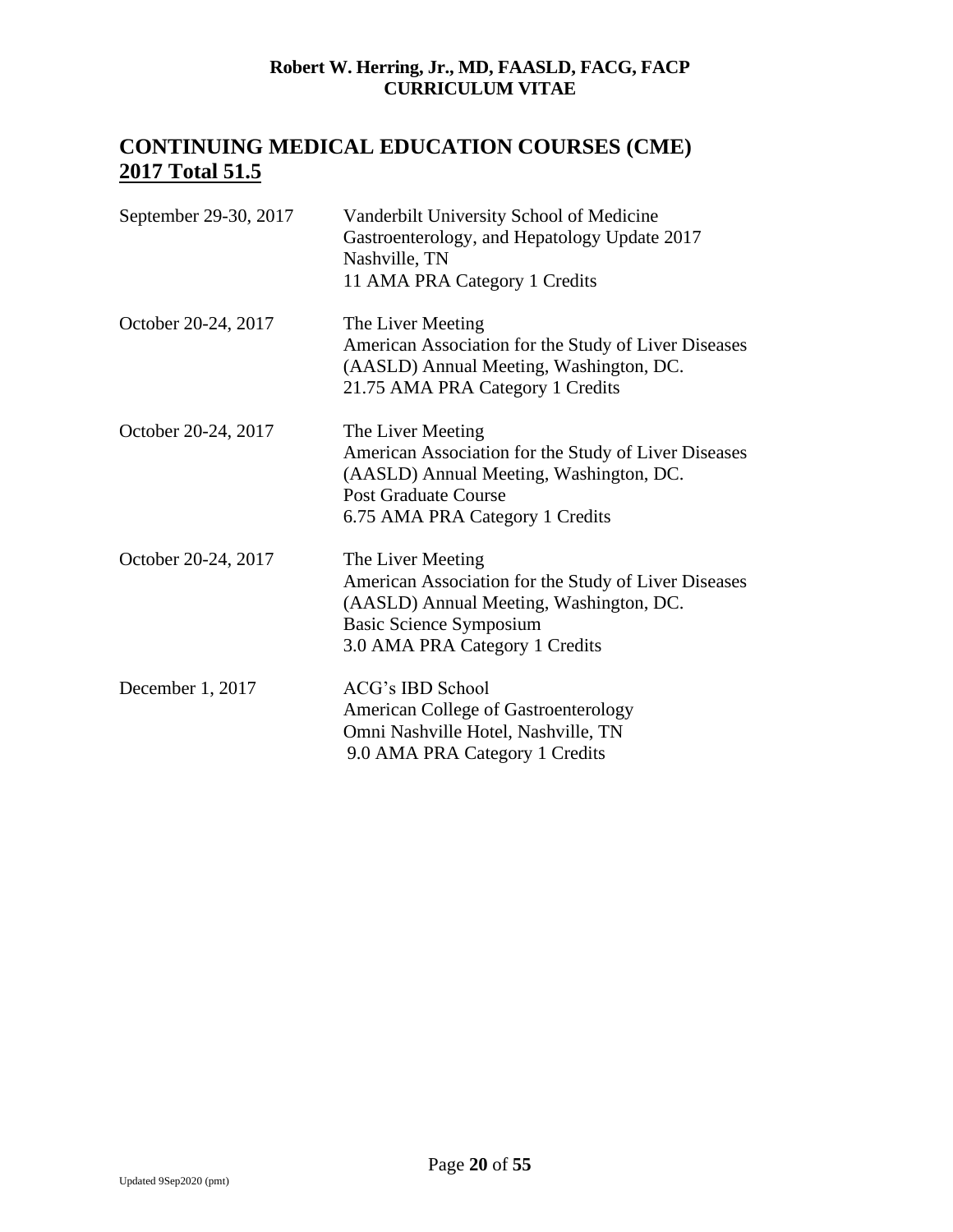# **CONTINUING MEDICAL EDUCATION COURSES (CME) 2017 Total 51.5**

| September 29-30, 2017 | Vanderbilt University School of Medicine<br>Gastroenterology, and Hepatology Update 2017<br>Nashville, TN<br>11 AMA PRA Category 1 Credits                                               |
|-----------------------|------------------------------------------------------------------------------------------------------------------------------------------------------------------------------------------|
| October 20-24, 2017   | The Liver Meeting<br>American Association for the Study of Liver Diseases<br>(AASLD) Annual Meeting, Washington, DC.<br>21.75 AMA PRA Category 1 Credits                                 |
| October 20-24, 2017   | The Liver Meeting<br>American Association for the Study of Liver Diseases<br>(AASLD) Annual Meeting, Washington, DC.<br><b>Post Graduate Course</b><br>6.75 AMA PRA Category 1 Credits   |
| October 20-24, 2017   | The Liver Meeting<br>American Association for the Study of Liver Diseases<br>(AASLD) Annual Meeting, Washington, DC.<br><b>Basic Science Symposium</b><br>3.0 AMA PRA Category 1 Credits |
| December 1, 2017      | ACG's IBD School<br><b>American College of Gastroenterology</b><br>Omni Nashville Hotel, Nashville, TN<br>9.0 AMA PRA Category 1 Credits                                                 |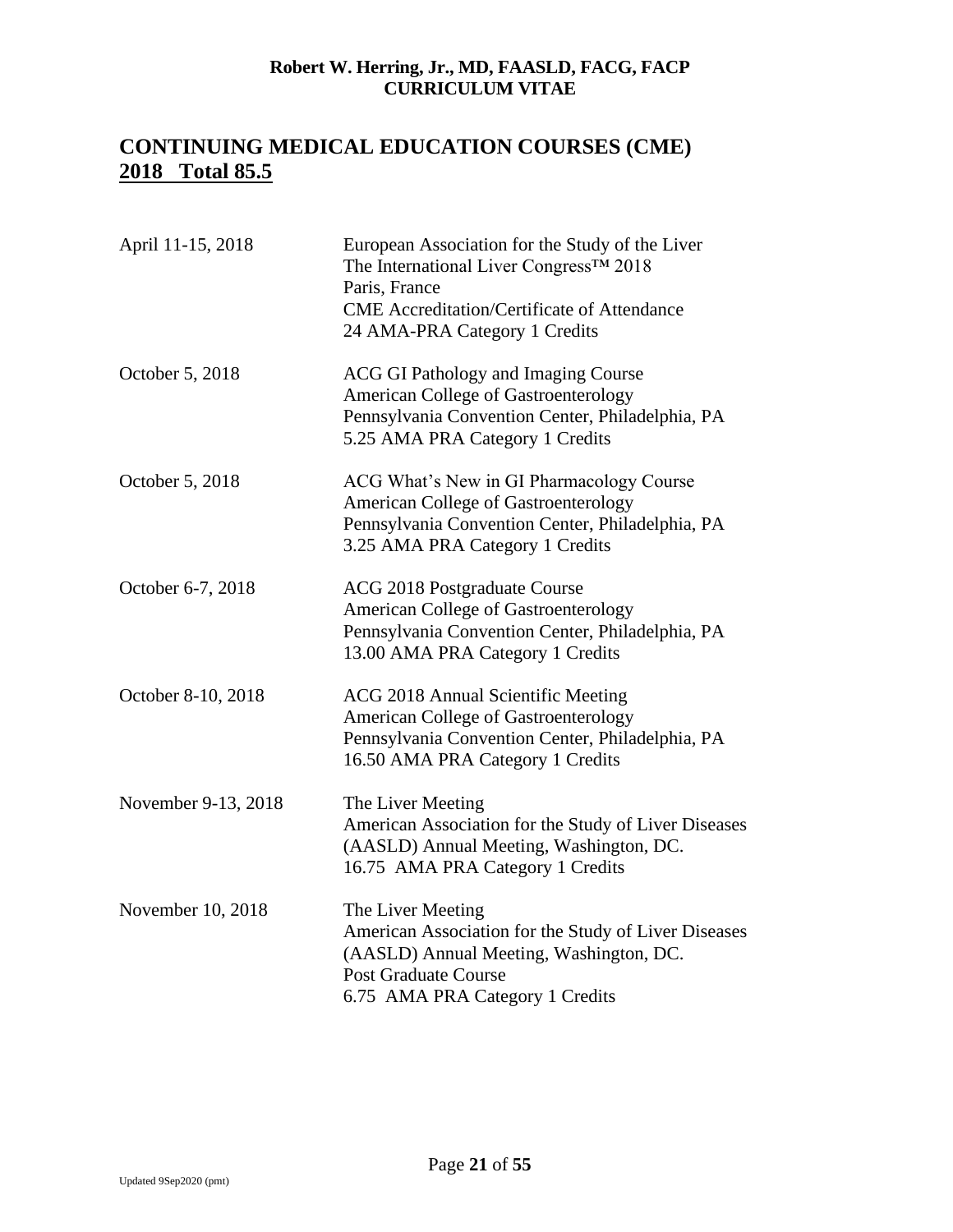# **CONTINUING MEDICAL EDUCATION COURSES (CME) 2018 Total 85.5**

| April 11-15, 2018   | European Association for the Study of the Liver<br>The International Liver Congress™ 2018<br>Paris, France<br><b>CME</b> Accreditation/Certificate of Attendance<br>24 AMA-PRA Category 1 Credits |
|---------------------|---------------------------------------------------------------------------------------------------------------------------------------------------------------------------------------------------|
| October 5, 2018     | <b>ACG GI Pathology and Imaging Course</b><br><b>American College of Gastroenterology</b><br>Pennsylvania Convention Center, Philadelphia, PA<br>5.25 AMA PRA Category 1 Credits                  |
| October 5, 2018     | ACG What's New in GI Pharmacology Course<br>American College of Gastroenterology<br>Pennsylvania Convention Center, Philadelphia, PA<br>3.25 AMA PRA Category 1 Credits                           |
| October 6-7, 2018   | ACG 2018 Postgraduate Course<br><b>American College of Gastroenterology</b><br>Pennsylvania Convention Center, Philadelphia, PA<br>13.00 AMA PRA Category 1 Credits                               |
| October 8-10, 2018  | ACG 2018 Annual Scientific Meeting<br><b>American College of Gastroenterology</b><br>Pennsylvania Convention Center, Philadelphia, PA<br>16.50 AMA PRA Category 1 Credits                         |
| November 9-13, 2018 | The Liver Meeting<br>American Association for the Study of Liver Diseases<br>(AASLD) Annual Meeting, Washington, DC.<br>16.75 AMA PRA Category 1 Credits                                          |
| November 10, 2018   | The Liver Meeting<br>American Association for the Study of Liver Diseases<br>(AASLD) Annual Meeting, Washington, DC.<br><b>Post Graduate Course</b><br>6.75 AMA PRA Category 1 Credits            |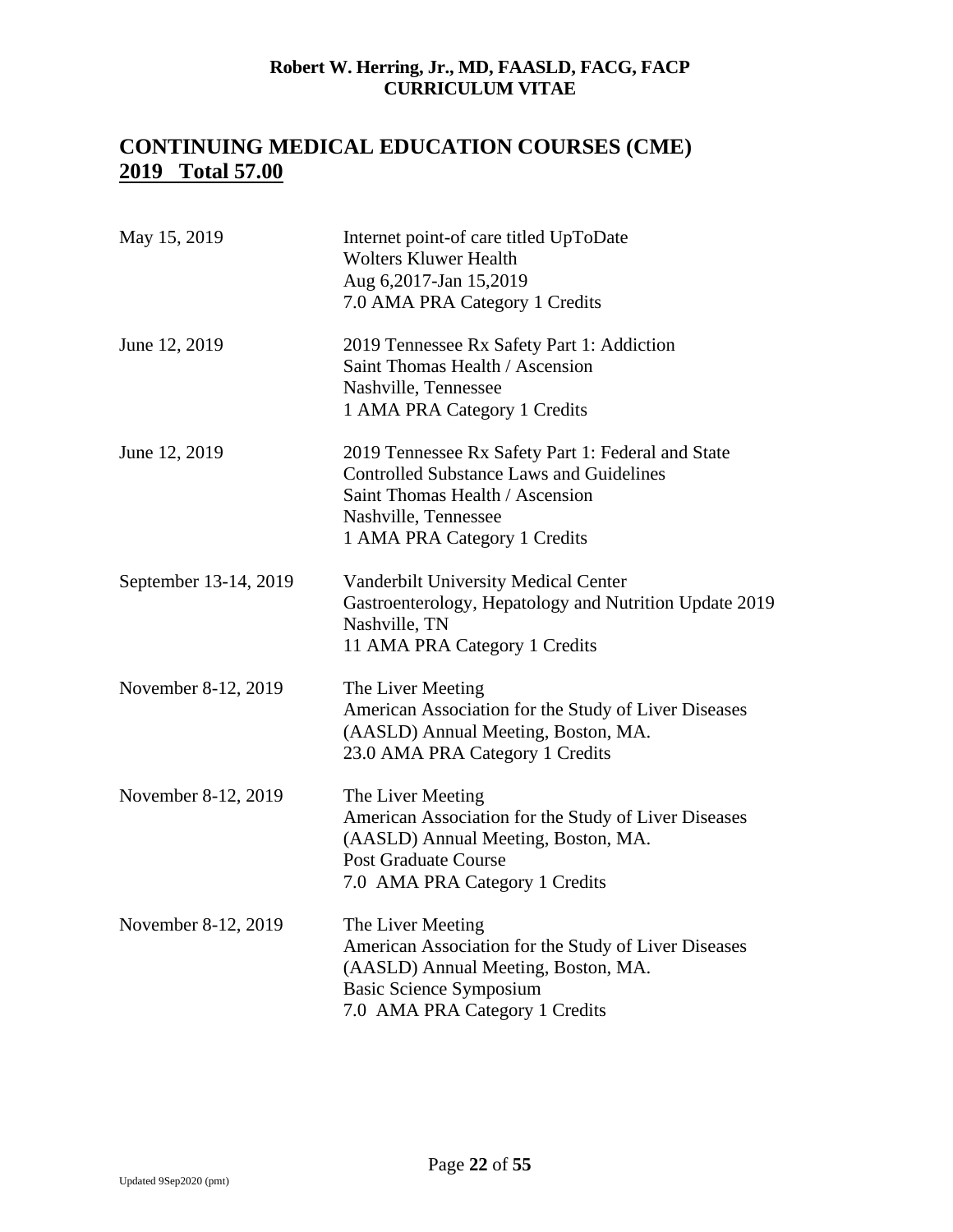# **CONTINUING MEDICAL EDUCATION COURSES (CME) 2019 Total 57.00**

| May 15, 2019          | Internet point-of care titled UpToDate<br><b>Wolters Kluwer Health</b><br>Aug 6,2017-Jan 15,2019<br>7.0 AMA PRA Category 1 Credits                                                               |
|-----------------------|--------------------------------------------------------------------------------------------------------------------------------------------------------------------------------------------------|
| June 12, 2019         | 2019 Tennessee Rx Safety Part 1: Addiction<br>Saint Thomas Health / Ascension<br>Nashville, Tennessee<br>1 AMA PRA Category 1 Credits                                                            |
| June 12, 2019         | 2019 Tennessee Rx Safety Part 1: Federal and State<br><b>Controlled Substance Laws and Guidelines</b><br>Saint Thomas Health / Ascension<br>Nashville, Tennessee<br>1 AMA PRA Category 1 Credits |
| September 13-14, 2019 | Vanderbilt University Medical Center<br>Gastroenterology, Hepatology and Nutrition Update 2019<br>Nashville, TN<br>11 AMA PRA Category 1 Credits                                                 |
| November 8-12, 2019   | The Liver Meeting<br>American Association for the Study of Liver Diseases<br>(AASLD) Annual Meeting, Boston, MA.<br>23.0 AMA PRA Category 1 Credits                                              |
| November 8-12, 2019   | The Liver Meeting<br>American Association for the Study of Liver Diseases<br>(AASLD) Annual Meeting, Boston, MA.<br><b>Post Graduate Course</b><br>7.0 AMA PRA Category 1 Credits                |
| November 8-12, 2019   | The Liver Meeting<br>American Association for the Study of Liver Diseases<br>(AASLD) Annual Meeting, Boston, MA.<br><b>Basic Science Symposium</b><br>7.0 AMA PRA Category 1 Credits             |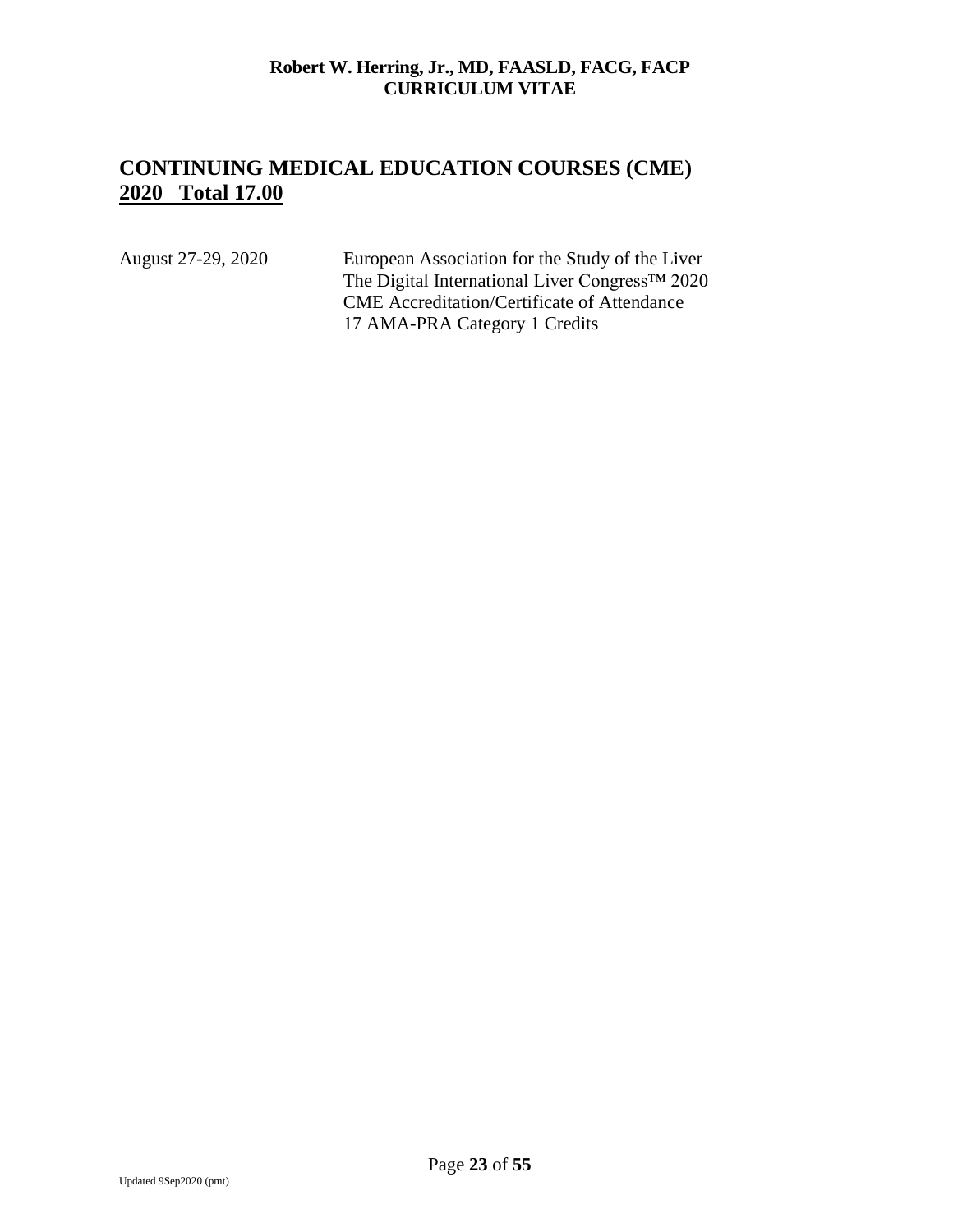# **CONTINUING MEDICAL EDUCATION COURSES (CME) 2020 Total 17.00**

August 27-29, 2020 European Association for the Study of the Liver The Digital International Liver Congress™ 2020 CME Accreditation/Certificate of Attendance 17 AMA-PRA Category 1 Credits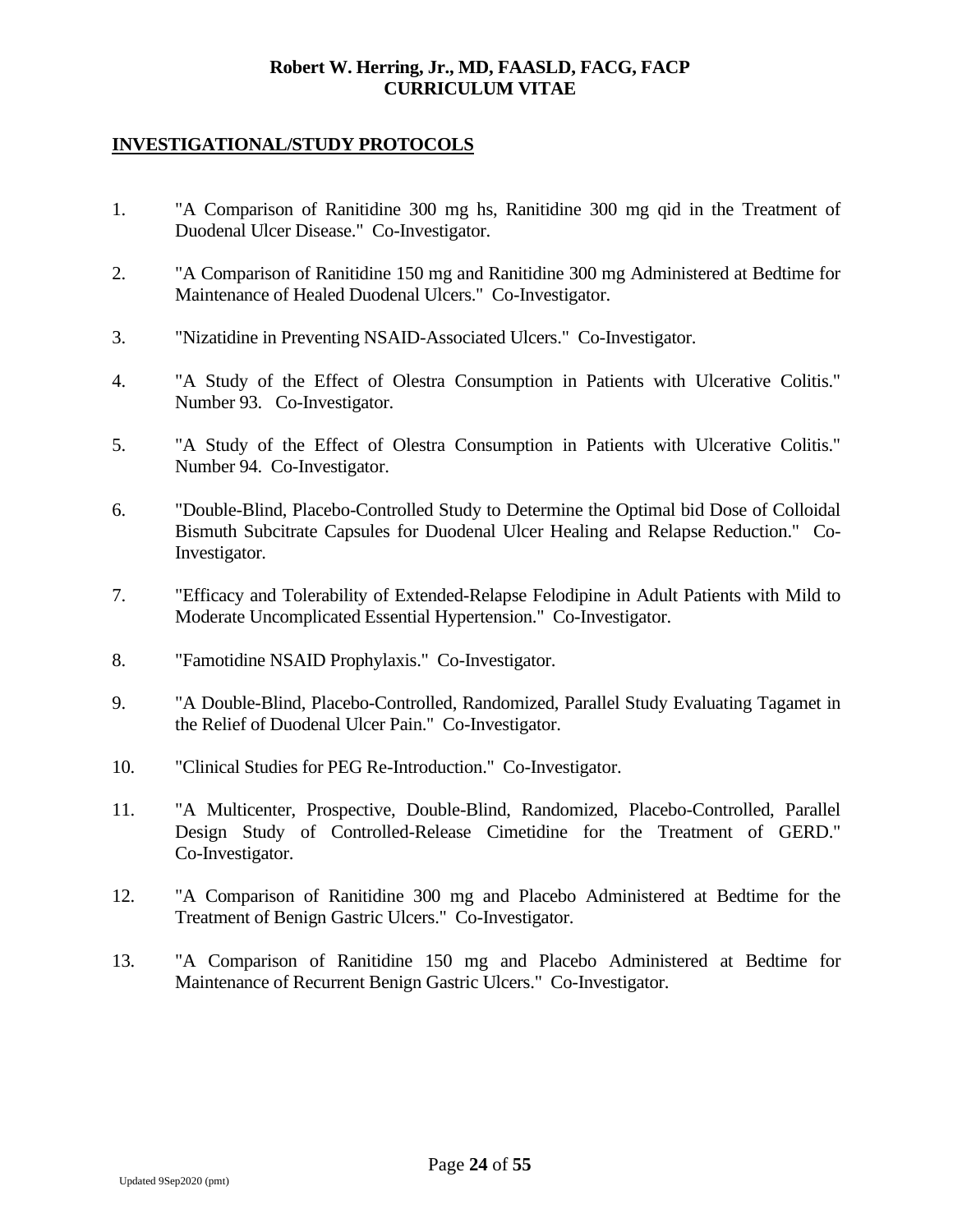## **INVESTIGATIONAL/STUDY PROTOCOLS**

- 1. "A Comparison of Ranitidine 300 mg hs, Ranitidine 300 mg qid in the Treatment of Duodenal Ulcer Disease." Co-Investigator.
- 2. "A Comparison of Ranitidine 150 mg and Ranitidine 300 mg Administered at Bedtime for Maintenance of Healed Duodenal Ulcers." Co-Investigator.
- 3. "Nizatidine in Preventing NSAID-Associated Ulcers." Co-Investigator.
- 4. "A Study of the Effect of Olestra Consumption in Patients with Ulcerative Colitis." Number 93. Co-Investigator.
- 5. "A Study of the Effect of Olestra Consumption in Patients with Ulcerative Colitis." Number 94. Co-Investigator.
- 6. "Double-Blind, Placebo-Controlled Study to Determine the Optimal bid Dose of Colloidal Bismuth Subcitrate Capsules for Duodenal Ulcer Healing and Relapse Reduction." Co-Investigator.
- 7. "Efficacy and Tolerability of Extended-Relapse Felodipine in Adult Patients with Mild to Moderate Uncomplicated Essential Hypertension." Co-Investigator.
- 8. "Famotidine NSAID Prophylaxis." Co-Investigator.
- 9. "A Double-Blind, Placebo-Controlled, Randomized, Parallel Study Evaluating Tagamet in the Relief of Duodenal Ulcer Pain." Co-Investigator.
- 10. "Clinical Studies for PEG Re-Introduction." Co-Investigator.
- 11. "A Multicenter, Prospective, Double-Blind, Randomized, Placebo-Controlled, Parallel Design Study of Controlled-Release Cimetidine for the Treatment of GERD." Co-Investigator.
- 12. "A Comparison of Ranitidine 300 mg and Placebo Administered at Bedtime for the Treatment of Benign Gastric Ulcers." Co-Investigator.
- 13. "A Comparison of Ranitidine 150 mg and Placebo Administered at Bedtime for Maintenance of Recurrent Benign Gastric Ulcers." Co-Investigator.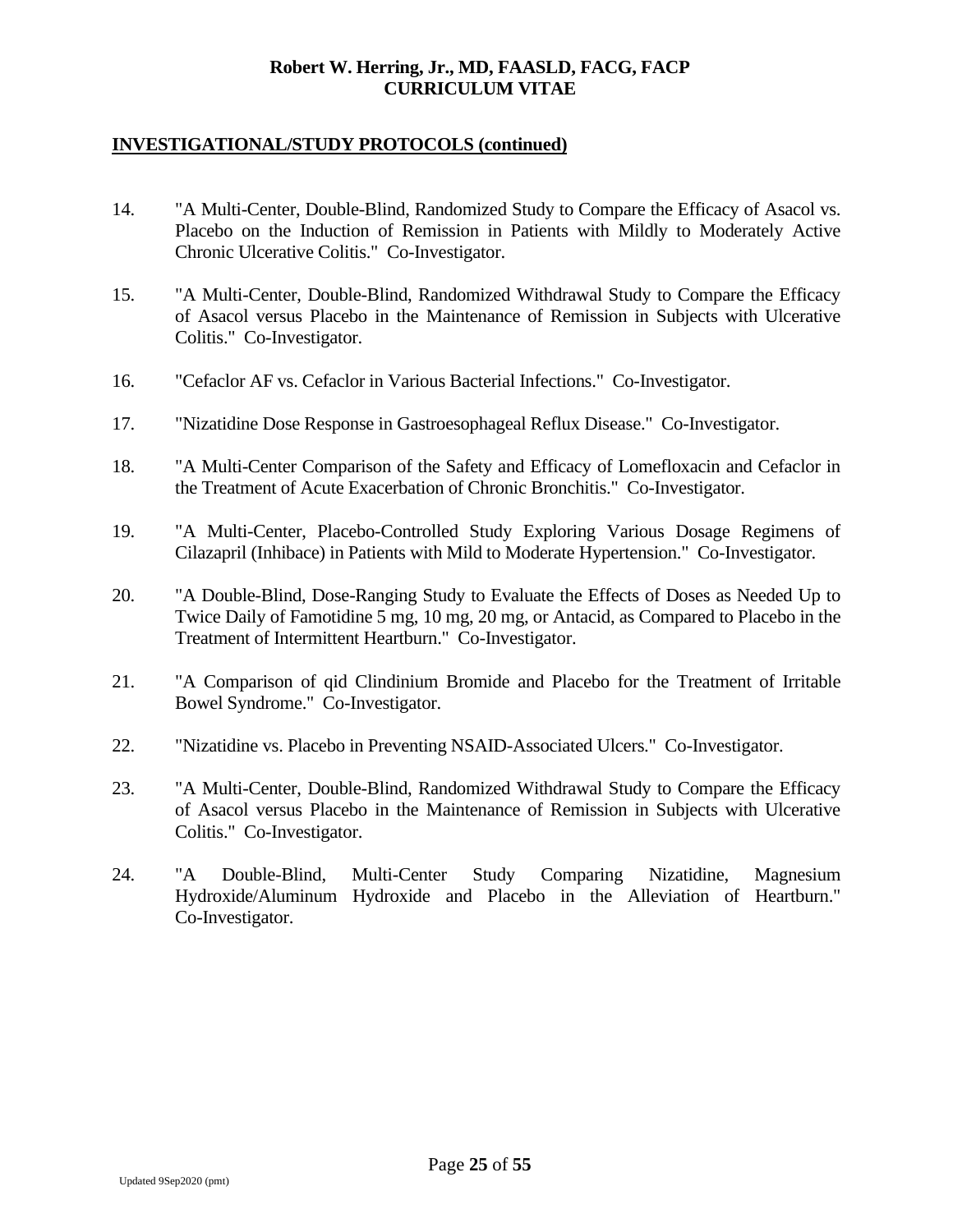- 14. "A Multi-Center, Double-Blind, Randomized Study to Compare the Efficacy of Asacol vs. Placebo on the Induction of Remission in Patients with Mildly to Moderately Active Chronic Ulcerative Colitis." Co-Investigator.
- 15. "A Multi-Center, Double-Blind, Randomized Withdrawal Study to Compare the Efficacy of Asacol versus Placebo in the Maintenance of Remission in Subjects with Ulcerative Colitis." Co-Investigator.
- 16. "Cefaclor AF vs. Cefaclor in Various Bacterial Infections." Co-Investigator.
- 17. "Nizatidine Dose Response in Gastroesophageal Reflux Disease." Co-Investigator.
- 18. "A Multi-Center Comparison of the Safety and Efficacy of Lomefloxacin and Cefaclor in the Treatment of Acute Exacerbation of Chronic Bronchitis." Co-Investigator.
- 19. "A Multi-Center, Placebo-Controlled Study Exploring Various Dosage Regimens of Cilazapril (Inhibace) in Patients with Mild to Moderate Hypertension." Co-Investigator.
- 20. "A Double-Blind, Dose-Ranging Study to Evaluate the Effects of Doses as Needed Up to Twice Daily of Famotidine 5 mg, 10 mg, 20 mg, or Antacid, as Compared to Placebo in the Treatment of Intermittent Heartburn." Co-Investigator.
- 21. "A Comparison of qid Clindinium Bromide and Placebo for the Treatment of Irritable Bowel Syndrome." Co-Investigator.
- 22. "Nizatidine vs. Placebo in Preventing NSAID-Associated Ulcers." Co-Investigator.
- 23. "A Multi-Center, Double-Blind, Randomized Withdrawal Study to Compare the Efficacy of Asacol versus Placebo in the Maintenance of Remission in Subjects with Ulcerative Colitis." Co-Investigator.
- 24. "A Double-Blind, Multi-Center Study Comparing Nizatidine, Magnesium Hydroxide/Aluminum Hydroxide and Placebo in the Alleviation of Heartburn." Co-Investigator.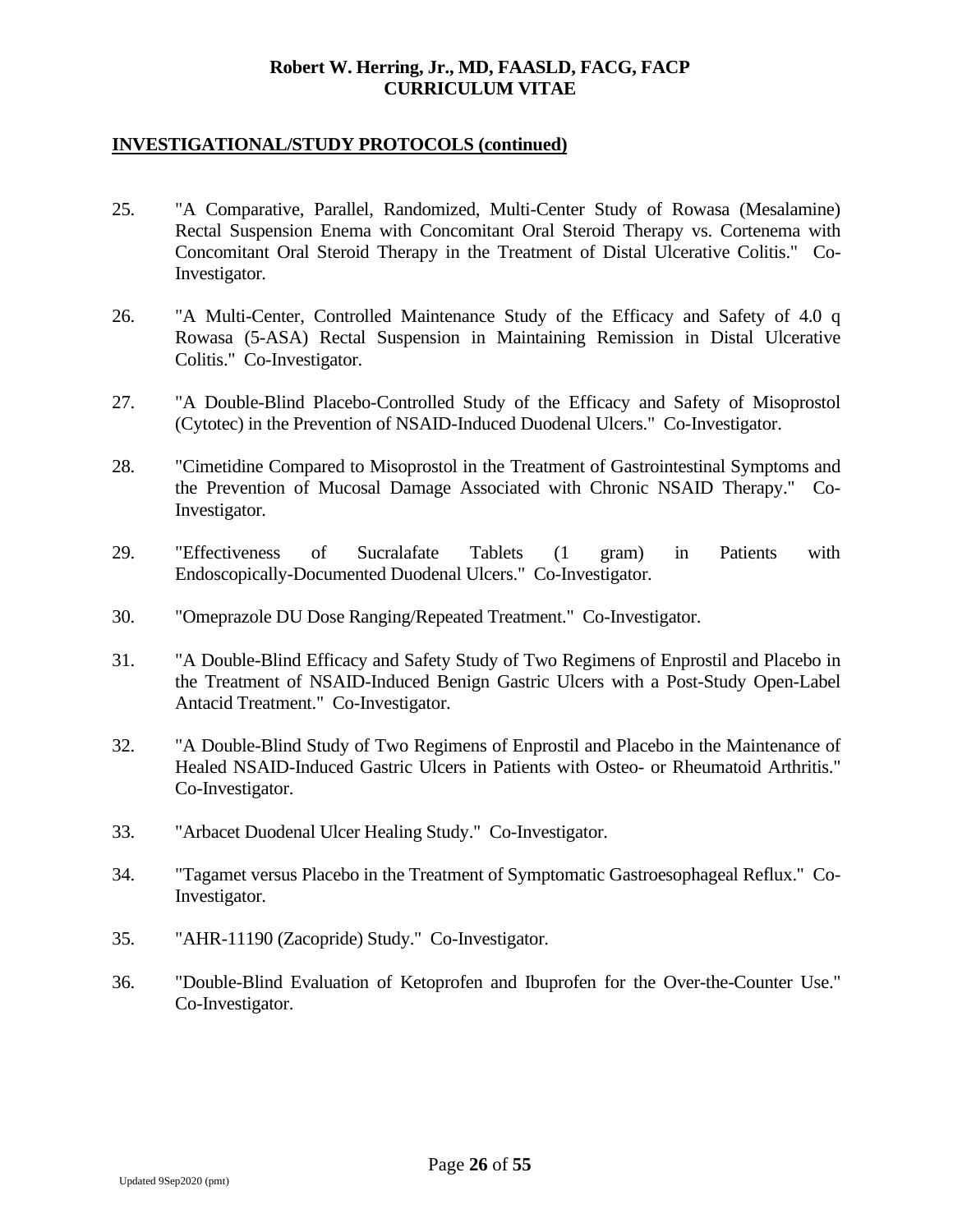- 25. "A Comparative, Parallel, Randomized, Multi-Center Study of Rowasa (Mesalamine) Rectal Suspension Enema with Concomitant Oral Steroid Therapy vs. Cortenema with Concomitant Oral Steroid Therapy in the Treatment of Distal Ulcerative Colitis." Co-Investigator.
- 26. "A Multi-Center, Controlled Maintenance Study of the Efficacy and Safety of 4.0 q Rowasa (5-ASA) Rectal Suspension in Maintaining Remission in Distal Ulcerative Colitis." Co-Investigator.
- 27. "A Double-Blind Placebo-Controlled Study of the Efficacy and Safety of Misoprostol (Cytotec) in the Prevention of NSAID-Induced Duodenal Ulcers." Co-Investigator.
- 28. "Cimetidine Compared to Misoprostol in the Treatment of Gastrointestinal Symptoms and the Prevention of Mucosal Damage Associated with Chronic NSAID Therapy." Co-Investigator.
- 29. "Effectiveness of Sucralafate Tablets (1 gram) in Patients with Endoscopically-Documented Duodenal Ulcers." Co-Investigator.
- 30. "Omeprazole DU Dose Ranging/Repeated Treatment." Co-Investigator.
- 31. "A Double-Blind Efficacy and Safety Study of Two Regimens of Enprostil and Placebo in the Treatment of NSAID-Induced Benign Gastric Ulcers with a Post-Study Open-Label Antacid Treatment." Co-Investigator.
- 32. "A Double-Blind Study of Two Regimens of Enprostil and Placebo in the Maintenance of Healed NSAID-Induced Gastric Ulcers in Patients with Osteo- or Rheumatoid Arthritis." Co-Investigator.
- 33. "Arbacet Duodenal Ulcer Healing Study." Co-Investigator.
- 34. "Tagamet versus Placebo in the Treatment of Symptomatic Gastroesophageal Reflux." Co-Investigator.
- 35. "AHR-11190 (Zacopride) Study." Co-Investigator.
- 36. "Double-Blind Evaluation of Ketoprofen and Ibuprofen for the Over-the-Counter Use." Co-Investigator.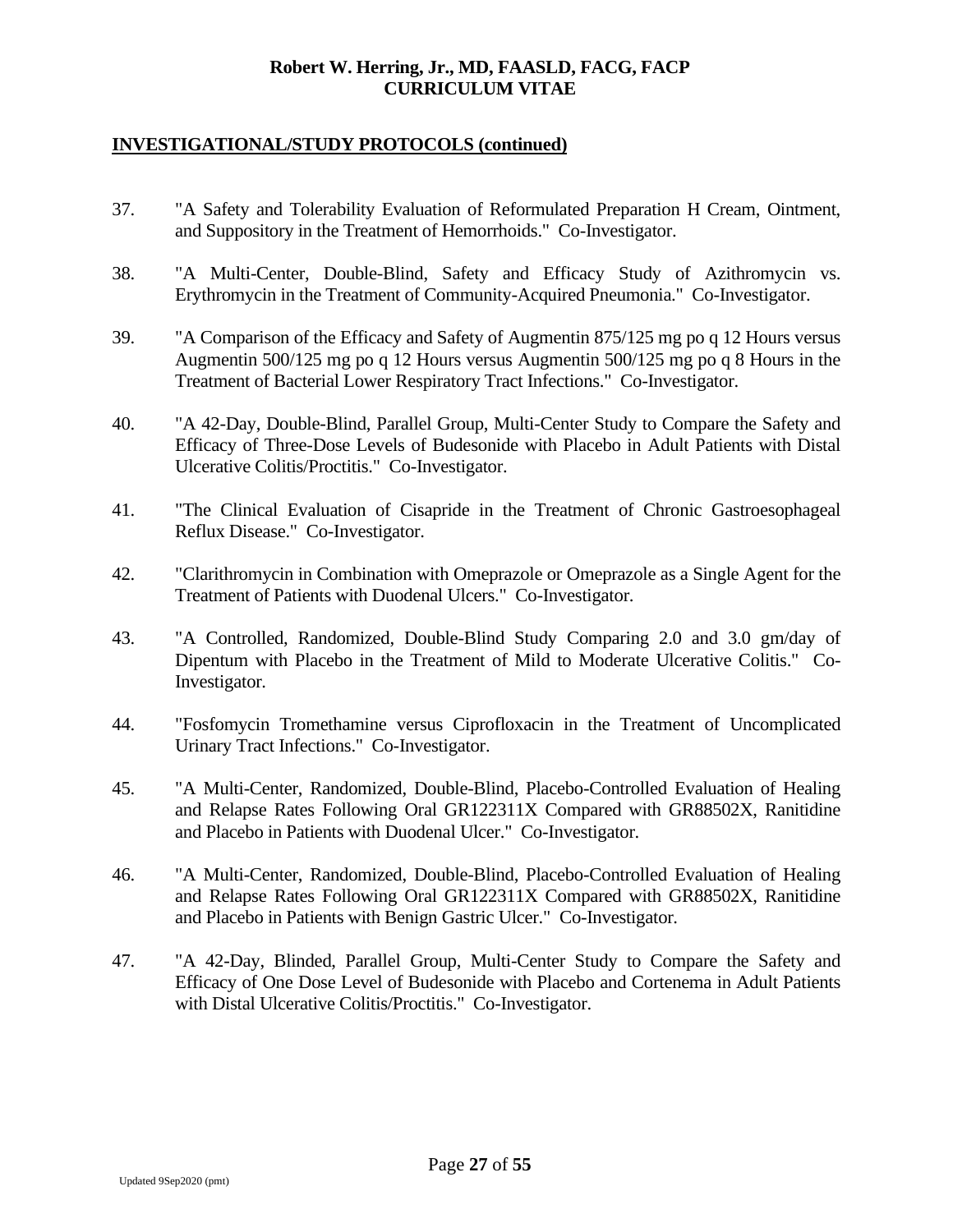- 37. "A Safety and Tolerability Evaluation of Reformulated Preparation H Cream, Ointment, and Suppository in the Treatment of Hemorrhoids." Co-Investigator.
- 38. "A Multi-Center, Double-Blind, Safety and Efficacy Study of Azithromycin vs. Erythromycin in the Treatment of Community-Acquired Pneumonia." Co-Investigator.
- 39. "A Comparison of the Efficacy and Safety of Augmentin 875/125 mg po q 12 Hours versus Augmentin 500/125 mg po q 12 Hours versus Augmentin 500/125 mg po q 8 Hours in the Treatment of Bacterial Lower Respiratory Tract Infections." Co-Investigator.
- 40. "A 42-Day, Double-Blind, Parallel Group, Multi-Center Study to Compare the Safety and Efficacy of Three-Dose Levels of Budesonide with Placebo in Adult Patients with Distal Ulcerative Colitis/Proctitis." Co-Investigator.
- 41. "The Clinical Evaluation of Cisapride in the Treatment of Chronic Gastroesophageal Reflux Disease." Co-Investigator.
- 42. "Clarithromycin in Combination with Omeprazole or Omeprazole as a Single Agent for the Treatment of Patients with Duodenal Ulcers." Co-Investigator.
- 43. "A Controlled, Randomized, Double-Blind Study Comparing 2.0 and 3.0 gm/day of Dipentum with Placebo in the Treatment of Mild to Moderate Ulcerative Colitis." Co-Investigator.
- 44. "Fosfomycin Tromethamine versus Ciprofloxacin in the Treatment of Uncomplicated Urinary Tract Infections." Co-Investigator.
- 45. "A Multi-Center, Randomized, Double-Blind, Placebo-Controlled Evaluation of Healing and Relapse Rates Following Oral GR122311X Compared with GR88502X, Ranitidine and Placebo in Patients with Duodenal Ulcer." Co-Investigator.
- 46. "A Multi-Center, Randomized, Double-Blind, Placebo-Controlled Evaluation of Healing and Relapse Rates Following Oral GR122311X Compared with GR88502X, Ranitidine and Placebo in Patients with Benign Gastric Ulcer." Co-Investigator.
- 47. "A 42-Day, Blinded, Parallel Group, Multi-Center Study to Compare the Safety and Efficacy of One Dose Level of Budesonide with Placebo and Cortenema in Adult Patients with Distal Ulcerative Colitis/Proctitis." Co-Investigator.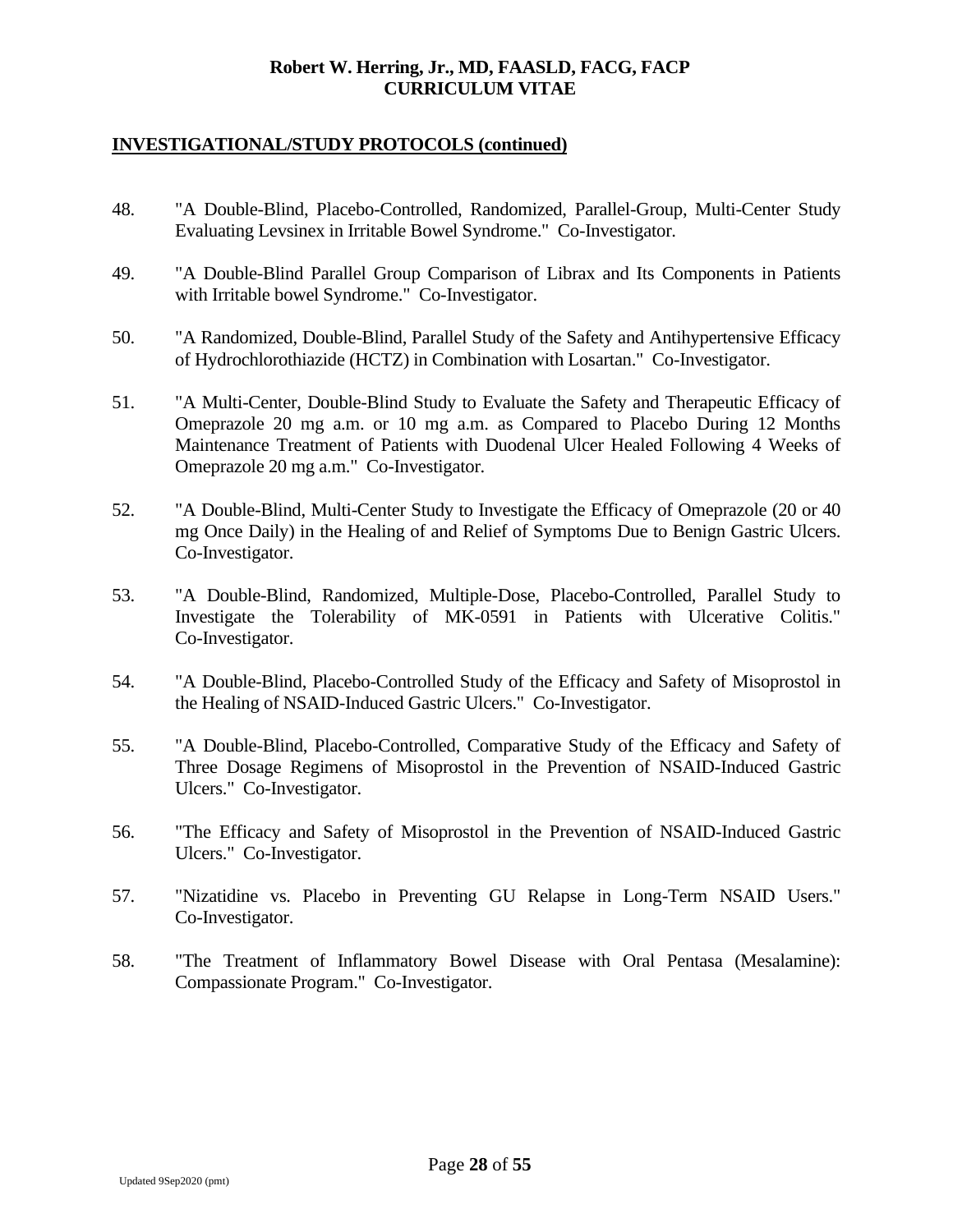- 48. "A Double-Blind, Placebo-Controlled, Randomized, Parallel-Group, Multi-Center Study Evaluating Levsinex in Irritable Bowel Syndrome." Co-Investigator.
- 49. "A Double-Blind Parallel Group Comparison of Librax and Its Components in Patients with Irritable bowel Syndrome." Co-Investigator.
- 50. "A Randomized, Double-Blind, Parallel Study of the Safety and Antihypertensive Efficacy of Hydrochlorothiazide (HCTZ) in Combination with Losartan." Co-Investigator.
- 51. "A Multi-Center, Double-Blind Study to Evaluate the Safety and Therapeutic Efficacy of Omeprazole 20 mg a.m. or 10 mg a.m. as Compared to Placebo During 12 Months Maintenance Treatment of Patients with Duodenal Ulcer Healed Following 4 Weeks of Omeprazole 20 mg a.m." Co-Investigator.
- 52. "A Double-Blind, Multi-Center Study to Investigate the Efficacy of Omeprazole (20 or 40 mg Once Daily) in the Healing of and Relief of Symptoms Due to Benign Gastric Ulcers. Co-Investigator.
- 53. "A Double-Blind, Randomized, Multiple-Dose, Placebo-Controlled, Parallel Study to Investigate the Tolerability of MK-0591 in Patients with Ulcerative Colitis." Co-Investigator.
- 54. "A Double-Blind, Placebo-Controlled Study of the Efficacy and Safety of Misoprostol in the Healing of NSAID-Induced Gastric Ulcers." Co-Investigator.
- 55. "A Double-Blind, Placebo-Controlled, Comparative Study of the Efficacy and Safety of Three Dosage Regimens of Misoprostol in the Prevention of NSAID-Induced Gastric Ulcers." Co-Investigator.
- 56. "The Efficacy and Safety of Misoprostol in the Prevention of NSAID-Induced Gastric Ulcers." Co-Investigator.
- 57. "Nizatidine vs. Placebo in Preventing GU Relapse in Long-Term NSAID Users." Co-Investigator.
- 58. "The Treatment of Inflammatory Bowel Disease with Oral Pentasa (Mesalamine): Compassionate Program." Co-Investigator.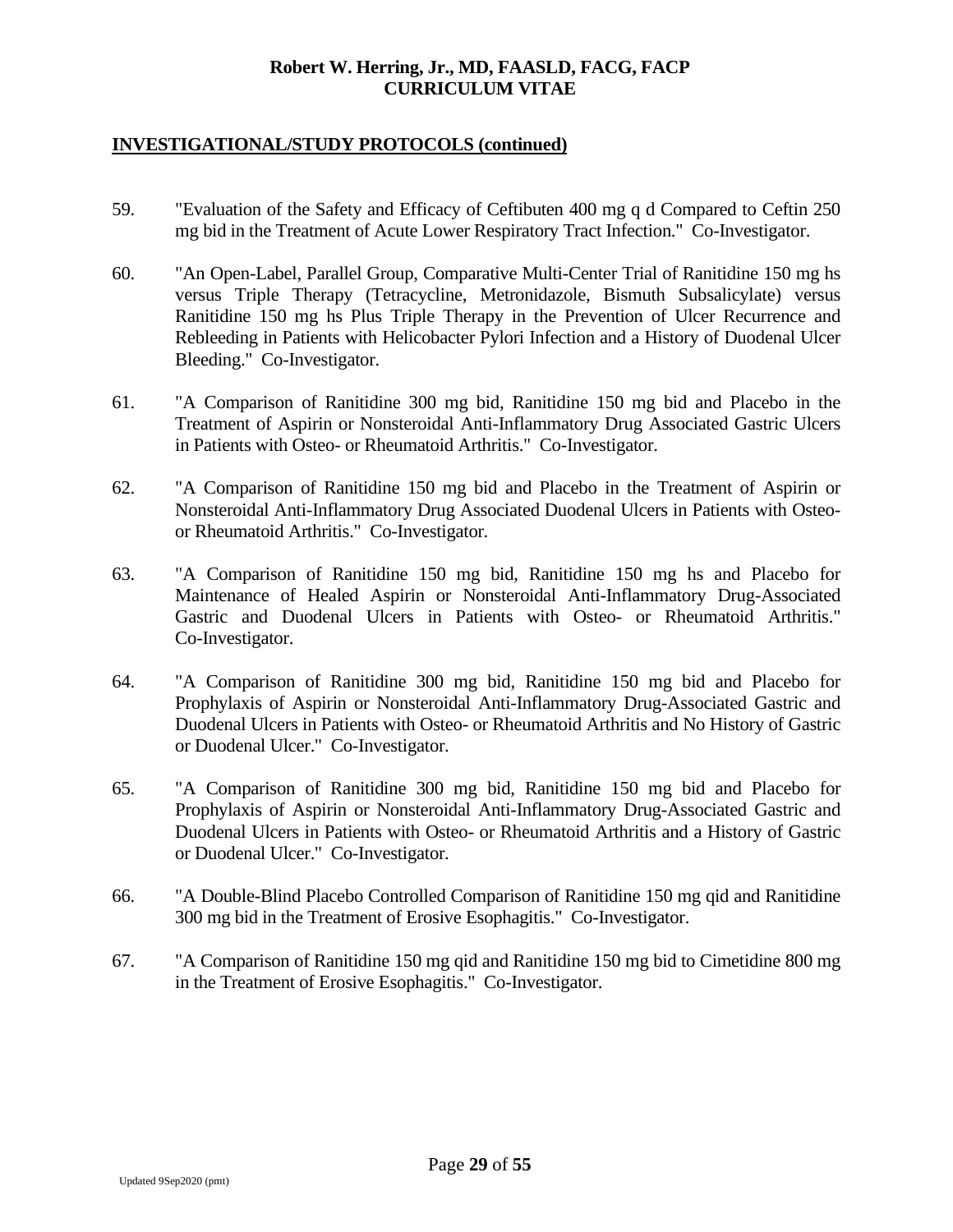- 59. "Evaluation of the Safety and Efficacy of Ceftibuten 400 mg q d Compared to Ceftin 250 mg bid in the Treatment of Acute Lower Respiratory Tract Infection." Co-Investigator.
- 60. "An Open-Label, Parallel Group, Comparative Multi-Center Trial of Ranitidine 150 mg hs versus Triple Therapy (Tetracycline, Metronidazole, Bismuth Subsalicylate) versus Ranitidine 150 mg hs Plus Triple Therapy in the Prevention of Ulcer Recurrence and Rebleeding in Patients with Helicobacter Pylori Infection and a History of Duodenal Ulcer Bleeding." Co-Investigator.
- 61. "A Comparison of Ranitidine 300 mg bid, Ranitidine 150 mg bid and Placebo in the Treatment of Aspirin or Nonsteroidal Anti-Inflammatory Drug Associated Gastric Ulcers in Patients with Osteo- or Rheumatoid Arthritis." Co-Investigator.
- 62. "A Comparison of Ranitidine 150 mg bid and Placebo in the Treatment of Aspirin or Nonsteroidal Anti-Inflammatory Drug Associated Duodenal Ulcers in Patients with Osteoor Rheumatoid Arthritis." Co-Investigator.
- 63. "A Comparison of Ranitidine 150 mg bid, Ranitidine 150 mg hs and Placebo for Maintenance of Healed Aspirin or Nonsteroidal Anti-Inflammatory Drug-Associated Gastric and Duodenal Ulcers in Patients with Osteo- or Rheumatoid Arthritis." Co-Investigator.
- 64. "A Comparison of Ranitidine 300 mg bid, Ranitidine 150 mg bid and Placebo for Prophylaxis of Aspirin or Nonsteroidal Anti-Inflammatory Drug-Associated Gastric and Duodenal Ulcers in Patients with Osteo- or Rheumatoid Arthritis and No History of Gastric or Duodenal Ulcer." Co-Investigator.
- 65. "A Comparison of Ranitidine 300 mg bid, Ranitidine 150 mg bid and Placebo for Prophylaxis of Aspirin or Nonsteroidal Anti-Inflammatory Drug-Associated Gastric and Duodenal Ulcers in Patients with Osteo- or Rheumatoid Arthritis and a History of Gastric or Duodenal Ulcer." Co-Investigator.
- 66. "A Double-Blind Placebo Controlled Comparison of Ranitidine 150 mg qid and Ranitidine 300 mg bid in the Treatment of Erosive Esophagitis." Co-Investigator.
- 67. "A Comparison of Ranitidine 150 mg qid and Ranitidine 150 mg bid to Cimetidine 800 mg in the Treatment of Erosive Esophagitis." Co-Investigator.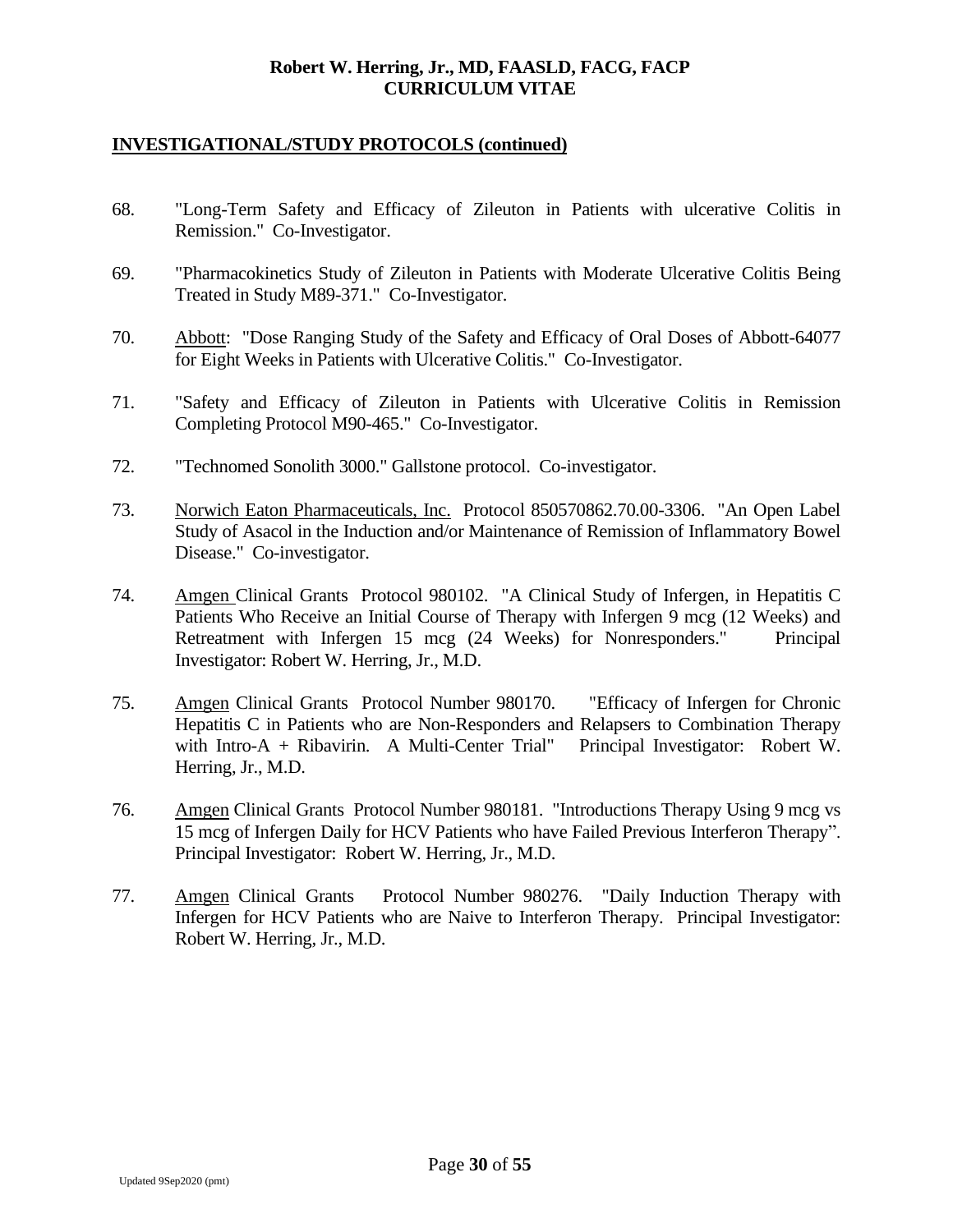- 68. "Long-Term Safety and Efficacy of Zileuton in Patients with ulcerative Colitis in Remission." Co-Investigator.
- 69. "Pharmacokinetics Study of Zileuton in Patients with Moderate Ulcerative Colitis Being Treated in Study M89-371." Co-Investigator.
- 70. Abbott: "Dose Ranging Study of the Safety and Efficacy of Oral Doses of Abbott-64077 for Eight Weeks in Patients with Ulcerative Colitis." Co-Investigator.
- 71. "Safety and Efficacy of Zileuton in Patients with Ulcerative Colitis in Remission Completing Protocol M90-465." Co-Investigator.
- 72. "Technomed Sonolith 3000." Gallstone protocol. Co-investigator.
- 73. Norwich Eaton Pharmaceuticals, Inc. Protocol 850570862.70.00-3306. "An Open Label Study of Asacol in the Induction and/or Maintenance of Remission of Inflammatory Bowel Disease." Co-investigator.
- 74. Amgen Clinical Grants Protocol 980102. "A Clinical Study of Infergen, in Hepatitis C Patients Who Receive an Initial Course of Therapy with Infergen 9 mcg (12 Weeks) and Retreatment with Infergen 15 mcg (24 Weeks) for Nonresponders." Principal Investigator: Robert W. Herring, Jr., M.D.
- 75. Amgen Clinical Grants Protocol Number 980170. "Efficacy of Infergen for Chronic Hepatitis C in Patients who are Non-Responders and Relapsers to Combination Therapy with Intro-A + Ribavirin. A Multi-Center Trial" Principal Investigator: Robert W. Herring, Jr., M.D.
- 76. Amgen Clinical Grants Protocol Number 980181. "Introductions Therapy Using 9 mcg vs 15 mcg of Infergen Daily for HCV Patients who have Failed Previous Interferon Therapy". Principal Investigator: Robert W. Herring, Jr., M.D.
- 77. Amgen Clinical Grants Protocol Number 980276. "Daily Induction Therapy with Infergen for HCV Patients who are Naive to Interferon Therapy. Principal Investigator: Robert W. Herring, Jr., M.D.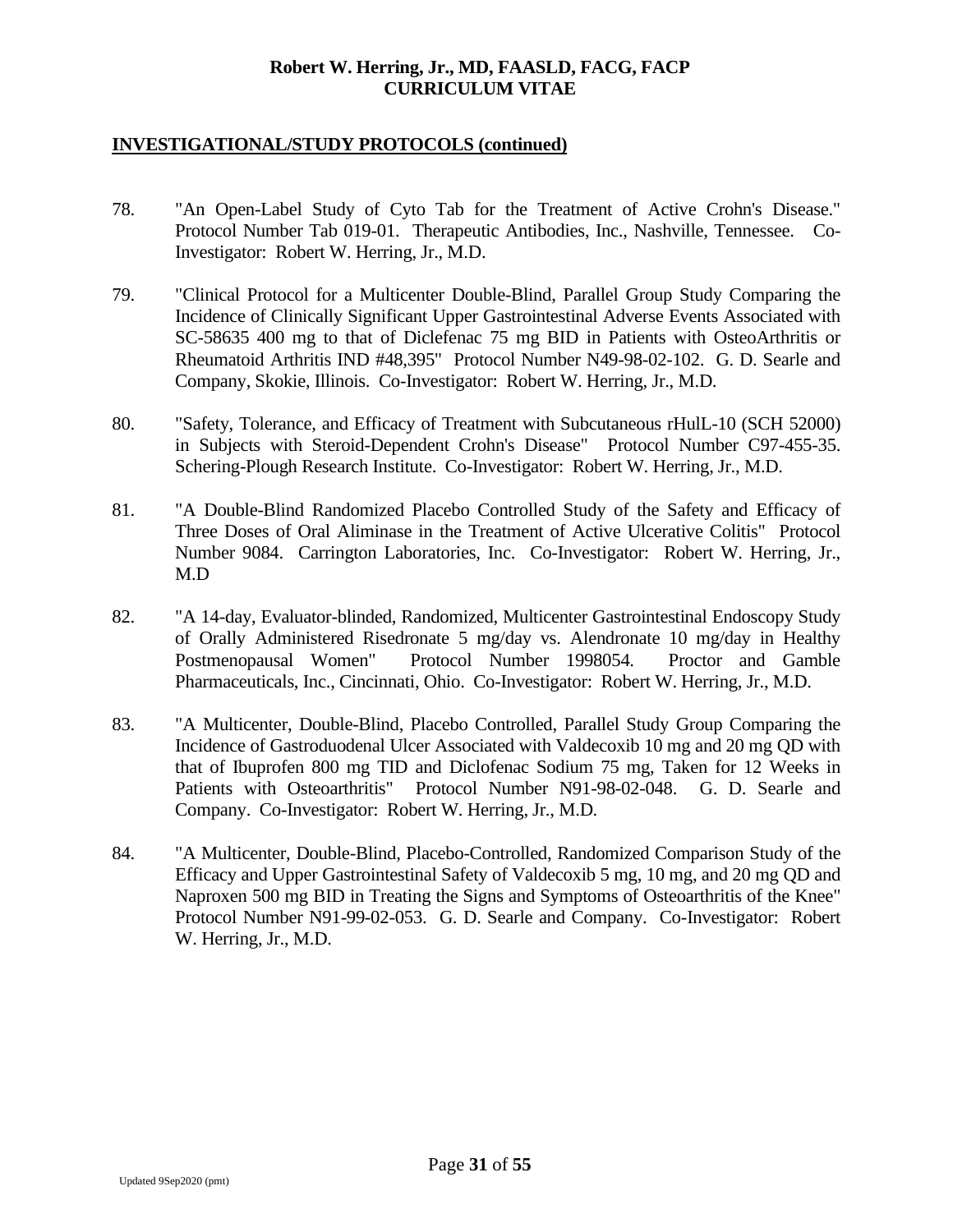- 78. "An Open-Label Study of Cyto Tab for the Treatment of Active Crohn's Disease." Protocol Number Tab 019-01. Therapeutic Antibodies, Inc., Nashville, Tennessee. Co-Investigator: Robert W. Herring, Jr., M.D.
- 79. "Clinical Protocol for a Multicenter Double-Blind, Parallel Group Study Comparing the Incidence of Clinically Significant Upper Gastrointestinal Adverse Events Associated with SC-58635 400 mg to that of Diclefenac 75 mg BID in Patients with OsteoArthritis or Rheumatoid Arthritis IND #48,395" Protocol Number N49-98-02-102. G. D. Searle and Company, Skokie, Illinois. Co-Investigator: Robert W. Herring, Jr., M.D.
- 80. "Safety, Tolerance, and Efficacy of Treatment with Subcutaneous rHulL-10 (SCH 52000) in Subjects with Steroid-Dependent Crohn's Disease" Protocol Number C97-455-35. Schering-Plough Research Institute. Co-Investigator: Robert W. Herring, Jr., M.D.
- 81. "A Double-Blind Randomized Placebo Controlled Study of the Safety and Efficacy of Three Doses of Oral Aliminase in the Treatment of Active Ulcerative Colitis" Protocol Number 9084. Carrington Laboratories, Inc. Co-Investigator: Robert W. Herring, Jr., M.D
- 82. "A 14-day, Evaluator-blinded, Randomized, Multicenter Gastrointestinal Endoscopy Study of Orally Administered Risedronate 5 mg/day vs. Alendronate 10 mg/day in Healthy Postmenopausal Women" Protocol Number 1998054. Proctor and Gamble Pharmaceuticals, Inc., Cincinnati, Ohio. Co-Investigator: Robert W. Herring, Jr., M.D.
- 83. "A Multicenter, Double-Blind, Placebo Controlled, Parallel Study Group Comparing the Incidence of Gastroduodenal Ulcer Associated with Valdecoxib 10 mg and 20 mg QD with that of Ibuprofen 800 mg TID and Diclofenac Sodium 75 mg, Taken for 12 Weeks in Patients with Osteoarthritis" Protocol Number N91-98-02-048. G. D. Searle and Company. Co-Investigator: Robert W. Herring, Jr., M.D.
- 84. "A Multicenter, Double-Blind, Placebo-Controlled, Randomized Comparison Study of the Efficacy and Upper Gastrointestinal Safety of Valdecoxib 5 mg, 10 mg, and 20 mg QD and Naproxen 500 mg BID in Treating the Signs and Symptoms of Osteoarthritis of the Knee" Protocol Number N91-99-02-053. G. D. Searle and Company. Co-Investigator: Robert W. Herring, Jr., M.D.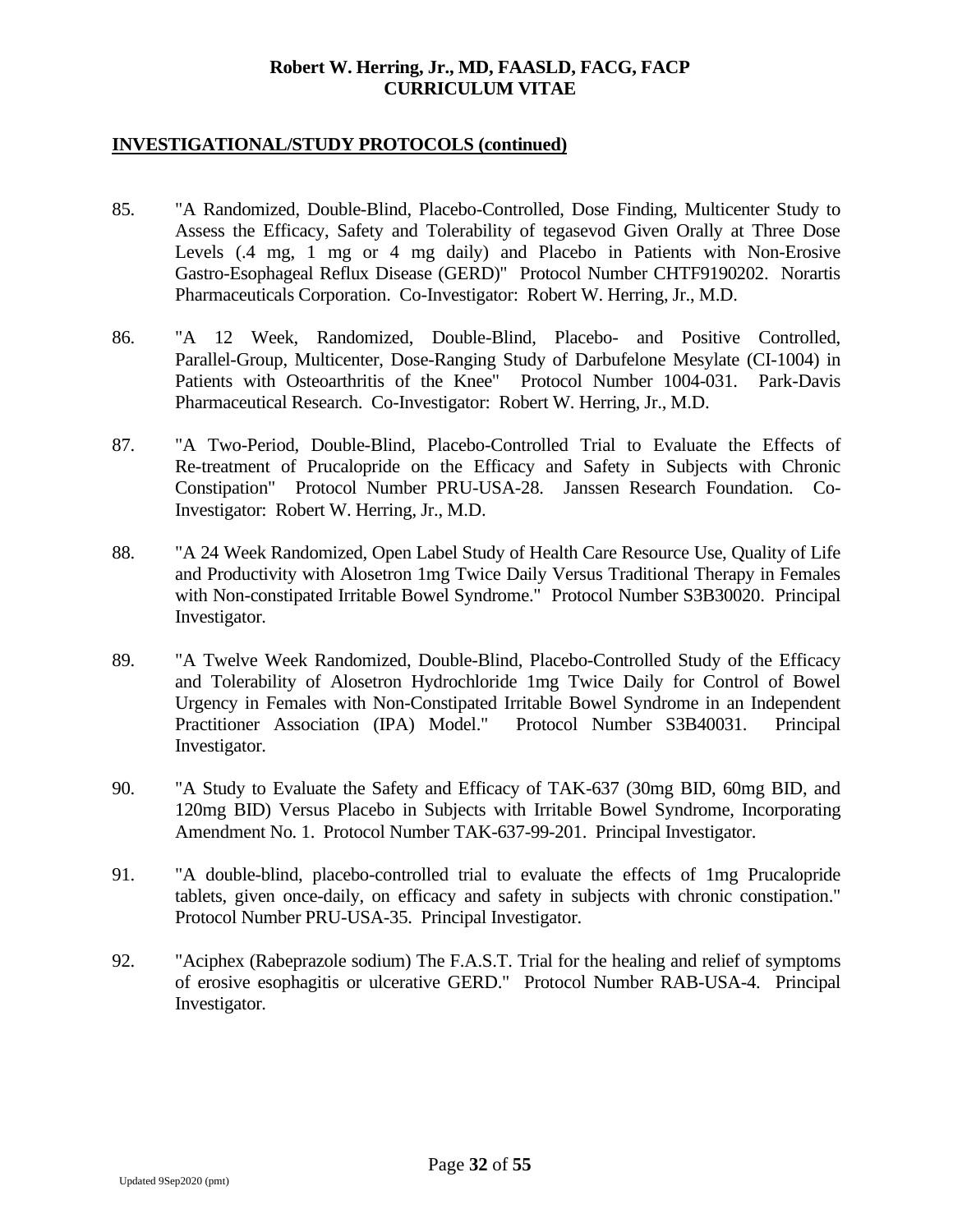- 85. "A Randomized, Double-Blind, Placebo-Controlled, Dose Finding, Multicenter Study to Assess the Efficacy, Safety and Tolerability of tegasevod Given Orally at Three Dose Levels (.4 mg, 1 mg or 4 mg daily) and Placebo in Patients with Non-Erosive Gastro-Esophageal Reflux Disease (GERD)" Protocol Number CHTF9190202. Norartis Pharmaceuticals Corporation. Co-Investigator: Robert W. Herring, Jr., M.D.
- 86. "A 12 Week, Randomized, Double-Blind, Placebo- and Positive Controlled, Parallel-Group, Multicenter, Dose-Ranging Study of Darbufelone Mesylate (CI-1004) in Patients with Osteoarthritis of the Knee" Protocol Number 1004-031. Park-Davis Pharmaceutical Research. Co-Investigator: Robert W. Herring, Jr., M.D.
- 87. "A Two-Period, Double-Blind, Placebo-Controlled Trial to Evaluate the Effects of Re-treatment of Prucalopride on the Efficacy and Safety in Subjects with Chronic Constipation" Protocol Number PRU-USA-28. Janssen Research Foundation. Co-Investigator: Robert W. Herring, Jr., M.D.
- 88. "A 24 Week Randomized, Open Label Study of Health Care Resource Use, Quality of Life and Productivity with Alosetron 1mg Twice Daily Versus Traditional Therapy in Females with Non-constipated Irritable Bowel Syndrome." Protocol Number S3B30020. Principal Investigator.
- 89. "A Twelve Week Randomized, Double-Blind, Placebo-Controlled Study of the Efficacy and Tolerability of Alosetron Hydrochloride 1mg Twice Daily for Control of Bowel Urgency in Females with Non-Constipated Irritable Bowel Syndrome in an Independent Practitioner Association (IPA) Model." Protocol Number S3B40031. Principal Investigator.
- 90. "A Study to Evaluate the Safety and Efficacy of TAK-637 (30mg BID, 60mg BID, and 120mg BID) Versus Placebo in Subjects with Irritable Bowel Syndrome, Incorporating Amendment No. 1. Protocol Number TAK-637-99-201. Principal Investigator.
- 91. "A double-blind, placebo-controlled trial to evaluate the effects of 1mg Prucalopride tablets, given once-daily, on efficacy and safety in subjects with chronic constipation." Protocol Number PRU-USA-35. Principal Investigator.
- 92. "Aciphex (Rabeprazole sodium) The F.A.S.T. Trial for the healing and relief of symptoms of erosive esophagitis or ulcerative GERD." Protocol Number RAB-USA-4. Principal Investigator.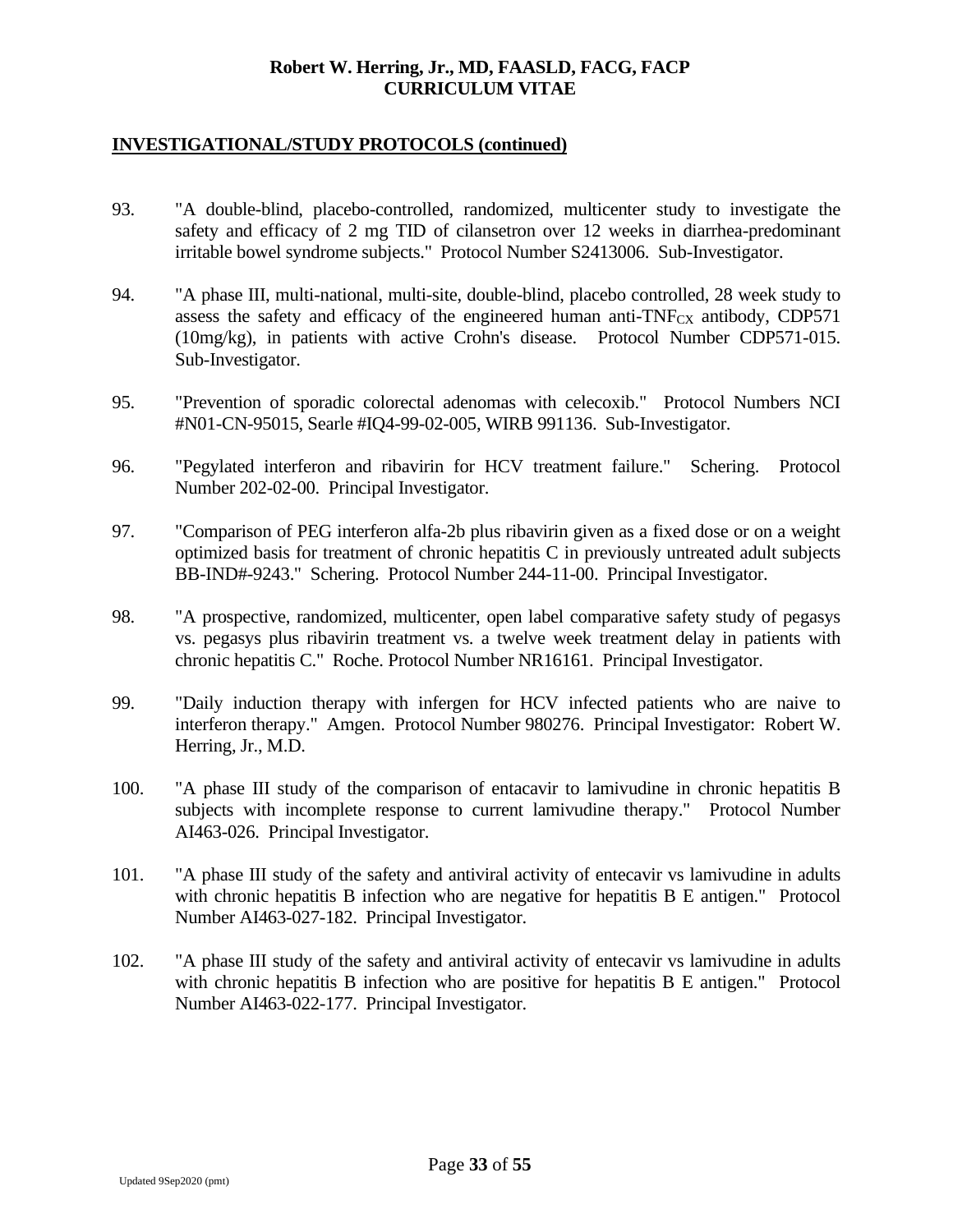- 93. "A double-blind, placebo-controlled, randomized, multicenter study to investigate the safety and efficacy of 2 mg TID of cilansetron over 12 weeks in diarrhea-predominant irritable bowel syndrome subjects." Protocol Number S2413006. Sub-Investigator.
- 94. "A phase III, multi-national, multi-site, double-blind, placebo controlled, 28 week study to assess the safety and efficacy of the engineered human anti- $TNF_{CX}$  antibody, CDP571 (10mg/kg), in patients with active Crohn's disease. Protocol Number CDP571-015. Sub-Investigator.
- 95. "Prevention of sporadic colorectal adenomas with celecoxib." Protocol Numbers NCI #N01-CN-95015, Searle #IQ4-99-02-005, WIRB 991136. Sub-Investigator.
- 96. "Pegylated interferon and ribavirin for HCV treatment failure." Schering. Protocol Number 202-02-00. Principal Investigator.
- 97. "Comparison of PEG interferon alfa-2b plus ribavirin given as a fixed dose or on a weight optimized basis for treatment of chronic hepatitis C in previously untreated adult subjects BB-IND#-9243." Schering. Protocol Number 244-11-00. Principal Investigator.
- 98. "A prospective, randomized, multicenter, open label comparative safety study of pegasys vs. pegasys plus ribavirin treatment vs. a twelve week treatment delay in patients with chronic hepatitis C." Roche. Protocol Number NR16161. Principal Investigator.
- 99. "Daily induction therapy with infergen for HCV infected patients who are naive to interferon therapy." Amgen. Protocol Number 980276. Principal Investigator: Robert W. Herring, Jr., M.D.
- 100. "A phase III study of the comparison of entacavir to lamivudine in chronic hepatitis B subjects with incomplete response to current lamivudine therapy." Protocol Number AI463-026. Principal Investigator.
- 101. "A phase III study of the safety and antiviral activity of entecavir vs lamivudine in adults with chronic hepatitis B infection who are negative for hepatitis B E antigen." Protocol Number AI463-027-182. Principal Investigator.
- 102. "A phase III study of the safety and antiviral activity of entecavir vs lamivudine in adults with chronic hepatitis B infection who are positive for hepatitis B E antigen." Protocol Number AI463-022-177. Principal Investigator.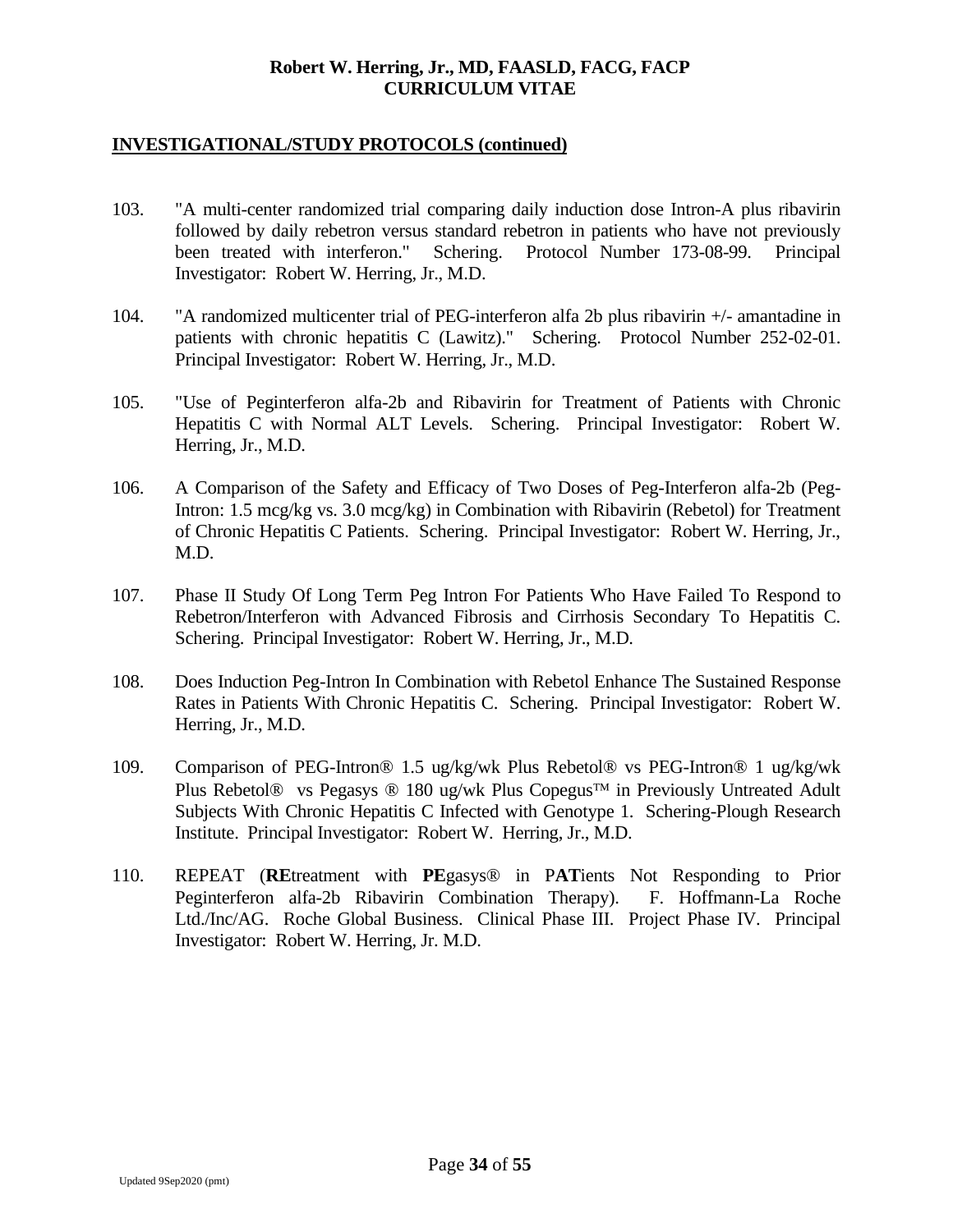- 103. "A multi-center randomized trial comparing daily induction dose Intron-A plus ribavirin followed by daily rebetron versus standard rebetron in patients who have not previously been treated with interferon." Schering. Protocol Number 173-08-99. Principal Investigator: Robert W. Herring, Jr., M.D.
- 104. "A randomized multicenter trial of PEG-interferon alfa 2b plus ribavirin +/- amantadine in patients with chronic hepatitis C (Lawitz)." Schering. Protocol Number 252-02-01. Principal Investigator: Robert W. Herring, Jr., M.D.
- 105. "Use of Peginterferon alfa-2b and Ribavirin for Treatment of Patients with Chronic Hepatitis C with Normal ALT Levels. Schering. Principal Investigator: Robert W. Herring, Jr., M.D.
- 106. A Comparison of the Safety and Efficacy of Two Doses of Peg-Interferon alfa-2b (Peg-Intron: 1.5 mcg/kg vs. 3.0 mcg/kg) in Combination with Ribavirin (Rebetol) for Treatment of Chronic Hepatitis C Patients. Schering. Principal Investigator: Robert W. Herring, Jr., M.D.
- 107. Phase II Study Of Long Term Peg Intron For Patients Who Have Failed To Respond to Rebetron/Interferon with Advanced Fibrosis and Cirrhosis Secondary To Hepatitis C. Schering. Principal Investigator: Robert W. Herring, Jr., M.D.
- 108. Does Induction Peg-Intron In Combination with Rebetol Enhance The Sustained Response Rates in Patients With Chronic Hepatitis C. Schering. Principal Investigator: Robert W. Herring, Jr., M.D.
- 109. Comparison of PEG-Intron® 1.5 ug/kg/wk Plus Rebetol® vs PEG-Intron® 1 ug/kg/wk Plus Rebetol® vs Pegasys ® 180 ug/wk Plus Copegus<sup> $TM$ </sup> in Previously Untreated Adult Subjects With Chronic Hepatitis C Infected with Genotype 1. Schering-Plough Research Institute. Principal Investigator: Robert W. Herring, Jr., M.D.
- 110. REPEAT (**RE**treatment with **PE**gasys® in P**AT**ients Not Responding to Prior Peginterferon alfa-2b Ribavirin Combination Therapy). F. Hoffmann-La Roche Ltd./Inc/AG. Roche Global Business. Clinical Phase III. Project Phase IV. Principal Investigator: Robert W. Herring, Jr. M.D.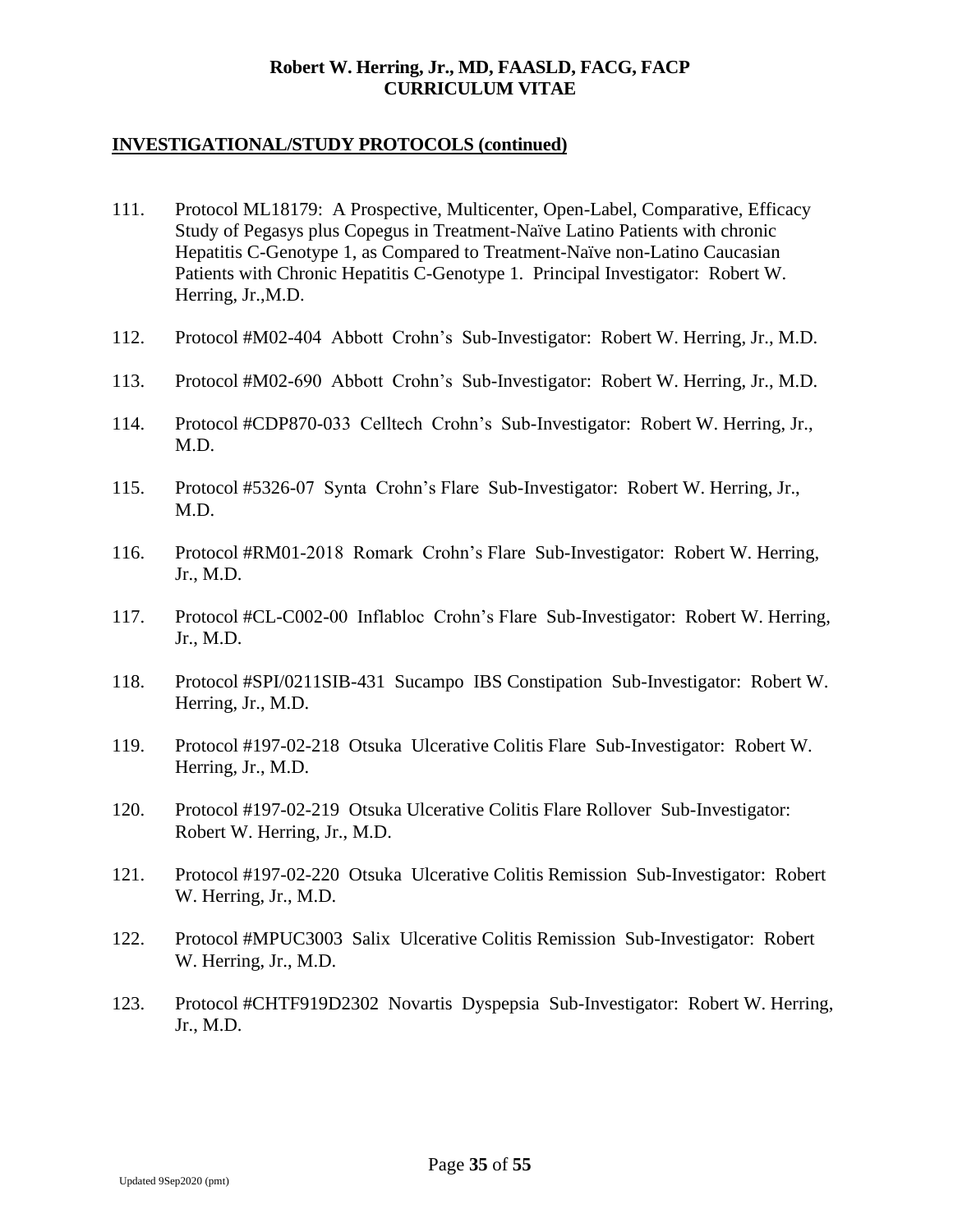- 111. Protocol ML18179: A Prospective, Multicenter, Open-Label, Comparative, Efficacy Study of Pegasys plus Copegus in Treatment-Naïve Latino Patients with chronic Hepatitis C-Genotype 1, as Compared to Treatment-Naïve non-Latino Caucasian Patients with Chronic Hepatitis C-Genotype 1. Principal Investigator: Robert W. Herring, Jr.,M.D.
- 112. Protocol #M02-404 Abbott Crohn's Sub-Investigator: Robert W. Herring, Jr., M.D.
- 113. Protocol #M02-690 Abbott Crohn's Sub-Investigator: Robert W. Herring, Jr., M.D.
- 114. Protocol #CDP870-033 Celltech Crohn's Sub-Investigator: Robert W. Herring, Jr., M.D.
- 115. Protocol #5326-07 Synta Crohn's Flare Sub-Investigator: Robert W. Herring, Jr., M.D.
- 116. Protocol #RM01-2018 Romark Crohn's Flare Sub-Investigator: Robert W. Herring, Jr., M.D.
- 117. Protocol #CL-C002-00 Inflabloc Crohn's Flare Sub-Investigator: Robert W. Herring, Jr., M.D.
- 118. Protocol #SPI/0211SIB-431 Sucampo IBS Constipation Sub-Investigator: Robert W. Herring, Jr., M.D.
- 119. Protocol #197-02-218 Otsuka Ulcerative Colitis Flare Sub-Investigator: Robert W. Herring, Jr., M.D.
- 120. Protocol #197-02-219 Otsuka Ulcerative Colitis Flare Rollover Sub-Investigator: Robert W. Herring, Jr., M.D.
- 121. Protocol #197-02-220 Otsuka Ulcerative Colitis Remission Sub-Investigator: Robert W. Herring, Jr., M.D.
- 122. Protocol #MPUC3003 Salix Ulcerative Colitis Remission Sub-Investigator: Robert W. Herring, Jr., M.D.
- 123. Protocol #CHTF919D2302 Novartis Dyspepsia Sub-Investigator: Robert W. Herring, Jr., M.D.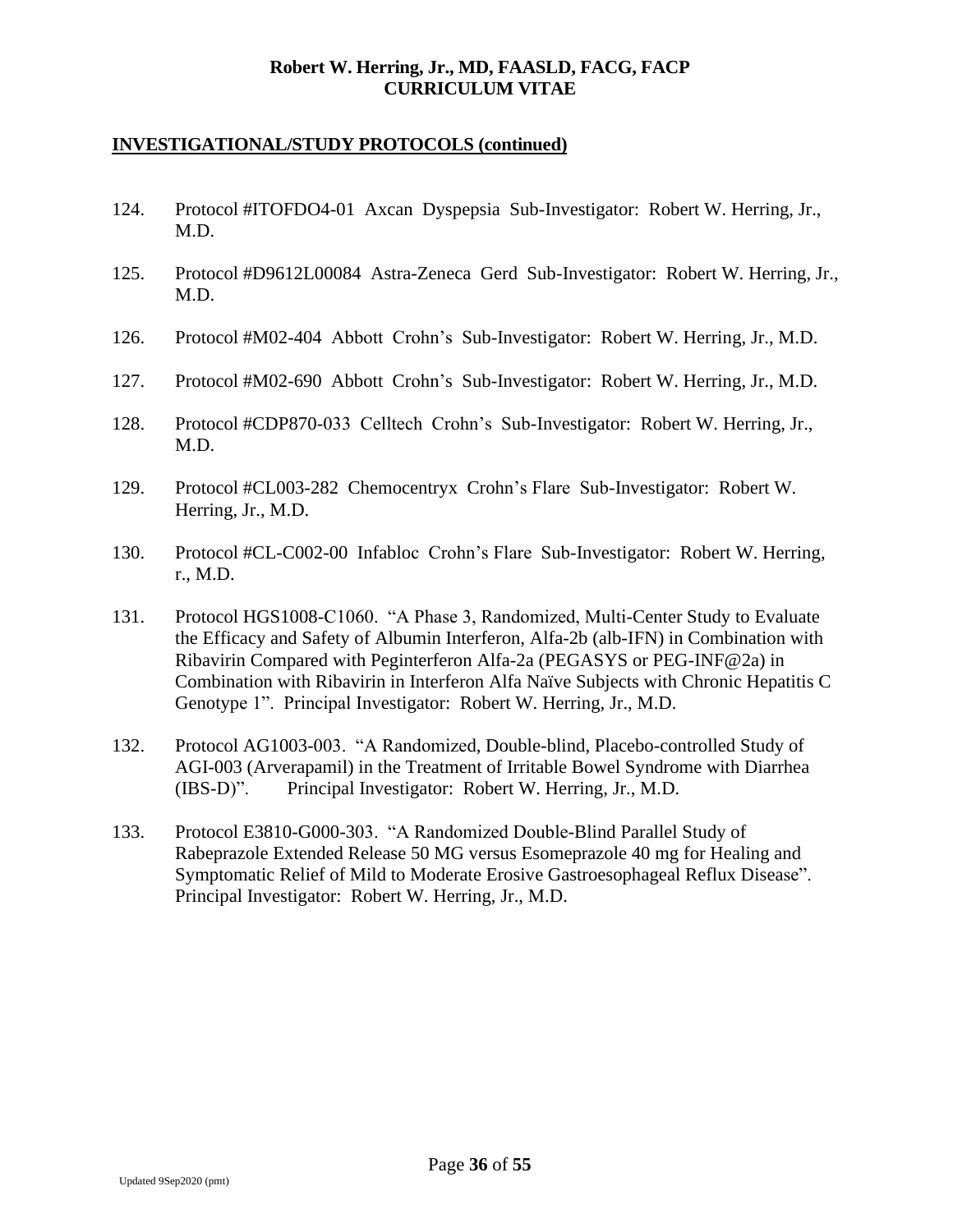- 124. Protocol #ITOFDO4-01 Axcan Dyspepsia Sub-Investigator: Robert W. Herring, Jr., M.D.
- 125. Protocol #D9612L00084 Astra-Zeneca Gerd Sub-Investigator: Robert W. Herring, Jr., M.D.
- 126. Protocol #M02-404 Abbott Crohn's Sub-Investigator: Robert W. Herring, Jr., M.D.
- 127. Protocol #M02-690 Abbott Crohn's Sub-Investigator: Robert W. Herring, Jr., M.D.
- 128. Protocol #CDP870-033 Celltech Crohn's Sub-Investigator: Robert W. Herring, Jr., M.D.
- 129. Protocol #CL003-282 Chemocentryx Crohn's Flare Sub-Investigator: Robert W. Herring, Jr., M.D.
- 130. Protocol #CL-C002-00 Infabloc Crohn's Flare Sub-Investigator: Robert W. Herring, r., M.D.
- 131. Protocol HGS1008-C1060. "A Phase 3, Randomized, Multi-Center Study to Evaluate the Efficacy and Safety of Albumin Interferon, Alfa-2b (alb-IFN) in Combination with Ribavirin Compared with Peginterferon Alfa-2a (PEGASYS or PEG-INF@2a) in Combination with Ribavirin in Interferon Alfa Naïve Subjects with Chronic Hepatitis C Genotype 1". Principal Investigator: Robert W. Herring, Jr., M.D.
- 132. Protocol AG1003-003. "A Randomized, Double-blind, Placebo-controlled Study of AGI-003 (Arverapamil) in the Treatment of Irritable Bowel Syndrome with Diarrhea (IBS-D)". Principal Investigator: Robert W. Herring, Jr., M.D.
- 133. Protocol E3810-G000-303. "A Randomized Double-Blind Parallel Study of Rabeprazole Extended Release 50 MG versus Esomeprazole 40 mg for Healing and Symptomatic Relief of Mild to Moderate Erosive Gastroesophageal Reflux Disease". Principal Investigator: Robert W. Herring, Jr., M.D.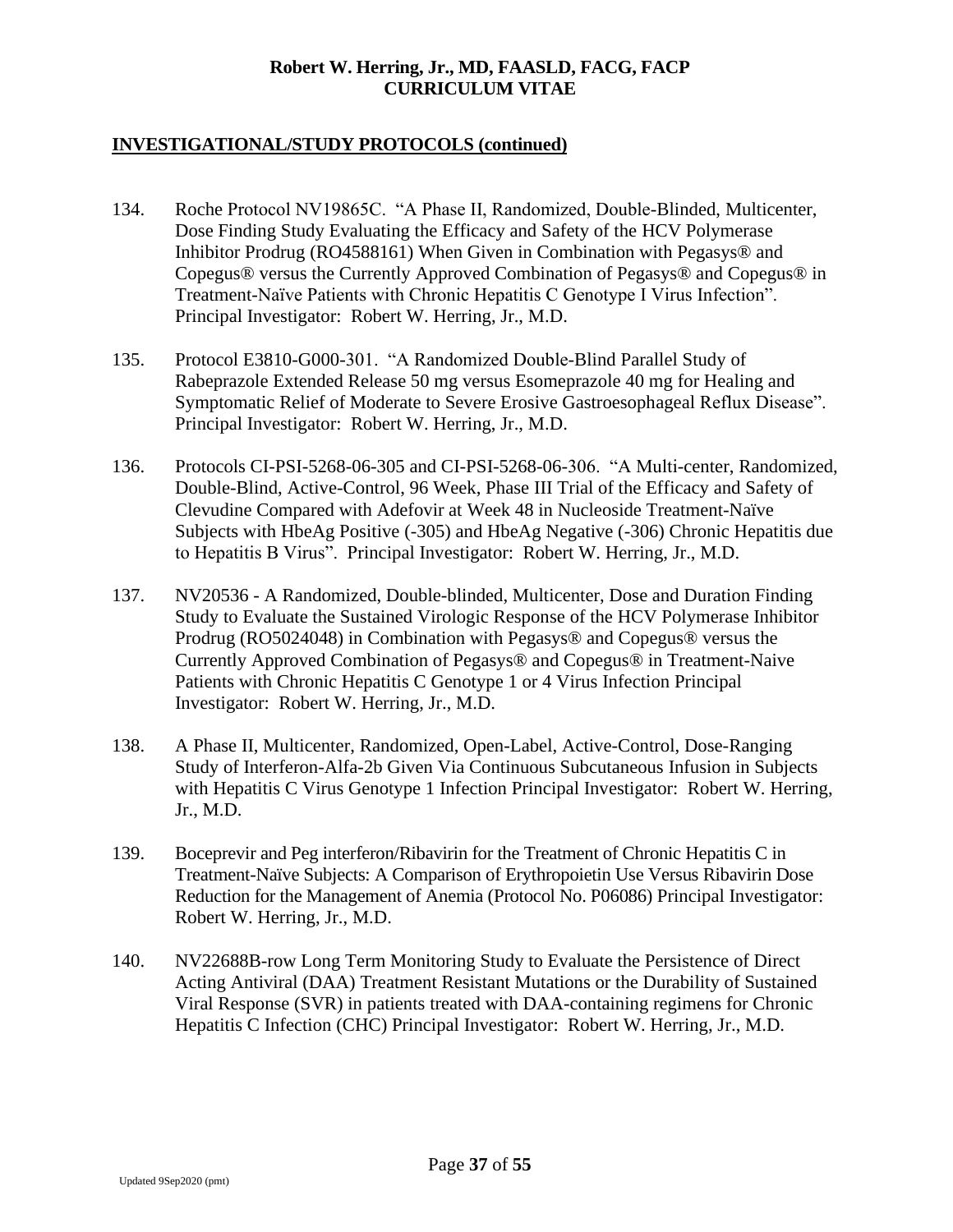- 134. Roche Protocol NV19865C. "A Phase II, Randomized, Double-Blinded, Multicenter, Dose Finding Study Evaluating the Efficacy and Safety of the HCV Polymerase Inhibitor Prodrug (RO4588161) When Given in Combination with Pegasys® and Copegus® versus the Currently Approved Combination of Pegasys® and Copegus® in Treatment-Naïve Patients with Chronic Hepatitis C Genotype I Virus Infection". Principal Investigator: Robert W. Herring, Jr., M.D.
- 135. Protocol E3810-G000-301. "A Randomized Double-Blind Parallel Study of Rabeprazole Extended Release 50 mg versus Esomeprazole 40 mg for Healing and Symptomatic Relief of Moderate to Severe Erosive Gastroesophageal Reflux Disease". Principal Investigator: Robert W. Herring, Jr., M.D.
- 136. Protocols CI-PSI-5268-06-305 and CI-PSI-5268-06-306. "A Multi-center, Randomized, Double-Blind, Active-Control, 96 Week, Phase III Trial of the Efficacy and Safety of Clevudine Compared with Adefovir at Week 48 in Nucleoside Treatment-Naïve Subjects with HbeAg Positive (-305) and HbeAg Negative (-306) Chronic Hepatitis due to Hepatitis B Virus". Principal Investigator: Robert W. Herring, Jr., M.D.
- 137. NV20536 A Randomized, Double-blinded, Multicenter, Dose and Duration Finding Study to Evaluate the Sustained Virologic Response of the HCV Polymerase Inhibitor Prodrug (RO5024048) in Combination with Pegasys® and Copegus® versus the Currently Approved Combination of Pegasys® and Copegus® in Treatment-Naive Patients with Chronic Hepatitis C Genotype 1 or 4 Virus Infection Principal Investigator: Robert W. Herring, Jr., M.D.
- 138. A Phase II, Multicenter, Randomized, Open-Label, Active-Control, Dose-Ranging Study of Interferon-Alfa-2b Given Via Continuous Subcutaneous Infusion in Subjects with Hepatitis C Virus Genotype 1 Infection Principal Investigator: Robert W. Herring, Jr., M.D.
- 139. Boceprevir and Peg interferon/Ribavirin for the Treatment of Chronic Hepatitis C in Treatment-Naïve Subjects: A Comparison of Erythropoietin Use Versus Ribavirin Dose Reduction for the Management of Anemia (Protocol No. P06086) Principal Investigator: Robert W. Herring, Jr., M.D.
- 140. NV22688B-row Long Term Monitoring Study to Evaluate the Persistence of Direct Acting Antiviral (DAA) Treatment Resistant Mutations or the Durability of Sustained Viral Response (SVR) in patients treated with DAA-containing regimens for Chronic Hepatitis C Infection (CHC) Principal Investigator: Robert W. Herring, Jr., M.D.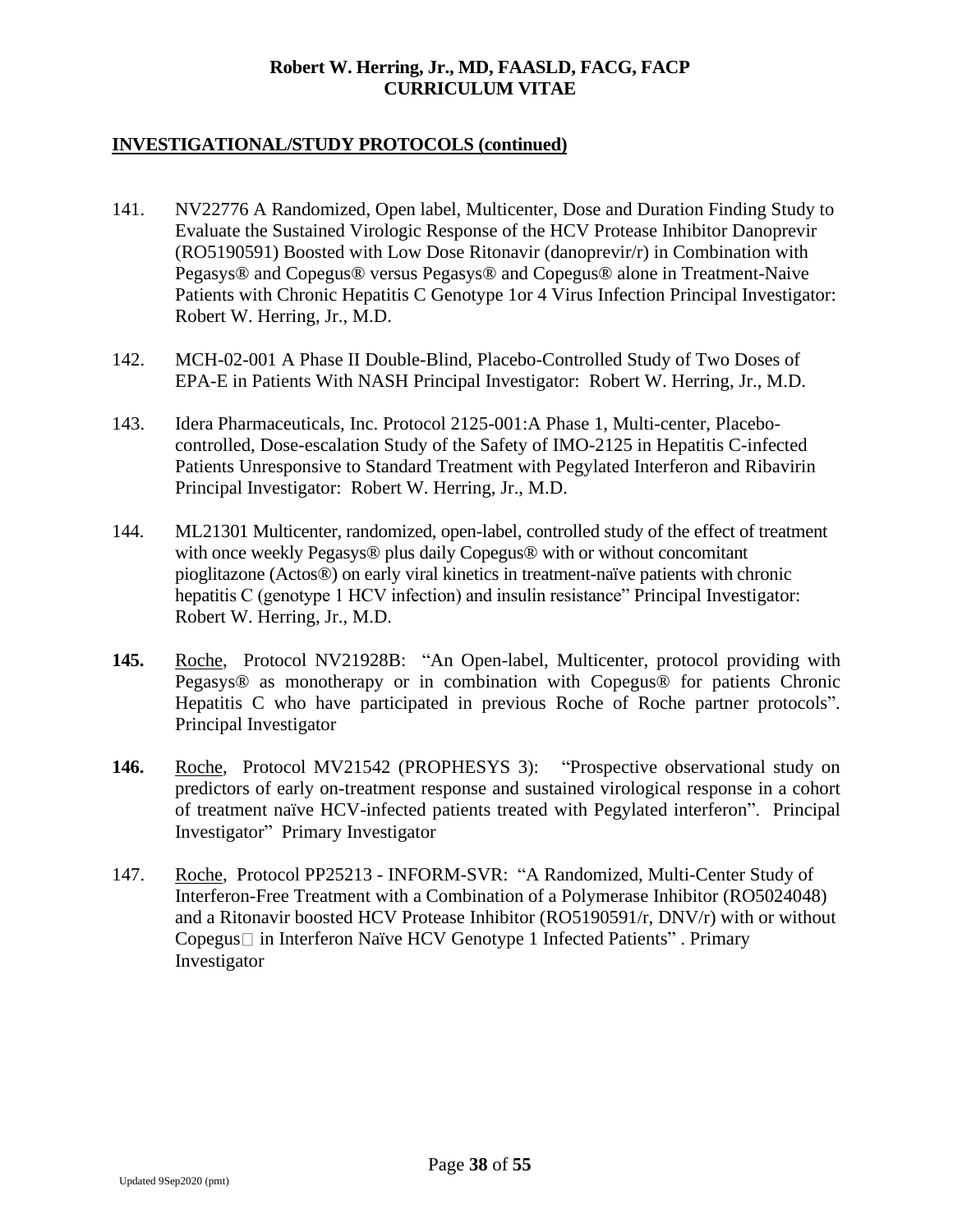- 141. NV22776 A Randomized, Open label, Multicenter, Dose and Duration Finding Study to Evaluate the Sustained Virologic Response of the HCV Protease Inhibitor Danoprevir (RO5190591) Boosted with Low Dose Ritonavir (danoprevir/r) in Combination with Pegasys® and Copegus® versus Pegasys® and Copegus® alone in Treatment-Naive Patients with Chronic Hepatitis C Genotype 1or 4 Virus Infection Principal Investigator: Robert W. Herring, Jr., M.D.
- 142. MCH-02-001 A Phase II Double-Blind, Placebo-Controlled Study of Two Doses of EPA-E in Patients With NASH Principal Investigator: Robert W. Herring, Jr., M.D.
- 143. Idera Pharmaceuticals, Inc. Protocol 2125-001:A Phase 1, Multi-center, Placebocontrolled, Dose-escalation Study of the Safety of IMO-2125 in Hepatitis C-infected Patients Unresponsive to Standard Treatment with Pegylated Interferon and Ribavirin Principal Investigator: Robert W. Herring, Jr., M.D.
- 144. ML21301 Multicenter, randomized, open-label, controlled study of the effect of treatment with once weekly Pegasys<sup>®</sup> plus daily Copegus<sup>®</sup> with or without concomitant pioglitazone (Actos®) on early viral kinetics in treatment-naïve patients with chronic hepatitis C (genotype 1 HCV infection) and insulin resistance" Principal Investigator: Robert W. Herring, Jr., M.D.
- **145.** Roche, Protocol NV21928B: "An Open-label, Multicenter, protocol providing with Pegasys® as monotherapy or in combination with Copegus® for patients Chronic Hepatitis C who have participated in previous Roche of Roche partner protocols". Principal Investigator
- **146.** Roche, Protocol MV21542 (PROPHESYS 3): "Prospective observational study on predictors of early on-treatment response and sustained virological response in a cohort of treatment naïve HCV-infected patients treated with Pegylated interferon". Principal Investigator" Primary Investigator
- 147. Roche, Protocol PP25213 INFORM-SVR: "A Randomized, Multi-Center Study of Interferon-Free Treatment with a Combination of a Polymerase Inhibitor (RO5024048) and a Ritonavir boosted HCV Protease Inhibitor (RO5190591/r, DNV/r) with or without Copegus□ in Interferon Naïve HCV Genotype 1 Infected Patients". Primary Investigator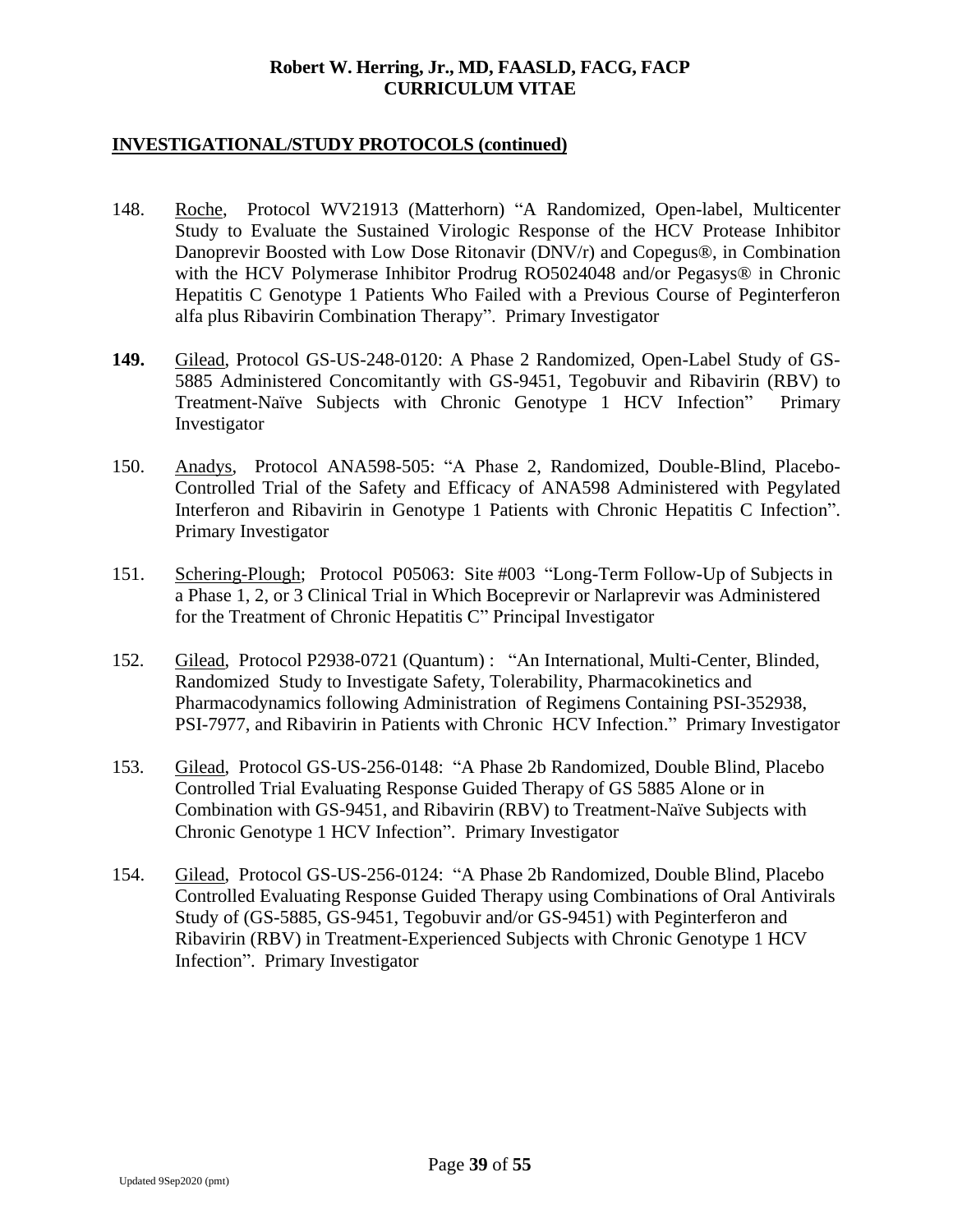- 148. Roche, Protocol WV21913 (Matterhorn) "A Randomized, Open-label, Multicenter Study to Evaluate the Sustained Virologic Response of the HCV Protease Inhibitor Danoprevir Boosted with Low Dose Ritonavir (DNV/r) and Copegus®, in Combination with the HCV Polymerase Inhibitor Prodrug RO5024048 and/or Pegasys® in Chronic Hepatitis C Genotype 1 Patients Who Failed with a Previous Course of Peginterferon alfa plus Ribavirin Combination Therapy". Primary Investigator
- **149.** Gilead, Protocol GS-US-248-0120: A Phase 2 Randomized, Open-Label Study of GS-5885 Administered Concomitantly with GS-9451, Tegobuvir and Ribavirin (RBV) to Treatment-Naïve Subjects with Chronic Genotype 1 HCV Infection" Primary Investigator
- 150. Anadys, Protocol ANA598-505: "A Phase 2, Randomized, Double-Blind, Placebo-Controlled Trial of the Safety and Efficacy of ANA598 Administered with Pegylated Interferon and Ribavirin in Genotype 1 Patients with Chronic Hepatitis C Infection". Primary Investigator
- 151. Schering-Plough; Protocol P05063: Site #003 "Long-Term Follow-Up of Subjects in a Phase 1, 2, or 3 Clinical Trial in Which Boceprevir or Narlaprevir was Administered for the Treatment of Chronic Hepatitis C" Principal Investigator
- 152. Gilead, Protocol P2938-0721 (Quantum) : "An International, Multi-Center, Blinded, Randomized Study to Investigate Safety, Tolerability, Pharmacokinetics and Pharmacodynamics following Administration of Regimens Containing PSI-352938, PSI-7977, and Ribavirin in Patients with Chronic HCV Infection." Primary Investigator
- 153. Gilead, Protocol GS-US-256-0148: "A Phase 2b Randomized, Double Blind, Placebo Controlled Trial Evaluating Response Guided Therapy of GS 5885 Alone or in Combination with GS-9451, and Ribavirin (RBV) to Treatment-Naïve Subjects with Chronic Genotype 1 HCV Infection". Primary Investigator
- 154. Gilead, Protocol GS-US-256-0124: "A Phase 2b Randomized, Double Blind, Placebo Controlled Evaluating Response Guided Therapy using Combinations of Oral Antivirals Study of (GS-5885, GS-9451, Tegobuvir and/or GS-9451) with Peginterferon and Ribavirin (RBV) in Treatment-Experienced Subjects with Chronic Genotype 1 HCV Infection". Primary Investigator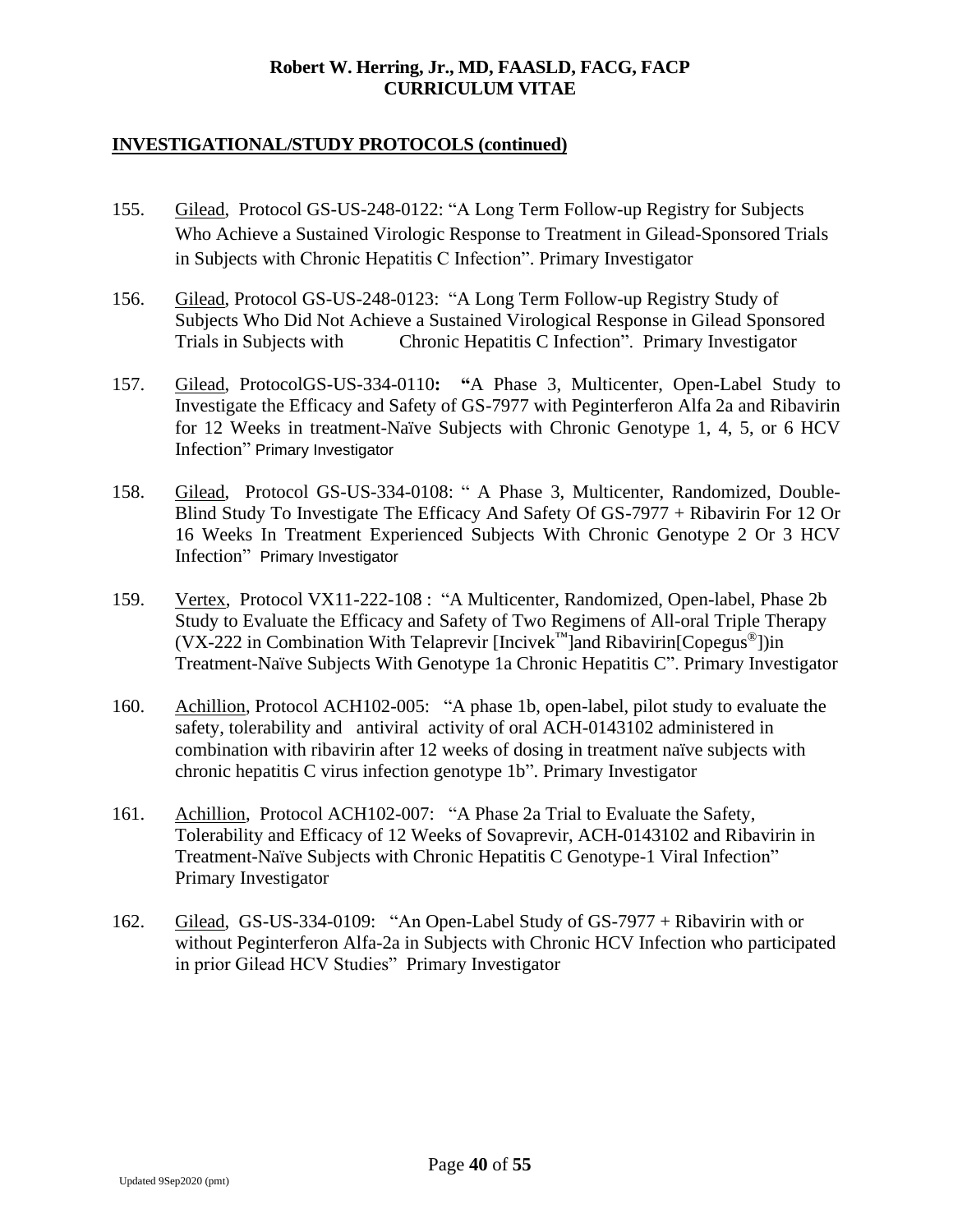- 155. Gilead, Protocol GS-US-248-0122: "A Long Term Follow-up Registry for Subjects Who Achieve a Sustained Virologic Response to Treatment in Gilead-Sponsored Trials in Subjects with Chronic Hepatitis C Infection". Primary Investigator
- 156. Gilead, Protocol GS-US-248-0123: "A Long Term Follow-up Registry Study of Subjects Who Did Not Achieve a Sustained Virological Response in Gilead Sponsored Trials in Subjects with Chronic Hepatitis C Infection". Primary Investigator
- 157. Gilead, ProtocolGS-US-334-0110**: "**A Phase 3, Multicenter, Open-Label Study to Investigate the Efficacy and Safety of GS-7977 with Peginterferon Alfa 2a and Ribavirin for 12 Weeks in treatment-Naïve Subjects with Chronic Genotype 1, 4, 5, or 6 HCV Infection" Primary Investigator
- 158. Gilead, Protocol GS-US-334-0108: " A Phase 3, Multicenter, Randomized, Double-Blind Study To Investigate The Efficacy And Safety Of GS-7977 + Ribavirin For 12 Or 16 Weeks In Treatment Experienced Subjects With Chronic Genotype 2 Or 3 HCV Infection" Primary Investigator
- 159. Vertex, Protocol VX11-222-108 : "A Multicenter, Randomized, Open-label, Phase 2b Study to Evaluate the Efficacy and Safety of Two Regimens of All-oral Triple Therapy (VX-222 in Combination With Telaprevir  $[Incivek<sup>m</sup>]$  and Ribavirin $[Copegus<sup>®</sup>]$ )in Treatment-Naïve Subjects With Genotype 1a Chronic Hepatitis C". Primary Investigator
- 160. Achillion, Protocol ACH102-005: "A phase 1b, open-label, pilot study to evaluate the safety, tolerability and antiviral activity of oral ACH-0143102 administered in combination with ribavirin after 12 weeks of dosing in treatment naïve subjects with chronic hepatitis C virus infection genotype 1b". Primary Investigator
- 161. Achillion, Protocol ACH102-007: "A Phase 2a Trial to Evaluate the Safety, Tolerability and Efficacy of 12 Weeks of Sovaprevir, ACH-0143102 and Ribavirin in Treatment-Naïve Subjects with Chronic Hepatitis C Genotype-1 Viral Infection" Primary Investigator
- 162. Gilead, GS-US-334-0109: "An Open-Label Study of GS-7977 + Ribavirin with or without Peginterferon Alfa-2a in Subjects with Chronic HCV Infection who participated in prior Gilead HCV Studies" Primary Investigator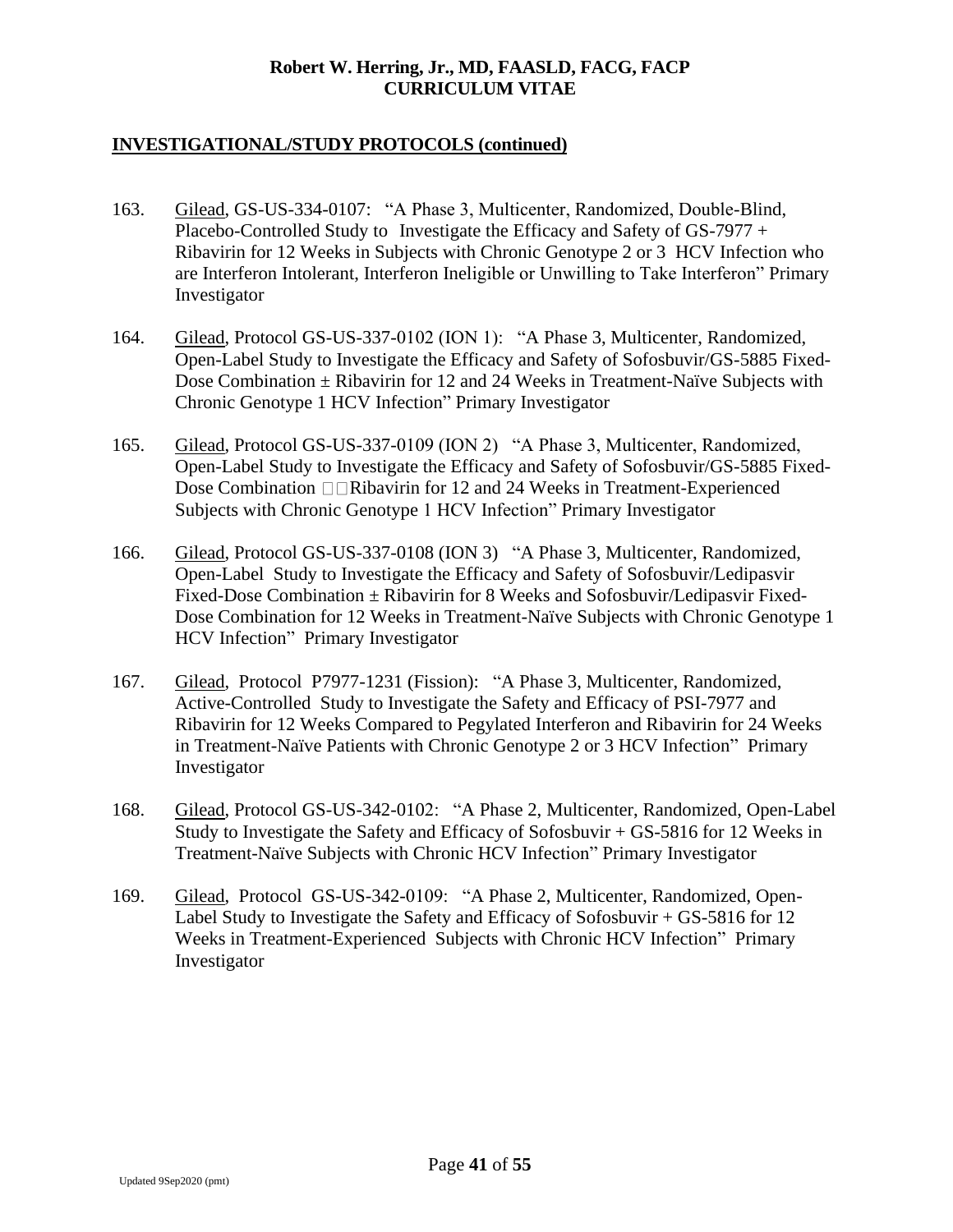- 163. Gilead, GS-US-334-0107: "A Phase 3, Multicenter, Randomized, Double-Blind, Placebo-Controlled Study to Investigate the Efficacy and Safety of GS-7977 + Ribavirin for 12 Weeks in Subjects with Chronic Genotype 2 or 3 HCV Infection who are Interferon Intolerant, Interferon Ineligible or Unwilling to Take Interferon" Primary Investigator
- 164. Gilead, Protocol GS-US-337-0102 (ION 1): "A Phase 3, Multicenter, Randomized, Open-Label Study to Investigate the Efficacy and Safety of Sofosbuvir/GS-5885 Fixed-Dose Combination  $\pm$  Ribavirin for 12 and 24 Weeks in Treatment-Naïve Subjects with Chronic Genotype 1 HCV Infection" Primary Investigator
- 165. Gilead, Protocol GS-US-337-0109 (ION 2) "A Phase 3, Multicenter, Randomized, Open-Label Study to Investigate the Efficacy and Safety of Sofosbuvir/GS-5885 Fixed-Dose Combination  $\Box$ Ribavirin for 12 and 24 Weeks in Treatment-Experienced Subjects with Chronic Genotype 1 HCV Infection" Primary Investigator
- 166. Gilead, Protocol GS-US-337-0108 (ION 3) "A Phase 3, Multicenter, Randomized, Open-Label Study to Investigate the Efficacy and Safety of Sofosbuvir/Ledipasvir Fixed-Dose Combination  $\pm$  Ribavirin for 8 Weeks and Sofosbuvir/Ledipasvir Fixed-Dose Combination for 12 Weeks in Treatment-Naïve Subjects with Chronic Genotype 1 HCV Infection" Primary Investigator
- 167. Gilead, Protocol P7977-1231 (Fission): "A Phase 3, Multicenter, Randomized, Active-Controlled Study to Investigate the Safety and Efficacy of PSI-7977 and Ribavirin for 12 Weeks Compared to Pegylated Interferon and Ribavirin for 24 Weeks in Treatment-Naïve Patients with Chronic Genotype 2 or 3 HCV Infection" Primary Investigator
- 168. Gilead, Protocol GS-US-342-0102: "A Phase 2, Multicenter, Randomized, Open-Label Study to Investigate the Safety and Efficacy of Sofosbuvir + GS-5816 for 12 Weeks in Treatment-Naïve Subjects with Chronic HCV Infection" Primary Investigator
- 169. Gilead, Protocol GS-US-342-0109: "A Phase 2, Multicenter, Randomized, Open-Label Study to Investigate the Safety and Efficacy of Sofosbuvir + GS-5816 for 12 Weeks in Treatment-Experienced Subjects with Chronic HCV Infection" Primary Investigator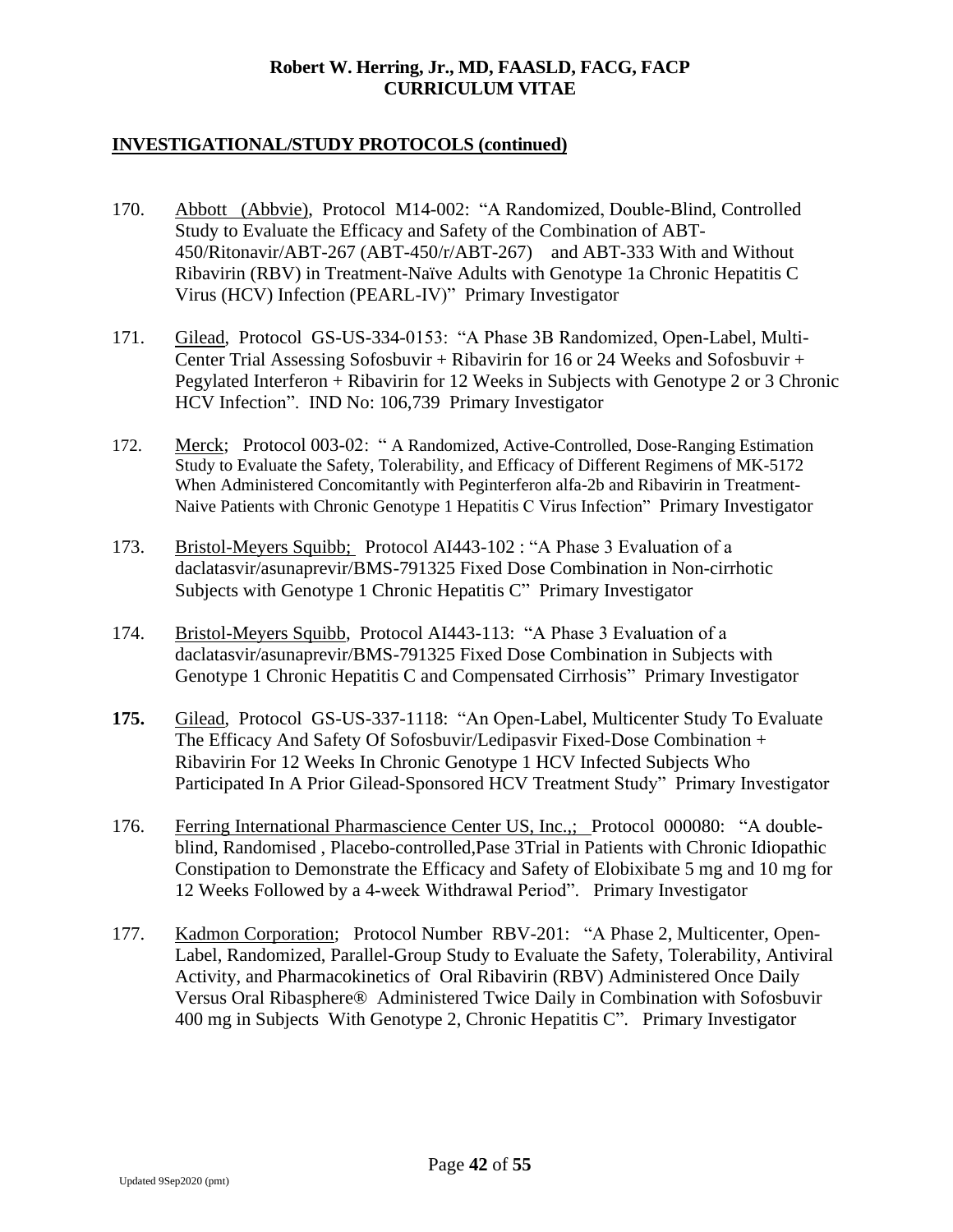- 170. Abbott (Abbvie), Protocol M14-002: "A Randomized, Double-Blind, Controlled Study to Evaluate the Efficacy and Safety of the Combination of ABT-450/Ritonavir/ABT-267 (ABT-450/r/ABT-267) and ABT-333 With and Without Ribavirin (RBV) in Treatment-Naïve Adults with Genotype 1a Chronic Hepatitis C Virus (HCV) Infection (PEARL-IV)" Primary Investigator
- 171. Gilead, Protocol GS-US-334-0153: "A Phase 3B Randomized, Open-Label, Multi-Center Trial Assessing Sofosbuvir + Ribavirin for 16 or 24 Weeks and Sofosbuvir + Pegylated Interferon + Ribavirin for 12 Weeks in Subjects with Genotype 2 or 3 Chronic HCV Infection". IND No: 106,739 Primary Investigator
- 172. Merck; Protocol 003-02: " A Randomized, Active-Controlled, Dose-Ranging Estimation Study to Evaluate the Safety, Tolerability, and Efficacy of Different Regimens of MK-5172 When Administered Concomitantly with Peginterferon alfa-2b and Ribavirin in Treatment-Naive Patients with Chronic Genotype 1 Hepatitis C Virus Infection" Primary Investigator
- 173. Bristol-Meyers Squibb; Protocol AI443-102 : "A Phase 3 Evaluation of a daclatasvir/asunaprevir/BMS-791325 Fixed Dose Combination in Non-cirrhotic Subjects with Genotype 1 Chronic Hepatitis C" Primary Investigator
- 174. Bristol-Meyers Squibb, Protocol AI443-113: "A Phase 3 Evaluation of a daclatasvir/asunaprevir/BMS-791325 Fixed Dose Combination in Subjects with Genotype 1 Chronic Hepatitis C and Compensated Cirrhosis" Primary Investigator
- **175.** Gilead, Protocol GS-US-337-1118: "An Open-Label, Multicenter Study To Evaluate The Efficacy And Safety Of Sofosbuvir/Ledipasvir Fixed-Dose Combination + Ribavirin For 12 Weeks In Chronic Genotype 1 HCV Infected Subjects Who Participated In A Prior Gilead-Sponsored HCV Treatment Study" Primary Investigator
- 176. Ferring International Pharmascience Center US, Inc.,; Protocol 000080: "A doubleblind, Randomised , Placebo-controlled,Pase 3Trial in Patients with Chronic Idiopathic Constipation to Demonstrate the Efficacy and Safety of Elobixibate 5 mg and 10 mg for 12 Weeks Followed by a 4-week Withdrawal Period". Primary Investigator
- 177. Kadmon Corporation; Protocol Number RBV-201: "A Phase 2, Multicenter, Open-Label, Randomized, Parallel-Group Study to Evaluate the Safety, Tolerability, Antiviral Activity, and Pharmacokinetics of Oral Ribavirin (RBV) Administered Once Daily Versus Oral Ribasphere® Administered Twice Daily in Combination with Sofosbuvir 400 mg in Subjects With Genotype 2, Chronic Hepatitis C". Primary Investigator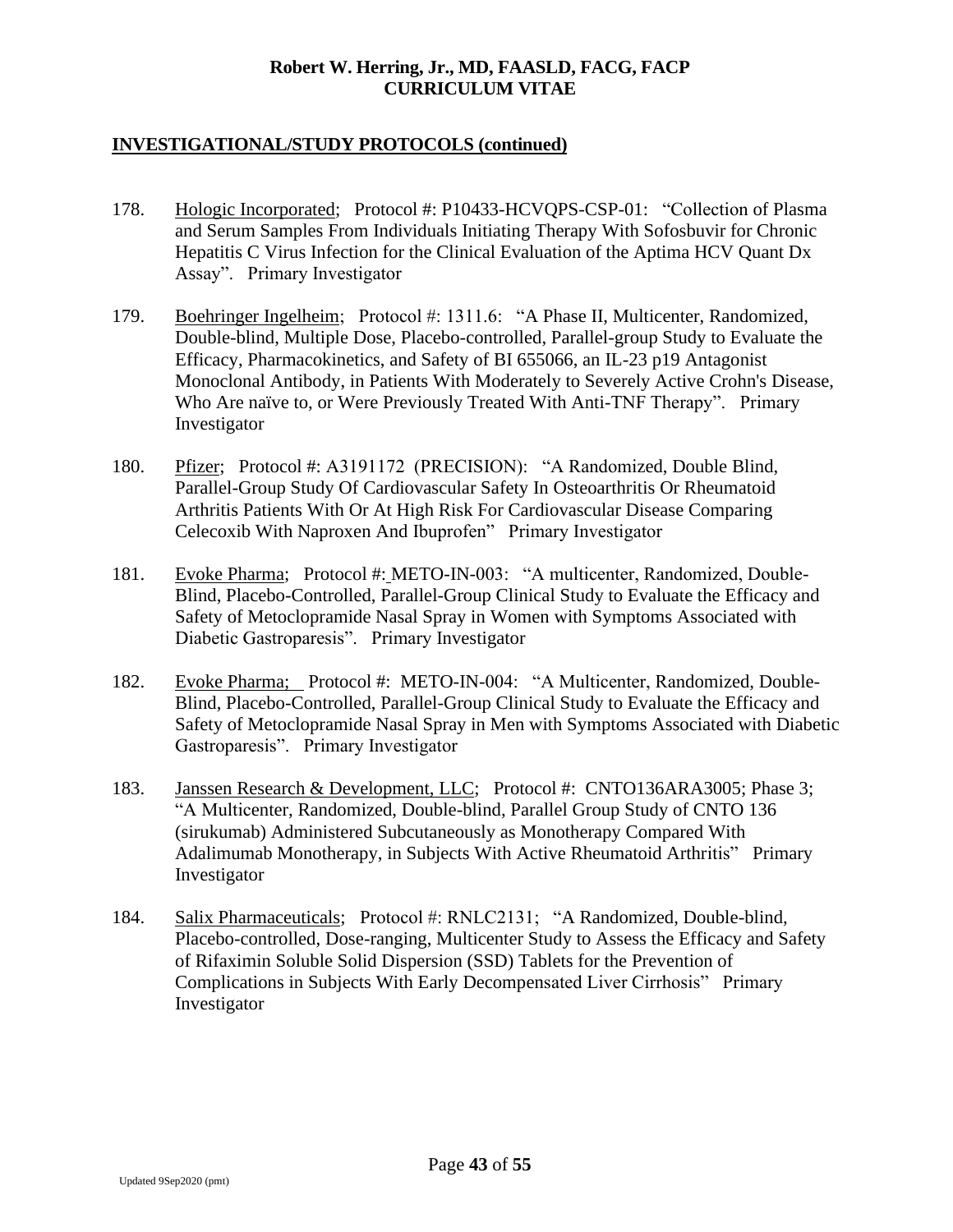- 178. Hologic Incorporated; Protocol #: P10433-HCVQPS-CSP-01: "Collection of Plasma and Serum Samples From Individuals Initiating Therapy With Sofosbuvir for Chronic Hepatitis C Virus Infection for the Clinical Evaluation of the Aptima HCV Quant Dx Assay". Primary Investigator
- 179. Boehringer Ingelheim; Protocol #: 1311.6: "A Phase II, Multicenter, Randomized, Double-blind, Multiple Dose, Placebo-controlled, Parallel-group Study to Evaluate the Efficacy, Pharmacokinetics, and Safety of BI 655066, an IL-23 p19 Antagonist Monoclonal Antibody, in Patients With Moderately to Severely Active Crohn's Disease, Who Are naïve to, or Were Previously Treated With Anti-TNF Therapy". Primary Investigator
- 180. Pfizer; Protocol #: A3191172 (PRECISION): "A Randomized, Double Blind, Parallel-Group Study Of Cardiovascular Safety In Osteoarthritis Or Rheumatoid Arthritis Patients With Or At High Risk For Cardiovascular Disease Comparing Celecoxib With Naproxen And Ibuprofen" Primary Investigator
- 181. Evoke Pharma; Protocol #: METO-IN-003: "A multicenter, Randomized, Double-Blind, Placebo-Controlled, Parallel-Group Clinical Study to Evaluate the Efficacy and Safety of Metoclopramide Nasal Spray in Women with Symptoms Associated with Diabetic Gastroparesis". Primary Investigator
- 182. Evoke Pharma; Protocol #: METO-IN-004: "A Multicenter, Randomized, Double-Blind, Placebo-Controlled, Parallel-Group Clinical Study to Evaluate the Efficacy and Safety of Metoclopramide Nasal Spray in Men with Symptoms Associated with Diabetic Gastroparesis". Primary Investigator
- 183. Janssen Research & Development, LLC; Protocol #: CNTO136ARA3005; Phase 3; "A Multicenter, Randomized, Double-blind, Parallel Group Study of CNTO 136 (sirukumab) Administered Subcutaneously as Monotherapy Compared With Adalimumab Monotherapy, in Subjects With Active Rheumatoid Arthritis" Primary Investigator
- 184. Salix Pharmaceuticals; Protocol #: RNLC2131; "A Randomized, Double-blind, Placebo-controlled, Dose-ranging, Multicenter Study to Assess the Efficacy and Safety of Rifaximin Soluble Solid Dispersion (SSD) Tablets for the Prevention of Complications in Subjects With Early Decompensated Liver Cirrhosis" Primary Investigator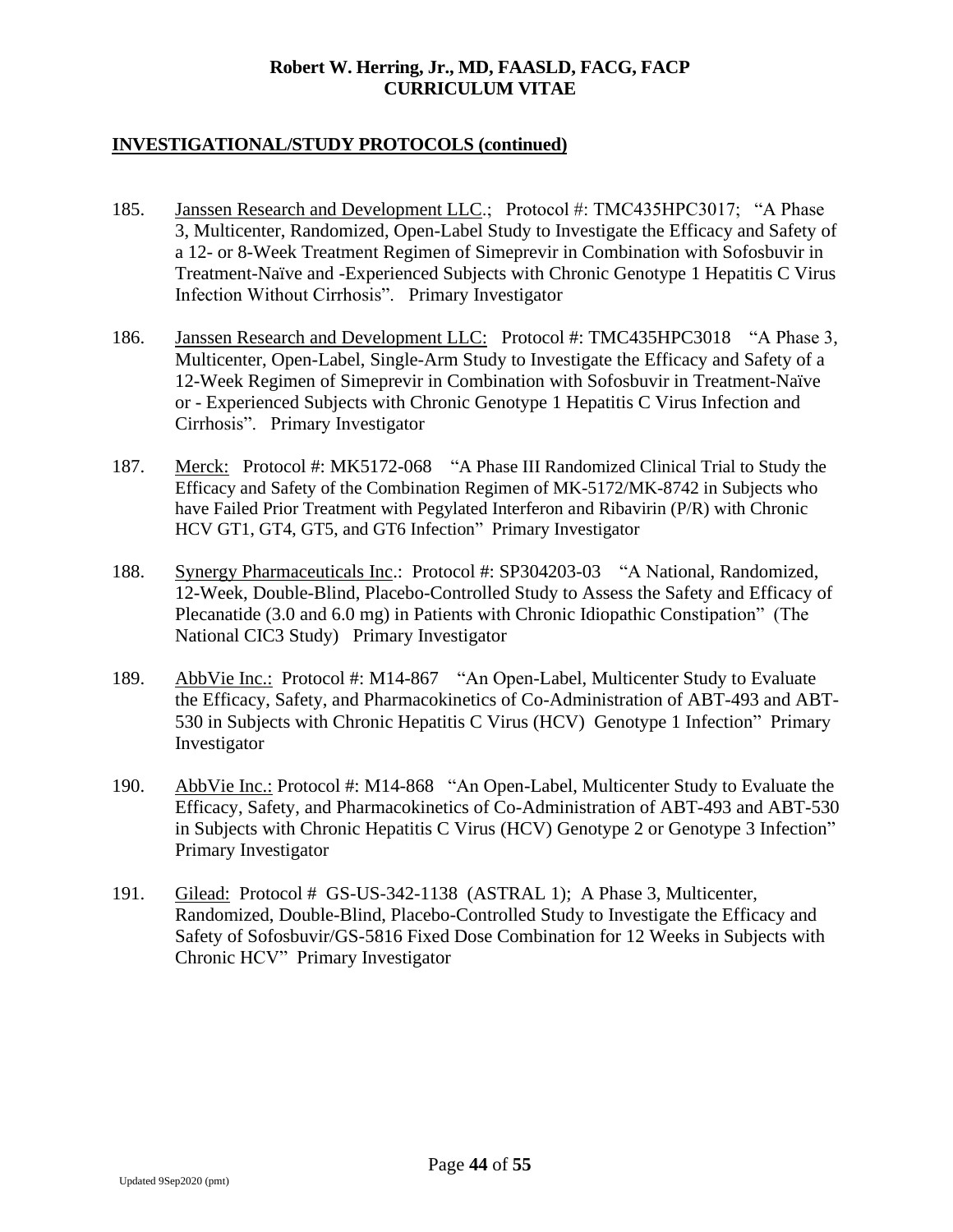- 185. Janssen Research and Development LLC.; Protocol #: TMC435HPC3017; "A Phase 3, Multicenter, Randomized, Open-Label Study to Investigate the Efficacy and Safety of a 12- or 8-Week Treatment Regimen of Simeprevir in Combination with Sofosbuvir in Treatment-Naïve and -Experienced Subjects with Chronic Genotype 1 Hepatitis C Virus Infection Without Cirrhosis". Primary Investigator
- 186. Janssen Research and Development LLC: Protocol #: TMC435HPC3018 "A Phase 3, Multicenter, Open-Label, Single-Arm Study to Investigate the Efficacy and Safety of a 12-Week Regimen of Simeprevir in Combination with Sofosbuvir in Treatment-Naïve or - Experienced Subjects with Chronic Genotype 1 Hepatitis C Virus Infection and Cirrhosis". Primary Investigator
- 187. Merck: Protocol #: MK5172-068 "A Phase III Randomized Clinical Trial to Study the Efficacy and Safety of the Combination Regimen of MK-5172/MK-8742 in Subjects who have Failed Prior Treatment with Pegylated Interferon and Ribavirin (P/R) with Chronic HCV GT1, GT4, GT5, and GT6 Infection" Primary Investigator
- 188. Synergy Pharmaceuticals Inc.: Protocol #: SP304203-03 "A National, Randomized, 12-Week, Double-Blind, Placebo-Controlled Study to Assess the Safety and Efficacy of Plecanatide (3.0 and 6.0 mg) in Patients with Chronic Idiopathic Constipation" (The National CIC3 Study) Primary Investigator
- 189. AbbVie Inc.: Protocol #: M14-867 "An Open-Label, Multicenter Study to Evaluate the Efficacy, Safety, and Pharmacokinetics of Co-Administration of ABT-493 and ABT-530 in Subjects with Chronic Hepatitis C Virus (HCV) Genotype 1 Infection" Primary Investigator
- 190. AbbVie Inc.: Protocol #: M14-868 "An Open-Label, Multicenter Study to Evaluate the Efficacy, Safety, and Pharmacokinetics of Co-Administration of ABT-493 and ABT-530 in Subjects with Chronic Hepatitis C Virus (HCV) Genotype 2 or Genotype 3 Infection" Primary Investigator
- 191. Gilead: Protocol # GS-US-342-1138 (ASTRAL 1); A Phase 3, Multicenter, Randomized, Double-Blind, Placebo-Controlled Study to Investigate the Efficacy and Safety of Sofosbuvir/GS-5816 Fixed Dose Combination for 12 Weeks in Subjects with Chronic HCV" Primary Investigator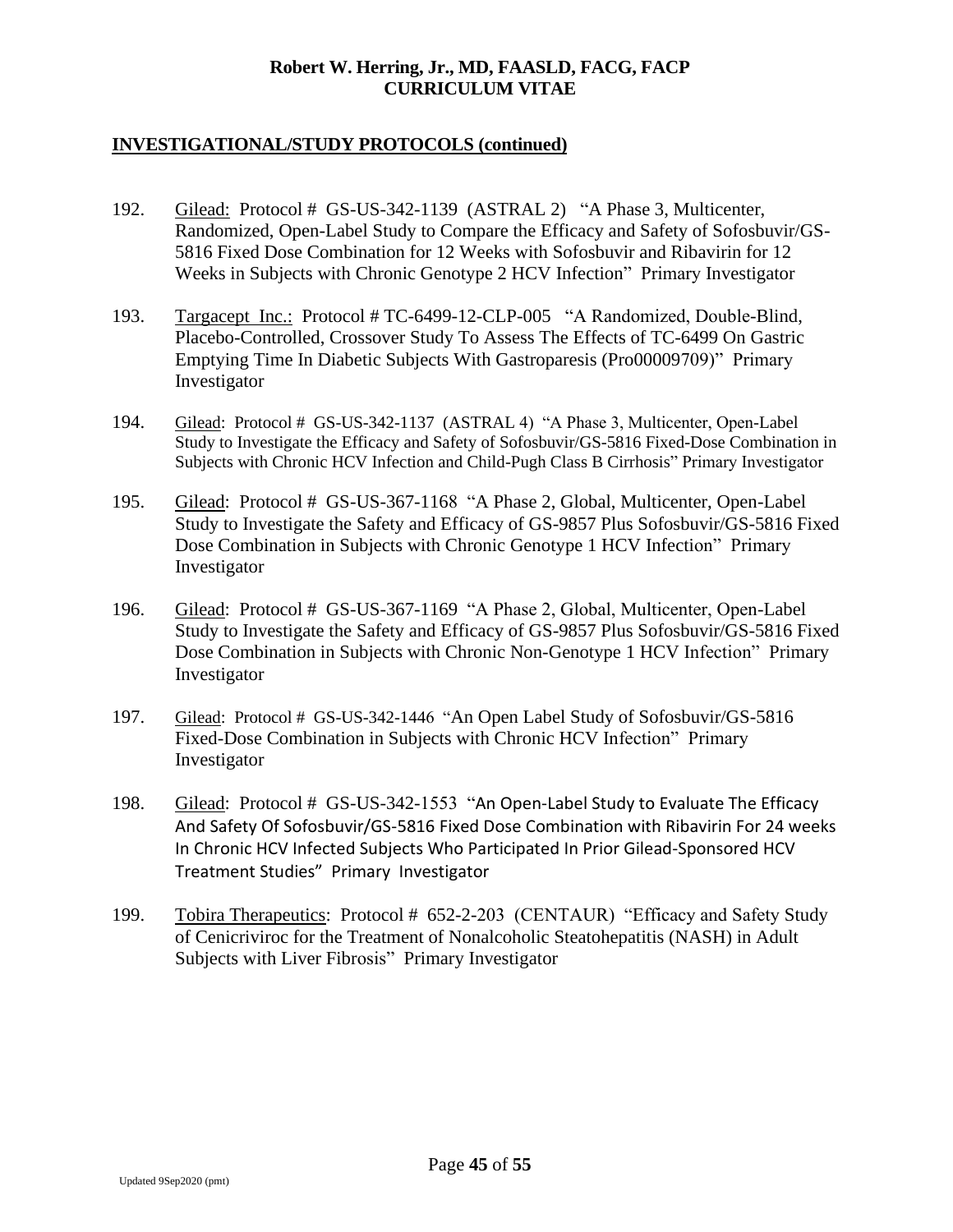- 192. Gilead: Protocol # GS-US-342-1139 (ASTRAL 2) "A Phase 3, Multicenter, Randomized, Open-Label Study to Compare the Efficacy and Safety of Sofosbuvir/GS-5816 Fixed Dose Combination for 12 Weeks with Sofosbuvir and Ribavirin for 12 Weeks in Subjects with Chronic Genotype 2 HCV Infection" Primary Investigator
- 193. Targacept Inc.: Protocol # TC-6499-12-CLP-005 "A Randomized, Double-Blind, Placebo-Controlled, Crossover Study To Assess The Effects of TC-6499 On Gastric Emptying Time In Diabetic Subjects With Gastroparesis (Pro00009709)" Primary Investigator
- 194. Gilead: Protocol # GS-US-342-1137 (ASTRAL 4) "A Phase 3, Multicenter, Open-Label Study to Investigate the Efficacy and Safety of Sofosbuvir/GS-5816 Fixed-Dose Combination in Subjects with Chronic HCV Infection and Child-Pugh Class B Cirrhosis" Primary Investigator
- 195. Gilead: Protocol # GS-US-367-1168 "A Phase 2, Global, Multicenter, Open-Label Study to Investigate the Safety and Efficacy of GS-9857 Plus Sofosbuvir/GS-5816 Fixed Dose Combination in Subjects with Chronic Genotype 1 HCV Infection" Primary Investigator
- 196. Gilead: Protocol # GS-US-367-1169 "A Phase 2, Global, Multicenter, Open-Label Study to Investigate the Safety and Efficacy of GS-9857 Plus Sofosbuvir/GS-5816 Fixed Dose Combination in Subjects with Chronic Non-Genotype 1 HCV Infection" Primary Investigator
- 197. Gilead: Protocol # GS-US-342-1446 "An Open Label Study of Sofosbuvir/GS-5816 Fixed-Dose Combination in Subjects with Chronic HCV Infection" Primary Investigator
- 198. Gilead: Protocol # GS-US-342-1553 "An Open-Label Study to Evaluate The Efficacy And Safety Of Sofosbuvir/GS-5816 Fixed Dose Combination with Ribavirin For 24 weeks In Chronic HCV Infected Subjects Who Participated In Prior Gilead-Sponsored HCV Treatment Studies" Primary Investigator
- 199. Tobira Therapeutics: Protocol # 652-2-203 (CENTAUR) "Efficacy and Safety Study of Cenicriviroc for the Treatment of Nonalcoholic Steatohepatitis (NASH) in Adult Subjects with Liver Fibrosis" Primary Investigator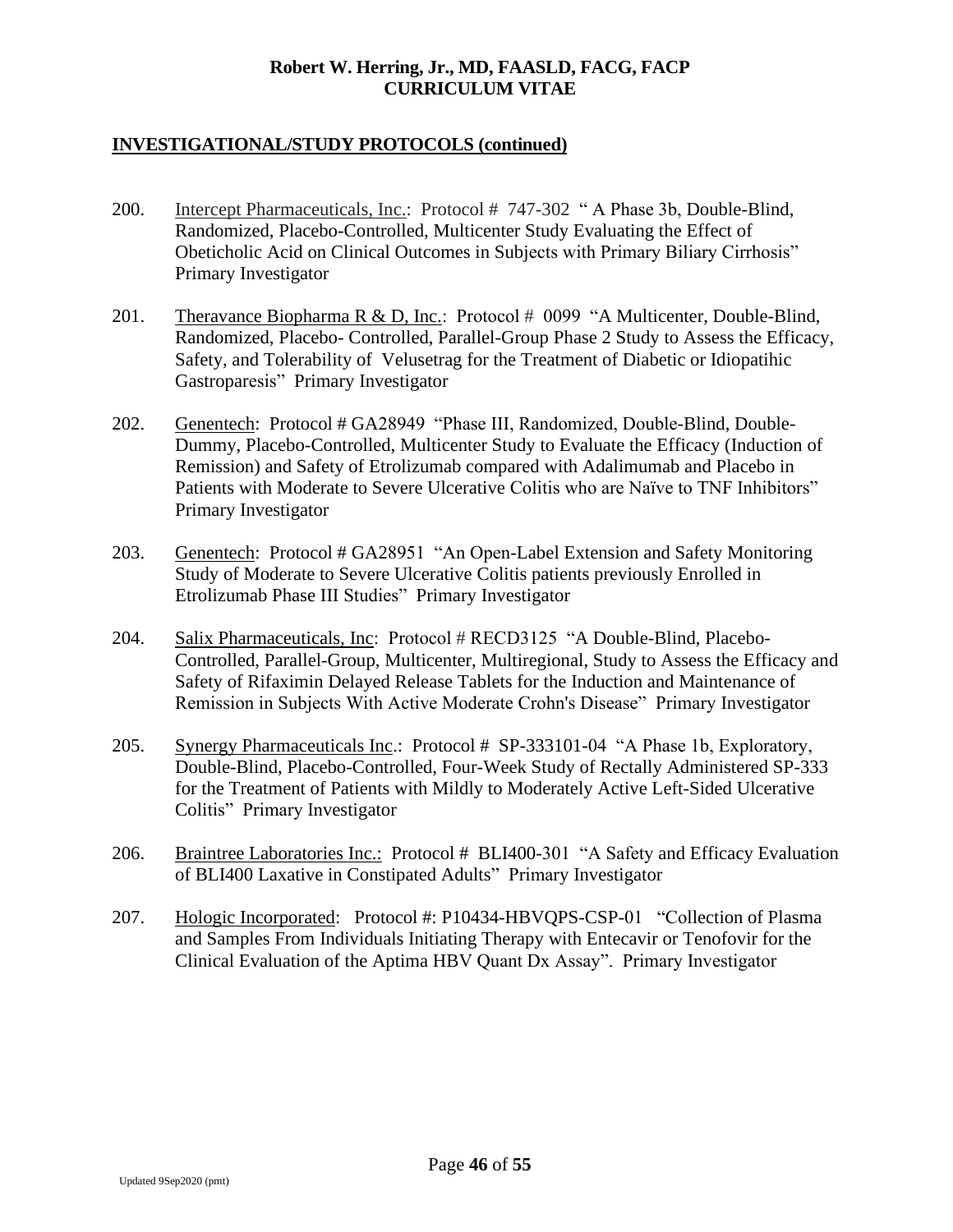- 200. Intercept Pharmaceuticals, Inc.: Protocol # 747-302 " A Phase 3b, Double-Blind, Randomized, Placebo-Controlled, Multicenter Study Evaluating the Effect of Obeticholic Acid on Clinical Outcomes in Subjects with Primary Biliary Cirrhosis" Primary Investigator
- 201. Theravance Biopharma R & D, Inc.: Protocol # 0099 "A Multicenter, Double-Blind, Randomized, Placebo- Controlled, Parallel-Group Phase 2 Study to Assess the Efficacy, Safety, and Tolerability of Velusetrag for the Treatment of Diabetic or Idiopatihic Gastroparesis" Primary Investigator
- 202. Genentech: Protocol # GA28949 "Phase III, Randomized, Double-Blind, Double-Dummy, Placebo-Controlled, Multicenter Study to Evaluate the Efficacy (Induction of Remission) and Safety of Etrolizumab compared with Adalimumab and Placebo in Patients with Moderate to Severe Ulcerative Colitis who are Naïve to TNF Inhibitors" Primary Investigator
- 203. Genentech: Protocol # GA28951 "An Open-Label Extension and Safety Monitoring Study of Moderate to Severe Ulcerative Colitis patients previously Enrolled in Etrolizumab Phase III Studies" Primary Investigator
- 204. Salix Pharmaceuticals, Inc: Protocol # RECD3125 "A Double-Blind, Placebo-Controlled, Parallel-Group, Multicenter, Multiregional, Study to Assess the Efficacy and Safety of Rifaximin Delayed Release Tablets for the Induction and Maintenance of Remission in Subjects With Active Moderate Crohn's Disease" Primary Investigator
- 205. Synergy Pharmaceuticals Inc.: Protocol # SP-333101-04 "A Phase 1b, Exploratory, Double-Blind, Placebo-Controlled, Four-Week Study of Rectally Administered SP-333 for the Treatment of Patients with Mildly to Moderately Active Left-Sided Ulcerative Colitis" Primary Investigator
- 206. Braintree Laboratories Inc.: Protocol # BLI400-301 "A Safety and Efficacy Evaluation of BLI400 Laxative in Constipated Adults" Primary Investigator
- 207. Hologic Incorporated: Protocol #: P10434-HBVQPS-CSP-01 "Collection of Plasma and Samples From Individuals Initiating Therapy with Entecavir or Tenofovir for the Clinical Evaluation of the Aptima HBV Quant Dx Assay". Primary Investigator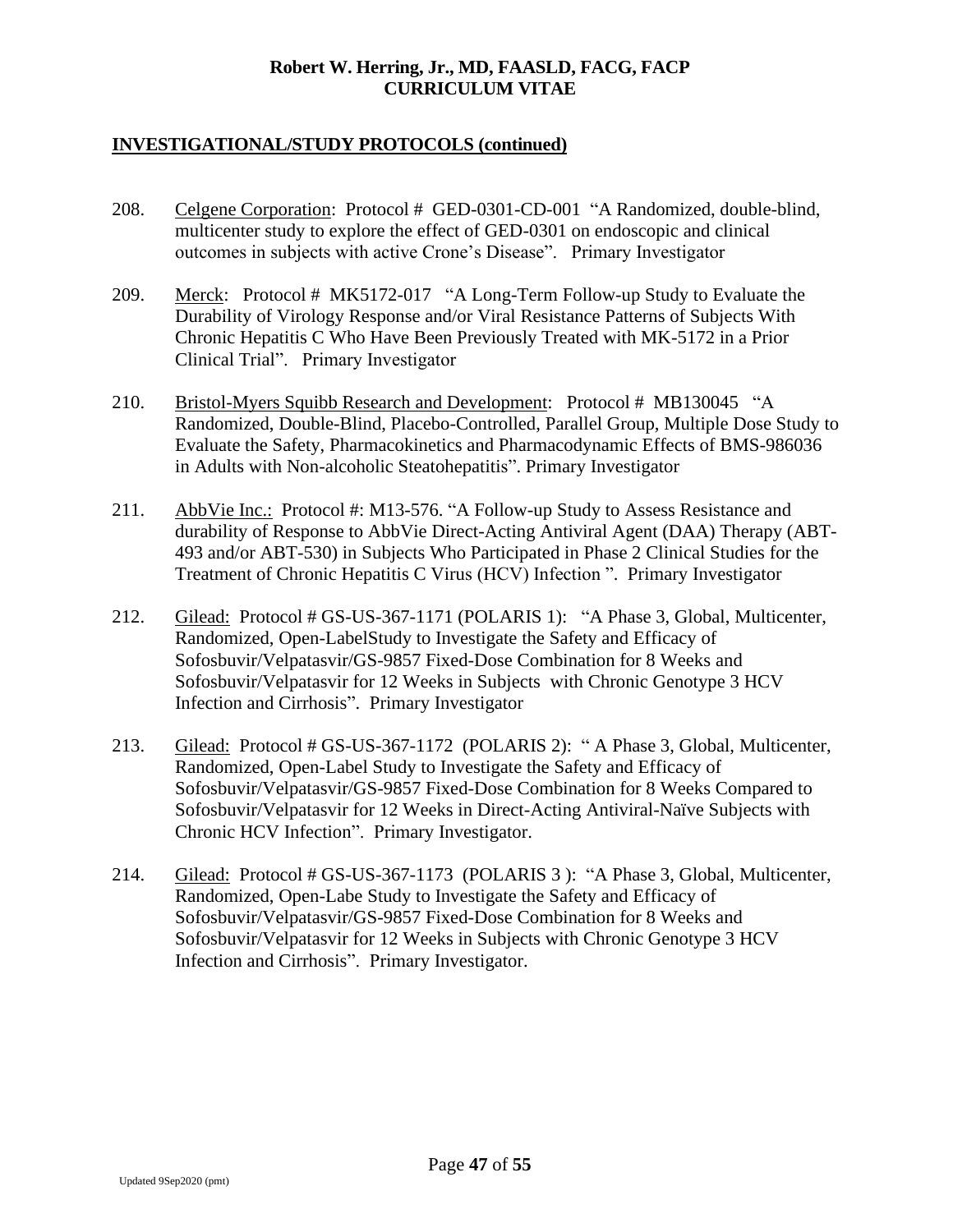- 208. Celgene Corporation: Protocol # GED-0301-CD-001 "A Randomized, double-blind, multicenter study to explore the effect of GED-0301 on endoscopic and clinical outcomes in subjects with active Crone's Disease". Primary Investigator
- 209. Merck: Protocol # MK5172-017 "A Long-Term Follow-up Study to Evaluate the Durability of Virology Response and/or Viral Resistance Patterns of Subjects With Chronic Hepatitis C Who Have Been Previously Treated with MK-5172 in a Prior Clinical Trial". Primary Investigator
- 210. Bristol-Myers Squibb Research and Development: Protocol # MB130045 "A Randomized, Double-Blind, Placebo-Controlled, Parallel Group, Multiple Dose Study to Evaluate the Safety, Pharmacokinetics and Pharmacodynamic Effects of BMS-986036 in Adults with Non-alcoholic Steatohepatitis". Primary Investigator
- 211. AbbVie Inc.: Protocol #: M13-576. "A Follow-up Study to Assess Resistance and durability of Response to AbbVie Direct-Acting Antiviral Agent (DAA) Therapy (ABT-493 and/or ABT-530) in Subjects Who Participated in Phase 2 Clinical Studies for the Treatment of Chronic Hepatitis C Virus (HCV) Infection ". Primary Investigator
- 212. Gilead: Protocol # GS-US-367-1171 (POLARIS 1): "A Phase 3, Global, Multicenter, Randomized, Open-LabelStudy to Investigate the Safety and Efficacy of Sofosbuvir/Velpatasvir/GS-9857 Fixed-Dose Combination for 8 Weeks and Sofosbuvir/Velpatasvir for 12 Weeks in Subjects with Chronic Genotype 3 HCV Infection and Cirrhosis". Primary Investigator
- 213. Gilead: Protocol # GS-US-367-1172 (POLARIS 2): " A Phase 3, Global, Multicenter, Randomized, Open-Label Study to Investigate the Safety and Efficacy of Sofosbuvir/Velpatasvir/GS-9857 Fixed-Dose Combination for 8 Weeks Compared to Sofosbuvir/Velpatasvir for 12 Weeks in Direct-Acting Antiviral-Naïve Subjects with Chronic HCV Infection". Primary Investigator.
- 214. Gilead: Protocol # GS-US-367-1173 (POLARIS 3 ): "A Phase 3, Global, Multicenter, Randomized, Open-Labe Study to Investigate the Safety and Efficacy of Sofosbuvir/Velpatasvir/GS-9857 Fixed-Dose Combination for 8 Weeks and Sofosbuvir/Velpatasvir for 12 Weeks in Subjects with Chronic Genotype 3 HCV Infection and Cirrhosis". Primary Investigator.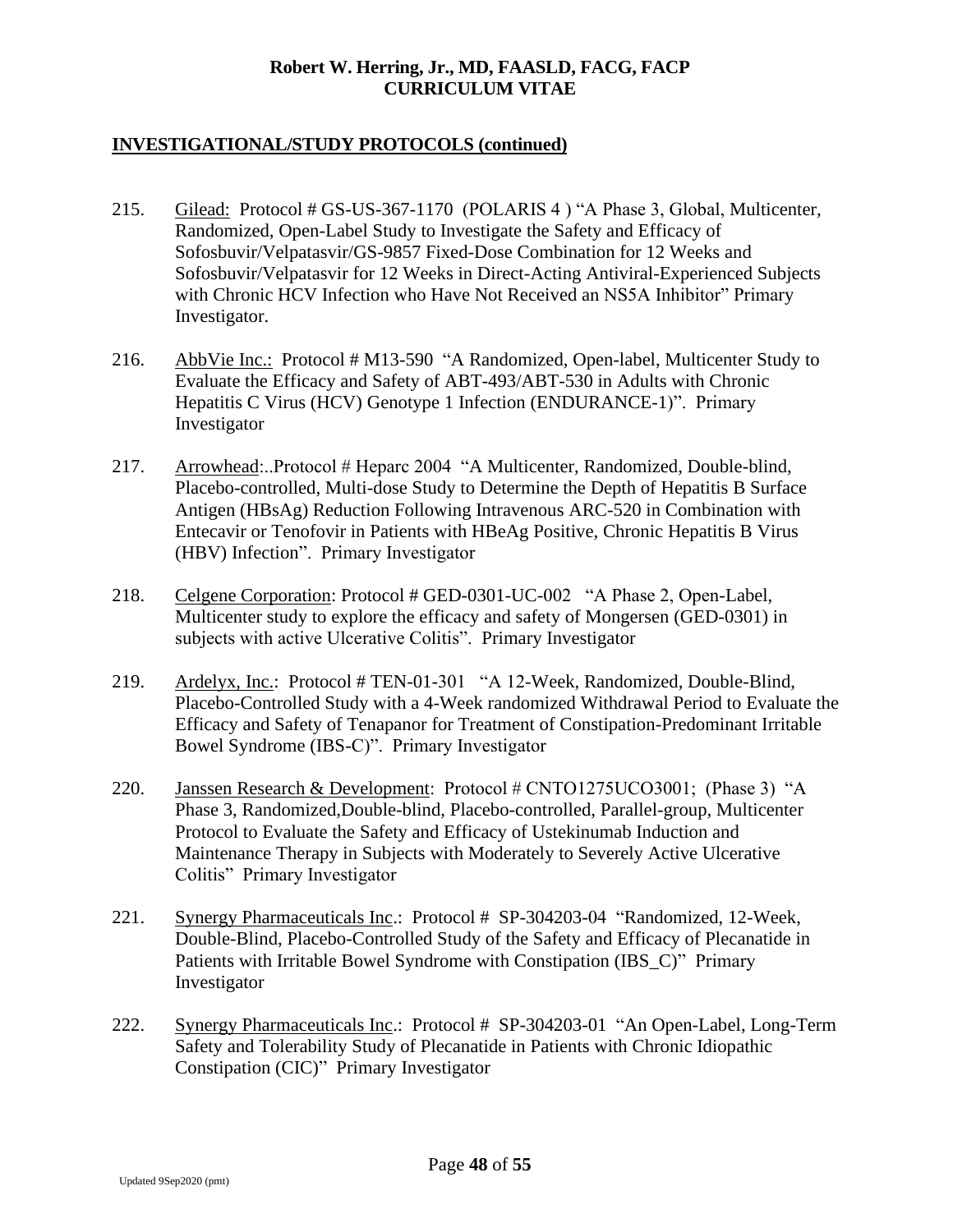- 215. Gilead: Protocol # GS-US-367-1170 (POLARIS 4 ) "A Phase 3, Global, Multicenter, Randomized, Open-Label Study to Investigate the Safety and Efficacy of Sofosbuvir/Velpatasvir/GS-9857 Fixed-Dose Combination for 12 Weeks and Sofosbuvir/Velpatasvir for 12 Weeks in Direct-Acting Antiviral-Experienced Subjects with Chronic HCV Infection who Have Not Received an NS5A Inhibitor" Primary Investigator.
- 216. AbbVie Inc.: Protocol # M13-590 "A Randomized, Open-label, Multicenter Study to Evaluate the Efficacy and Safety of ABT-493/ABT-530 in Adults with Chronic Hepatitis C Virus (HCV) Genotype 1 Infection (ENDURANCE-1)". Primary Investigator
- 217. Arrowhead:..Protocol # Heparc 2004 "A Multicenter, Randomized, Double-blind, Placebo-controlled, Multi-dose Study to Determine the Depth of Hepatitis B Surface Antigen (HBsAg) Reduction Following Intravenous ARC-520 in Combination with Entecavir or Tenofovir in Patients with HBeAg Positive, Chronic Hepatitis B Virus (HBV) Infection". Primary Investigator
- 218. Celgene Corporation: Protocol # GED-0301-UC-002 "A Phase 2, Open-Label, Multicenter study to explore the efficacy and safety of Mongersen (GED-0301) in subjects with active Ulcerative Colitis". Primary Investigator
- 219. Ardelyx, Inc.: Protocol # TEN-01-301 "A 12-Week, Randomized, Double-Blind, Placebo-Controlled Study with a 4-Week randomized Withdrawal Period to Evaluate the Efficacy and Safety of Tenapanor for Treatment of Constipation-Predominant Irritable Bowel Syndrome (IBS-C)". Primary Investigator
- 220. Janssen Research & Development: Protocol # CNTO1275UCO3001; (Phase 3) "A Phase 3, Randomized,Double-blind, Placebo-controlled, Parallel-group, Multicenter Protocol to Evaluate the Safety and Efficacy of Ustekinumab Induction and Maintenance Therapy in Subjects with Moderately to Severely Active Ulcerative Colitis" Primary Investigator
- 221. Synergy Pharmaceuticals Inc.: Protocol # SP-304203-04 "Randomized, 12-Week, Double-Blind, Placebo-Controlled Study of the Safety and Efficacy of Plecanatide in Patients with Irritable Bowel Syndrome with Constipation (IBS\_C)" Primary Investigator
- 222. Synergy Pharmaceuticals Inc.: Protocol # SP-304203-01 "An Open-Label, Long-Term Safety and Tolerability Study of Plecanatide in Patients with Chronic Idiopathic Constipation (CIC)" Primary Investigator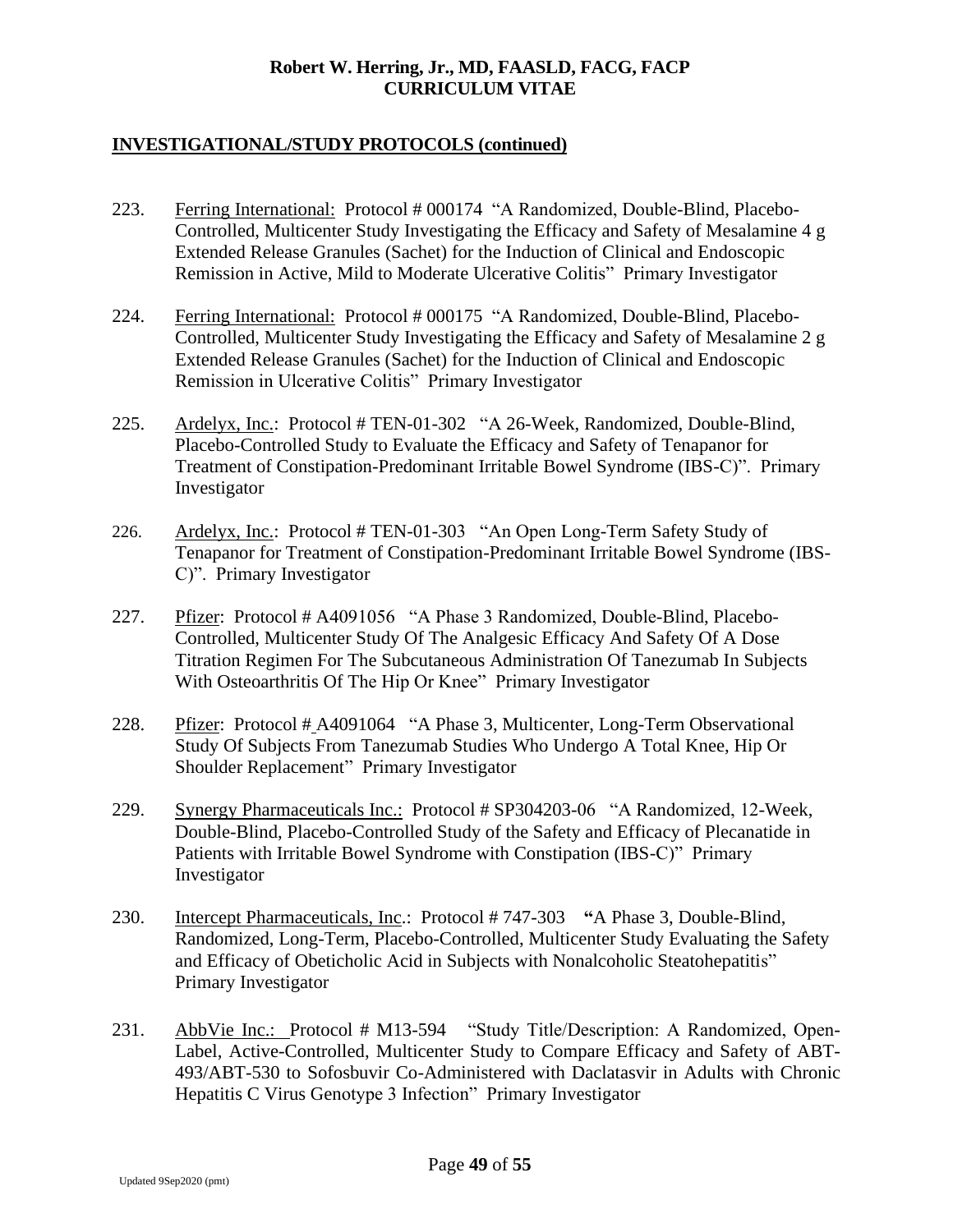- 223. Ferring International: Protocol # 000174 "A Randomized, Double-Blind, Placebo-Controlled, Multicenter Study Investigating the Efficacy and Safety of Mesalamine 4 g Extended Release Granules (Sachet) for the Induction of Clinical and Endoscopic Remission in Active, Mild to Moderate Ulcerative Colitis" Primary Investigator
- 224. Ferring International: Protocol # 000175 "A Randomized, Double-Blind, Placebo-Controlled, Multicenter Study Investigating the Efficacy and Safety of Mesalamine 2 g Extended Release Granules (Sachet) for the Induction of Clinical and Endoscopic Remission in Ulcerative Colitis" Primary Investigator
- 225. Ardelyx, Inc.: Protocol # TEN-01-302 "A 26-Week, Randomized, Double-Blind, Placebo-Controlled Study to Evaluate the Efficacy and Safety of Tenapanor for Treatment of Constipation-Predominant Irritable Bowel Syndrome (IBS-C)". Primary Investigator
- 226. Ardelyx, Inc.: Protocol # TEN-01-303 "An Open Long-Term Safety Study of Tenapanor for Treatment of Constipation-Predominant Irritable Bowel Syndrome (IBS-C)". Primary Investigator
- 227. Pfizer: Protocol # A4091056 "A Phase 3 Randomized, Double-Blind, Placebo-Controlled, Multicenter Study Of The Analgesic Efficacy And Safety Of A Dose Titration Regimen For The Subcutaneous Administration Of Tanezumab In Subjects With Osteoarthritis Of The Hip Or Knee" Primary Investigator
- 228. Pfizer: Protocol # A4091064 "A Phase 3, Multicenter, Long-Term Observational Study Of Subjects From Tanezumab Studies Who Undergo A Total Knee, Hip Or Shoulder Replacement" Primary Investigator
- 229. Synergy Pharmaceuticals Inc.: Protocol # SP304203-06 "A Randomized, 12-Week, Double-Blind, Placebo-Controlled Study of the Safety and Efficacy of Plecanatide in Patients with Irritable Bowel Syndrome with Constipation (IBS-C)" Primary Investigator
- 230. Intercept Pharmaceuticals, Inc.: Protocol # 747-303 **"**A Phase 3, Double-Blind, Randomized, Long-Term, Placebo-Controlled, Multicenter Study Evaluating the Safety and Efficacy of Obeticholic Acid in Subjects with Nonalcoholic Steatohepatitis" Primary Investigator
- 231. AbbVie Inc.: Protocol # M13-594 "Study Title/Description: A Randomized, Open-Label, Active-Controlled, Multicenter Study to Compare Efficacy and Safety of ABT-493/ABT-530 to Sofosbuvir Co-Administered with Daclatasvir in Adults with Chronic Hepatitis C Virus Genotype 3 Infection" Primary Investigator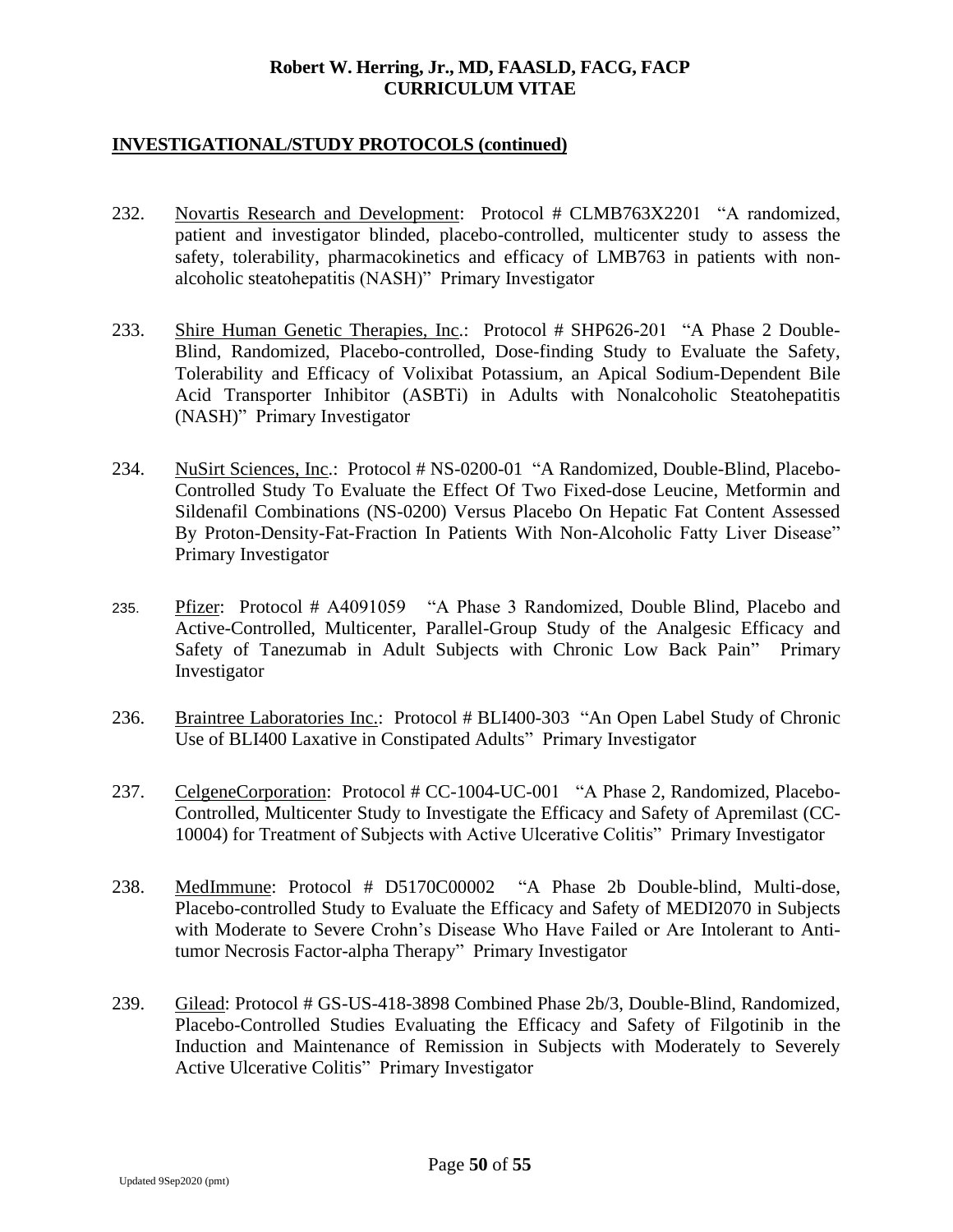- 232. Novartis Research and Development: Protocol # CLMB763X2201 "A randomized, patient and investigator blinded, placebo-controlled, multicenter study to assess the safety, tolerability, pharmacokinetics and efficacy of LMB763 in patients with nonalcoholic steatohepatitis (NASH)" Primary Investigator
- 233. Shire Human Genetic Therapies, Inc.: Protocol # SHP626-201 "A Phase 2 Double-Blind, Randomized, Placebo-controlled, Dose-finding Study to Evaluate the Safety, Tolerability and Efficacy of Volixibat Potassium, an Apical Sodium-Dependent Bile Acid Transporter Inhibitor (ASBTi) in Adults with Nonalcoholic Steatohepatitis (NASH)" Primary Investigator
- 234. NuSirt Sciences, Inc.: Protocol # NS-0200-01 "A Randomized, Double-Blind, Placebo-Controlled Study To Evaluate the Effect Of Two Fixed-dose Leucine, Metformin and Sildenafil Combinations (NS-0200) Versus Placebo On Hepatic Fat Content Assessed By Proton-Density-Fat-Fraction In Patients With Non-Alcoholic Fatty Liver Disease" Primary Investigator
- 235. Pfizer: Protocol # A4091059 "A Phase 3 Randomized, Double Blind, Placebo and Active-Controlled, Multicenter, Parallel-Group Study of the Analgesic Efficacy and Safety of Tanezumab in Adult Subjects with Chronic Low Back Pain" Primary Investigator
- 236. Braintree Laboratories Inc.: Protocol # BLI400-303 "An Open Label Study of Chronic Use of BLI400 Laxative in Constipated Adults" Primary Investigator
- 237. CelgeneCorporation: Protocol # CC-1004-UC-001 "A Phase 2, Randomized, Placebo-Controlled, Multicenter Study to Investigate the Efficacy and Safety of Apremilast (CC-10004) for Treatment of Subjects with Active Ulcerative Colitis" Primary Investigator
- 238. MedImmune: Protocol # D5170C00002 "A Phase 2b Double-blind, Multi-dose, Placebo-controlled Study to Evaluate the Efficacy and Safety of MEDI2070 in Subjects with Moderate to Severe Crohn's Disease Who Have Failed or Are Intolerant to Antitumor Necrosis Factor-alpha Therapy" Primary Investigator
- 239. Gilead: Protocol # GS-US-418-3898 Combined Phase 2b/3, Double-Blind, Randomized, Placebo-Controlled Studies Evaluating the Efficacy and Safety of Filgotinib in the Induction and Maintenance of Remission in Subjects with Moderately to Severely Active Ulcerative Colitis" Primary Investigator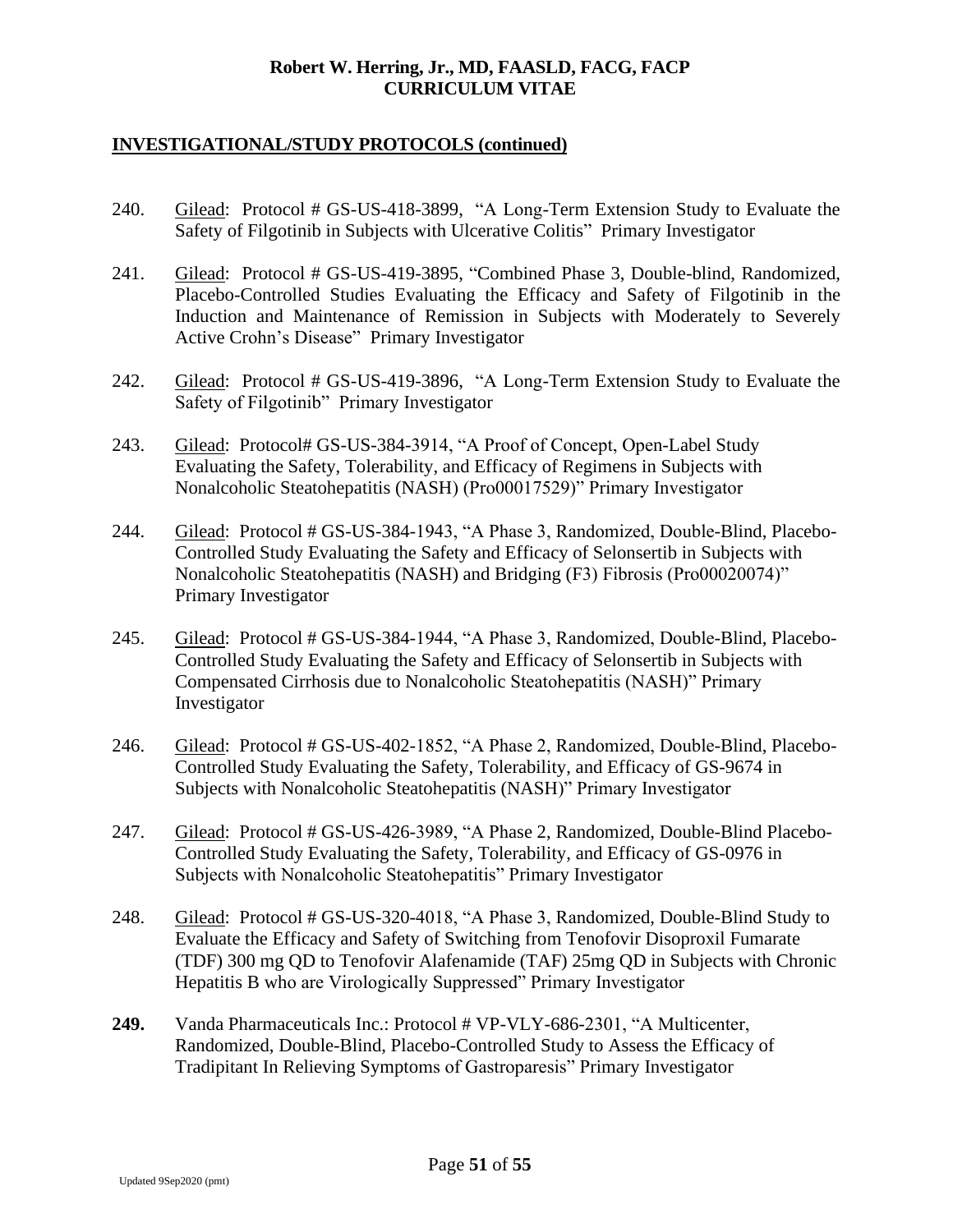- 240. Gilead: Protocol # GS-US-418-3899, "A Long-Term Extension Study to Evaluate the Safety of Filgotinib in Subjects with Ulcerative Colitis" Primary Investigator
- 241. Gilead: Protocol # GS-US-419-3895, "Combined Phase 3, Double-blind, Randomized, Placebo-Controlled Studies Evaluating the Efficacy and Safety of Filgotinib in the Induction and Maintenance of Remission in Subjects with Moderately to Severely Active Crohn's Disease" Primary Investigator
- 242. Gilead: Protocol # GS-US-419-3896, "A Long-Term Extension Study to Evaluate the Safety of Filgotinib" Primary Investigator
- 243. Gilead: Protocol# GS-US-384-3914, "A Proof of Concept, Open-Label Study Evaluating the Safety, Tolerability, and Efficacy of Regimens in Subjects with Nonalcoholic Steatohepatitis (NASH) (Pro00017529)" Primary Investigator
- 244. Gilead: Protocol # GS-US-384-1943, "A Phase 3, Randomized, Double-Blind, Placebo-Controlled Study Evaluating the Safety and Efficacy of Selonsertib in Subjects with Nonalcoholic Steatohepatitis (NASH) and Bridging (F3) Fibrosis (Pro00020074)" Primary Investigator
- 245. Gilead: Protocol # GS-US-384-1944, "A Phase 3, Randomized, Double-Blind, Placebo-Controlled Study Evaluating the Safety and Efficacy of Selonsertib in Subjects with Compensated Cirrhosis due to Nonalcoholic Steatohepatitis (NASH)" Primary Investigator
- 246. Gilead: Protocol # GS-US-402-1852, "A Phase 2, Randomized, Double-Blind, Placebo-Controlled Study Evaluating the Safety, Tolerability, and Efficacy of GS-9674 in Subjects with Nonalcoholic Steatohepatitis (NASH)" Primary Investigator
- 247. Gilead: Protocol # GS-US-426-3989, "A Phase 2, Randomized, Double-Blind Placebo-Controlled Study Evaluating the Safety, Tolerability, and Efficacy of GS-0976 in Subjects with Nonalcoholic Steatohepatitis" Primary Investigator
- 248. Gilead: Protocol # GS-US-320-4018, "A Phase 3, Randomized, Double-Blind Study to Evaluate the Efficacy and Safety of Switching from Tenofovir Disoproxil Fumarate (TDF) 300 mg QD to Tenofovir Alafenamide (TAF) 25mg QD in Subjects with Chronic Hepatitis B who are Virologically Suppressed" Primary Investigator
- **249.** Vanda Pharmaceuticals Inc.: Protocol # VP-VLY-686-2301, "A Multicenter, Randomized, Double-Blind, Placebo-Controlled Study to Assess the Efficacy of Tradipitant In Relieving Symptoms of Gastroparesis" Primary Investigator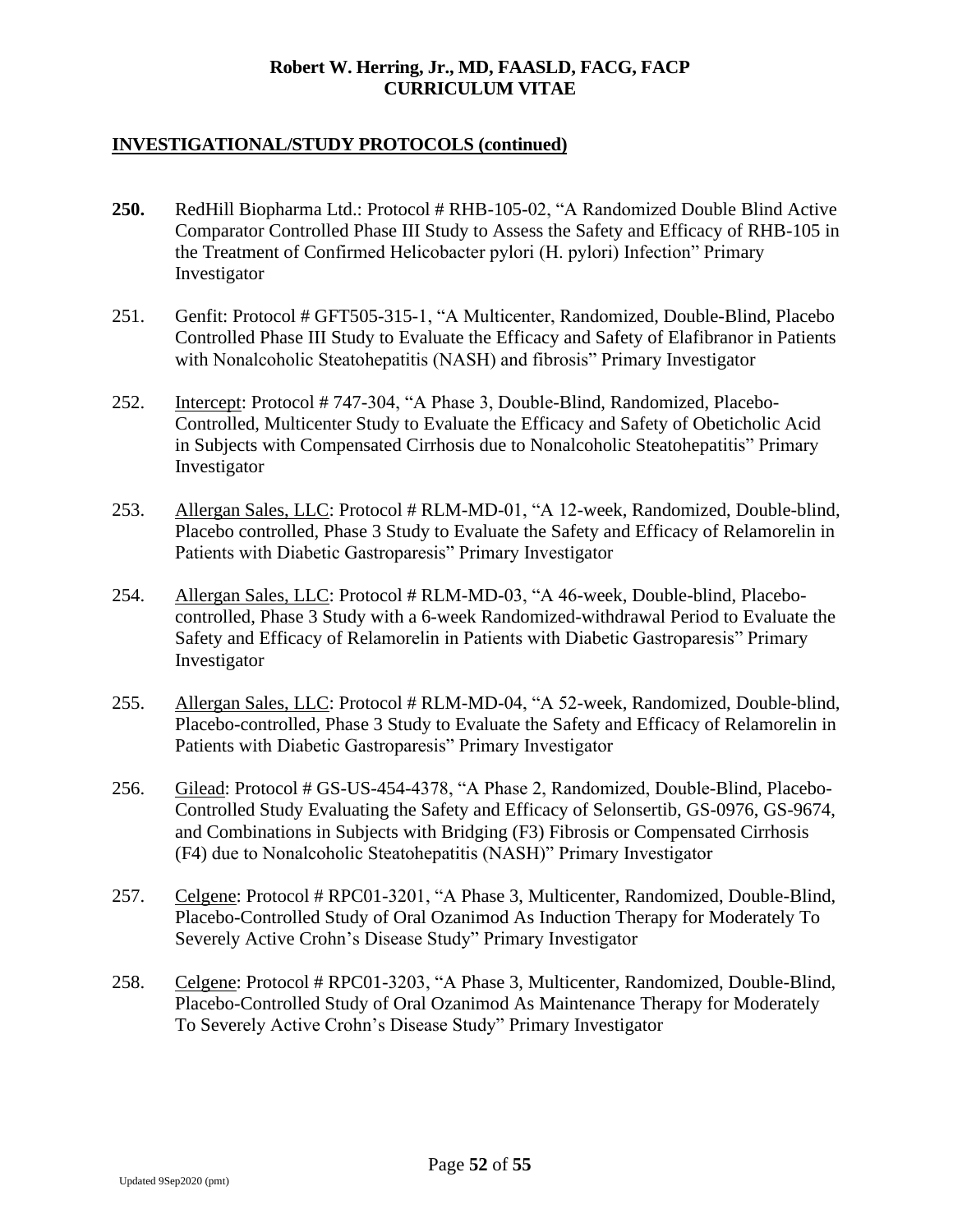- **250.** RedHill Biopharma Ltd.: Protocol # RHB-105-02, "A Randomized Double Blind Active Comparator Controlled Phase III Study to Assess the Safety and Efficacy of RHB-105 in the Treatment of Confirmed Helicobacter pylori (H. pylori) Infection" Primary Investigator
- 251. Genfit: Protocol # GFT505-315-1, "A Multicenter, Randomized, Double-Blind, Placebo Controlled Phase III Study to Evaluate the Efficacy and Safety of Elafibranor in Patients with Nonalcoholic Steatohepatitis (NASH) and fibrosis" Primary Investigator
- 252. Intercept: Protocol # 747-304, "A Phase 3, Double-Blind, Randomized, Placebo-Controlled, Multicenter Study to Evaluate the Efficacy and Safety of Obeticholic Acid in Subjects with Compensated Cirrhosis due to Nonalcoholic Steatohepatitis" Primary Investigator
- 253. Allergan Sales, LLC: Protocol # RLM-MD-01, "A 12-week, Randomized, Double-blind, Placebo controlled, Phase 3 Study to Evaluate the Safety and Efficacy of Relamorelin in Patients with Diabetic Gastroparesis" Primary Investigator
- 254. Allergan Sales, LLC: Protocol # RLM-MD-03, "A 46-week, Double-blind, Placebocontrolled, Phase 3 Study with a 6-week Randomized-withdrawal Period to Evaluate the Safety and Efficacy of Relamorelin in Patients with Diabetic Gastroparesis" Primary Investigator
- 255. Allergan Sales, LLC: Protocol # RLM-MD-04, "A 52-week, Randomized, Double-blind, Placebo-controlled, Phase 3 Study to Evaluate the Safety and Efficacy of Relamorelin in Patients with Diabetic Gastroparesis" Primary Investigator
- 256. Gilead: Protocol # GS-US-454-4378, "A Phase 2, Randomized, Double-Blind, Placebo-Controlled Study Evaluating the Safety and Efficacy of Selonsertib, GS-0976, GS-9674, and Combinations in Subjects with Bridging (F3) Fibrosis or Compensated Cirrhosis (F4) due to Nonalcoholic Steatohepatitis (NASH)" Primary Investigator
- 257. Celgene: Protocol # RPC01-3201, "A Phase 3, Multicenter, Randomized, Double-Blind, Placebo-Controlled Study of Oral Ozanimod As Induction Therapy for Moderately To Severely Active Crohn's Disease Study" Primary Investigator
- 258. Celgene: Protocol # RPC01-3203, "A Phase 3, Multicenter, Randomized, Double-Blind, Placebo-Controlled Study of Oral Ozanimod As Maintenance Therapy for Moderately To Severely Active Crohn's Disease Study" Primary Investigator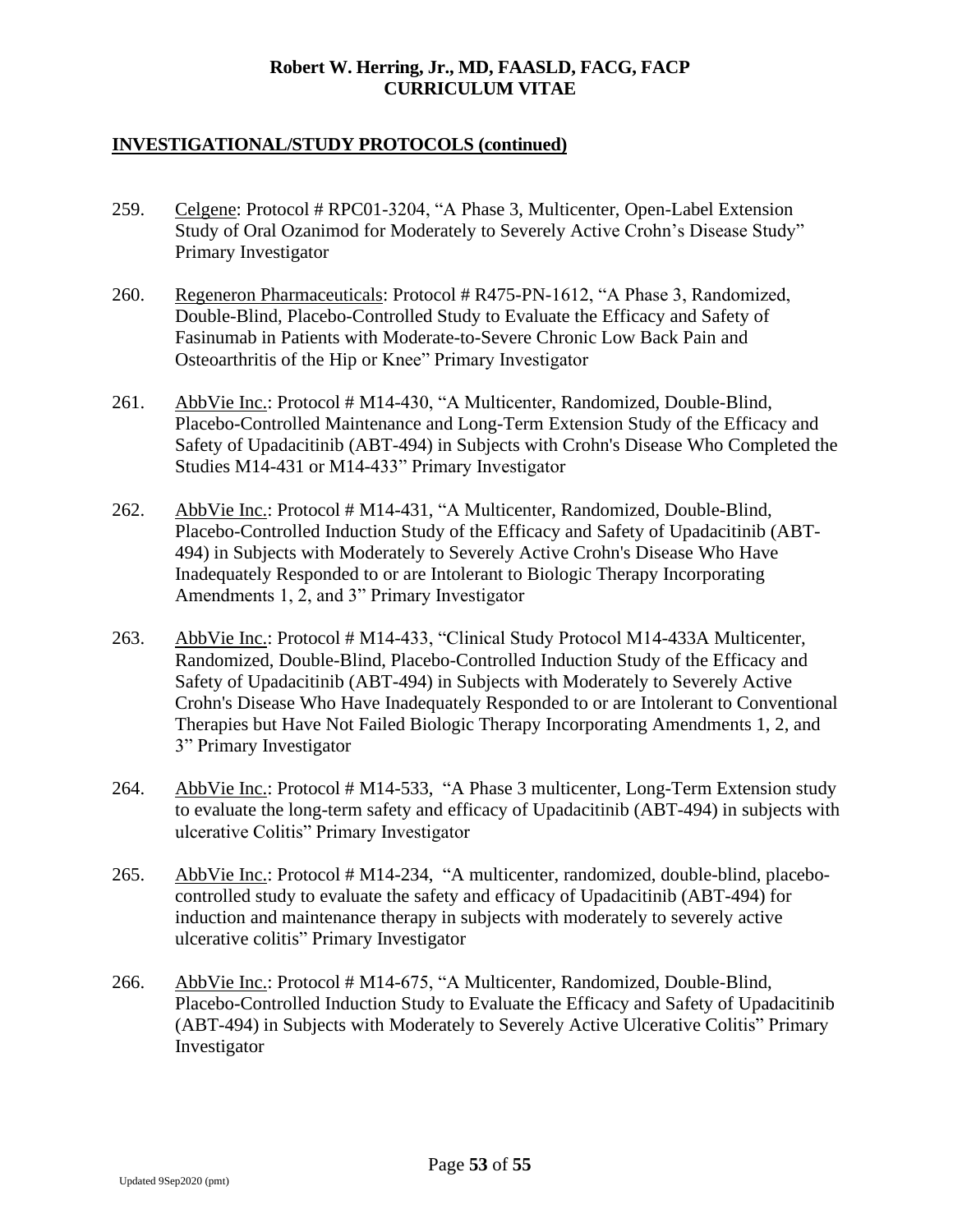- 259. Celgene: Protocol # RPC01-3204, "A Phase 3, Multicenter, Open-Label Extension Study of Oral Ozanimod for Moderately to Severely Active Crohn's Disease Study" Primary Investigator
- 260. Regeneron Pharmaceuticals: Protocol # R475-PN-1612, "A Phase 3, Randomized, Double-Blind, Placebo-Controlled Study to Evaluate the Efficacy and Safety of Fasinumab in Patients with Moderate-to-Severe Chronic Low Back Pain and Osteoarthritis of the Hip or Knee" Primary Investigator
- 261. AbbVie Inc.: Protocol # M14-430, "A Multicenter, Randomized, Double-Blind, Placebo-Controlled Maintenance and Long-Term Extension Study of the Efficacy and Safety of Upadacitinib (ABT-494) in Subjects with Crohn's Disease Who Completed the Studies M14-431 or M14-433" Primary Investigator
- 262. AbbVie Inc.: Protocol # M14-431, "A Multicenter, Randomized, Double-Blind, Placebo-Controlled Induction Study of the Efficacy and Safety of Upadacitinib (ABT-494) in Subjects with Moderately to Severely Active Crohn's Disease Who Have Inadequately Responded to or are Intolerant to Biologic Therapy Incorporating Amendments 1, 2, and 3" Primary Investigator
- 263. AbbVie Inc.: Protocol # M14-433, "Clinical Study Protocol M14-433A Multicenter, Randomized, Double-Blind, Placebo-Controlled Induction Study of the Efficacy and Safety of Upadacitinib (ABT-494) in Subjects with Moderately to Severely Active Crohn's Disease Who Have Inadequately Responded to or are Intolerant to Conventional Therapies but Have Not Failed Biologic Therapy Incorporating Amendments 1, 2, and 3" Primary Investigator
- 264. AbbVie Inc.: Protocol # M14-533, "A Phase 3 multicenter, Long-Term Extension study to evaluate the long-term safety and efficacy of Upadacitinib (ABT-494) in subjects with ulcerative Colitis" Primary Investigator
- 265. AbbVie Inc.: Protocol # M14-234, "A multicenter, randomized, double-blind, placebocontrolled study to evaluate the safety and efficacy of Upadacitinib (ABT-494) for induction and maintenance therapy in subjects with moderately to severely active ulcerative colitis" Primary Investigator
- 266. AbbVie Inc.: Protocol # M14-675, "A Multicenter, Randomized, Double-Blind, Placebo-Controlled Induction Study to Evaluate the Efficacy and Safety of Upadacitinib (ABT-494) in Subjects with Moderately to Severely Active Ulcerative Colitis" Primary Investigator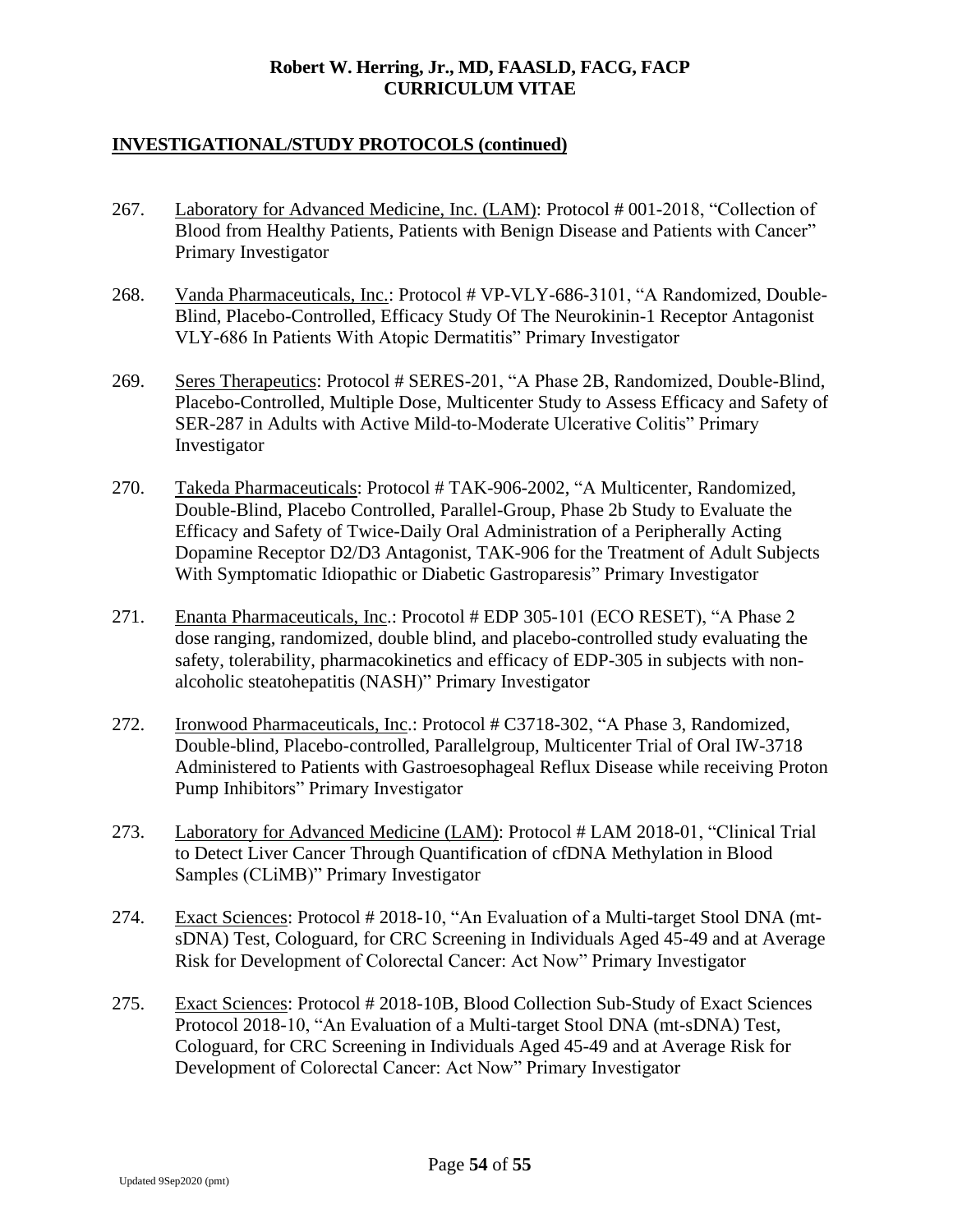- 267. Laboratory for Advanced Medicine, Inc. (LAM): Protocol # 001-2018, "Collection of Blood from Healthy Patients, Patients with Benign Disease and Patients with Cancer" Primary Investigator
- 268. Vanda Pharmaceuticals, Inc.: Protocol # VP-VLY-686-3101, "A Randomized, Double-Blind, Placebo-Controlled, Efficacy Study Of The Neurokinin-1 Receptor Antagonist VLY-686 In Patients With Atopic Dermatitis" Primary Investigator
- 269. Seres Therapeutics: Protocol # SERES-201, "A Phase 2B, Randomized, Double-Blind, Placebo-Controlled, Multiple Dose, Multicenter Study to Assess Efficacy and Safety of SER-287 in Adults with Active Mild-to-Moderate Ulcerative Colitis" Primary Investigator
- 270. Takeda Pharmaceuticals: Protocol # TAK-906-2002, "A Multicenter, Randomized, Double-Blind, Placebo Controlled, Parallel-Group, Phase 2b Study to Evaluate the Efficacy and Safety of Twice-Daily Oral Administration of a Peripherally Acting Dopamine Receptor D2/D3 Antagonist, TAK-906 for the Treatment of Adult Subjects With Symptomatic Idiopathic or Diabetic Gastroparesis" Primary Investigator
- 271. Enanta Pharmaceuticals, Inc.: Procotol # EDP 305-101 (ECO RESET), "A Phase 2 dose ranging, randomized, double blind, and placebo-controlled study evaluating the safety, tolerability, pharmacokinetics and efficacy of EDP-305 in subjects with nonalcoholic steatohepatitis (NASH)" Primary Investigator
- 272. Ironwood Pharmaceuticals, Inc.: Protocol # C3718-302, "A Phase 3, Randomized, Double-blind, Placebo-controlled, Parallelgroup, Multicenter Trial of Oral IW-3718 Administered to Patients with Gastroesophageal Reflux Disease while receiving Proton Pump Inhibitors" Primary Investigator
- 273. Laboratory for Advanced Medicine (LAM): Protocol # LAM 2018-01, "Clinical Trial to Detect Liver Cancer Through Quantification of cfDNA Methylation in Blood Samples (CLiMB)" Primary Investigator
- 274. Exact Sciences: Protocol # 2018-10, "An Evaluation of a Multi-target Stool DNA (mtsDNA) Test, Cologuard, for CRC Screening in Individuals Aged 45-49 and at Average Risk for Development of Colorectal Cancer: Act Now" Primary Investigator
- 275. Exact Sciences: Protocol # 2018-10B, Blood Collection Sub-Study of Exact Sciences Protocol 2018-10, "An Evaluation of a Multi-target Stool DNA (mt-sDNA) Test, Cologuard, for CRC Screening in Individuals Aged 45-49 and at Average Risk for Development of Colorectal Cancer: Act Now" Primary Investigator